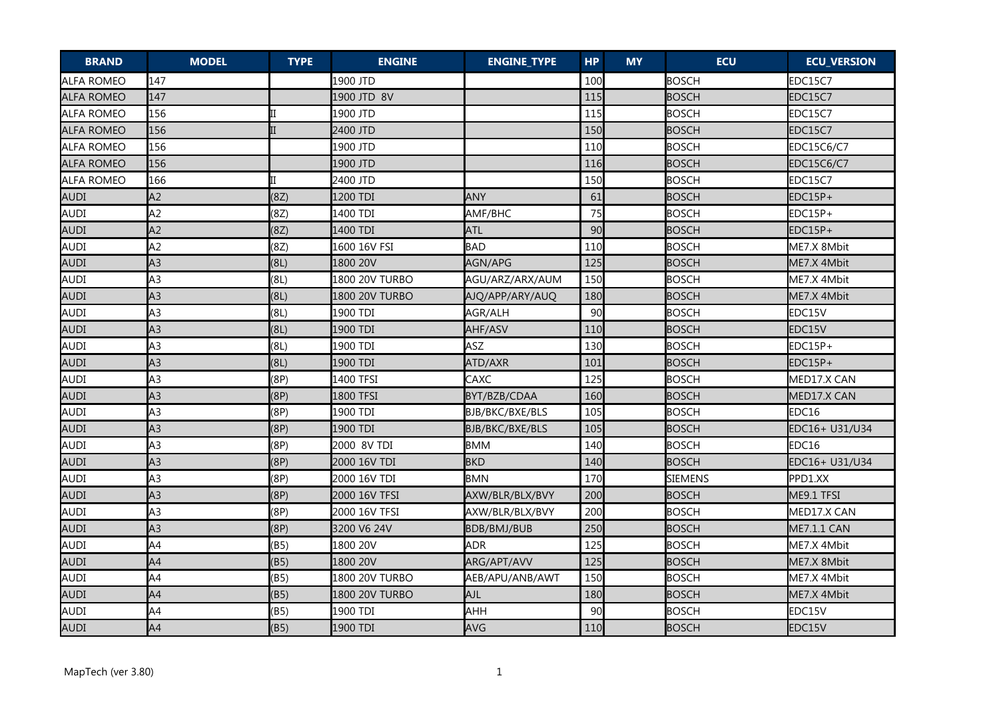| <b>BRAND</b>        | <b>MODEL</b>   | <b>TYPE</b> | <b>ENGINE</b>  | <b>ENGINE_TYPE</b>     | <b>HP</b> | <b>MY</b> | <b>ECU</b>     | <b>ECU_VERSION</b> |
|---------------------|----------------|-------------|----------------|------------------------|-----------|-----------|----------------|--------------------|
| <b>I</b> ALFA ROMEO | 147            |             | 1900 JTD       |                        | 100       |           | <b>BOSCH</b>   | EDC15C7            |
| ALFA ROMEO          | 147            |             | 1900 JTD 8V    |                        | 115       |           | <b>BOSCH</b>   | EDC15C7            |
| <b>ALFA ROMEO</b>   | 156            |             | 1900 JTD       |                        | 115       |           | <b>BOSCH</b>   | EDC15C7            |
| ALFA ROMEO          | 156            |             | 2400 JTD       |                        | 150       |           | <b>BOSCH</b>   | EDC15C7            |
| ALFA ROMEO          | 156            |             | 1900 JTD       |                        | 110       |           | <b>BOSCH</b>   | <b>EDC15C6/C7</b>  |
| <b>ALFA ROMEO</b>   | 156            |             | 1900 JTD       |                        | 116       |           | <b>BOSCH</b>   | EDC15C6/C7         |
| <b>ALFA ROMEO</b>   | 166            |             | 2400 JTD       |                        | 150       |           | <b>BOSCH</b>   | EDC15C7            |
| AUDI                | A <sub>2</sub> | (8Z)        | 1200 TDI       | ANY                    | 61        |           | <b>BOSCH</b>   | EDC15P+            |
| AUDI                | A <sub>2</sub> | (8Z)        | 1400 TDI       | AMF/BHC                | 75        |           | <b>BOSCH</b>   | EDC15P+            |
| <b>AUDI</b>         | A2             | (8Z)        | 1400 TDI       | <b>ATL</b>             | 90        |           | <b>BOSCH</b>   | EDC15P+            |
| AUDI                | A <sub>2</sub> | (8Z)        | 1600 16V FSI   | <b>BAD</b>             | 110       |           | <b>BOSCH</b>   | ME7.X 8Mbit        |
| AUDI                | A3             | (8L)        | 1800 20V       | AGN/APG                | 125       |           | <b>BOSCH</b>   | ME7.X 4Mbit        |
| AUDI                | A <sub>3</sub> | (8L)        | 1800 20V TURBO | AGU/ARZ/ARX/AUM        | 150       |           | <b>BOSCH</b>   | ME7.X 4Mbit        |
| AUDI                | A <sub>3</sub> | (8L)        | 1800 20V TURBO | AJQ/APP/ARY/AUQ        | 180       |           | <b>BOSCH</b>   | ME7.X 4Mbit        |
| AUDI                | A <sub>3</sub> | (8L)        | 1900 TDI       | AGR/ALH                | 90        |           | <b>BOSCH</b>   | EDC15V             |
| AUDI                | A3             | (8L)        | 1900 TDI       | AHF/ASV                | 110       |           | <b>BOSCH</b>   | EDC15V             |
| AUDI                | A <sub>3</sub> | (8L)        | 1900 TDI       | <b>ASZ</b>             | 130       |           | <b>BOSCH</b>   | EDC15P+            |
| AUDI                | A <sub>3</sub> | (8L)        | 1900 TDI       | ATD/AXR                | 101       |           | <b>BOSCH</b>   | EDC15P+            |
| AUDI                | A <sub>3</sub> | (8P)        | 1400 TFSI      | CAXC                   | 125       |           | <b>BOSCH</b>   | MED17.X CAN        |
| AUDI                | A <sub>3</sub> | (8P)        | 1800 TFSI      | BYT/BZB/CDAA           | 160       |           | <b>BOSCH</b>   | MED17.X CAN        |
| AUDI                | A <sub>3</sub> | (8P)        | 1900 TDI       | <b>BJB/BKC/BXE/BLS</b> | 105       |           | <b>BOSCH</b>   | EDC16              |
| AUDI                | A <sub>3</sub> | (8P)        | 1900 TDI       | BJB/BKC/BXE/BLS        | 105       |           | <b>BOSCH</b>   | EDC16+ U31/U34     |
| AUDI                | A <sub>3</sub> | (8P)        | 2000 8V TDI    | <b>BMM</b>             | 140       |           | <b>BOSCH</b>   | EDC16              |
| AUDI                | A3             | (8P)        | 2000 16V TDI   | <b>BKD</b>             | 140       |           | <b>BOSCH</b>   | EDC16+ U31/U34     |
| AUDI                | A <sub>3</sub> | (8P)        | 2000 16V TDI   | <b>BMN</b>             | 170       |           | <b>SIEMENS</b> | PPD1.XX            |
| AUDI                | A <sub>3</sub> | (8P)        | 2000 16V TFSI  | AXW/BLR/BLX/BVY        | 200       |           | <b>BOSCH</b>   | ME9.1 TFSI         |
| AUDI                | A <sub>3</sub> | (8P)        | 2000 16V TFSI  | AXW/BLR/BLX/BVY        | 200       |           | <b>BOSCH</b>   | MED17.X CAN        |
| AUDI                | A <sub>3</sub> | (8P)        | 3200 V6 24V    | <b>BDB/BMJ/BUB</b>     | 250       |           | <b>BOSCH</b>   | ME7.1.1 CAN        |
| AUDI                | A4             | (B5)        | 1800 20V       | <b>ADR</b>             | 125       |           | <b>BOSCH</b>   | ME7.X 4Mbit        |
| AUDI                | A4             | (B5)        | 1800 20V       | ARG/APT/AVV            | 125       |           | <b>BOSCH</b>   | ME7.X 8Mbit        |
| AUDI                | A4             | (B5)        | 1800 20V TURBO | AEB/APU/ANB/AWT        | 150       |           | <b>BOSCH</b>   | ME7.X 4Mbit        |
| AUDI                | A4             | (B5)        | 1800 20V TURBO | <b>AJL</b>             | 180       |           | <b>BOSCH</b>   | ME7.X 4Mbit        |
| AUDI                | A4             | (B5)        | 1900 TDI       | AHH                    | 90        |           | <b>BOSCH</b>   | EDC15V             |
| AUDI                | A4             | (B5)        | 1900 TDI       | AVG                    | 110       |           | <b>BOSCH</b>   | EDC15V             |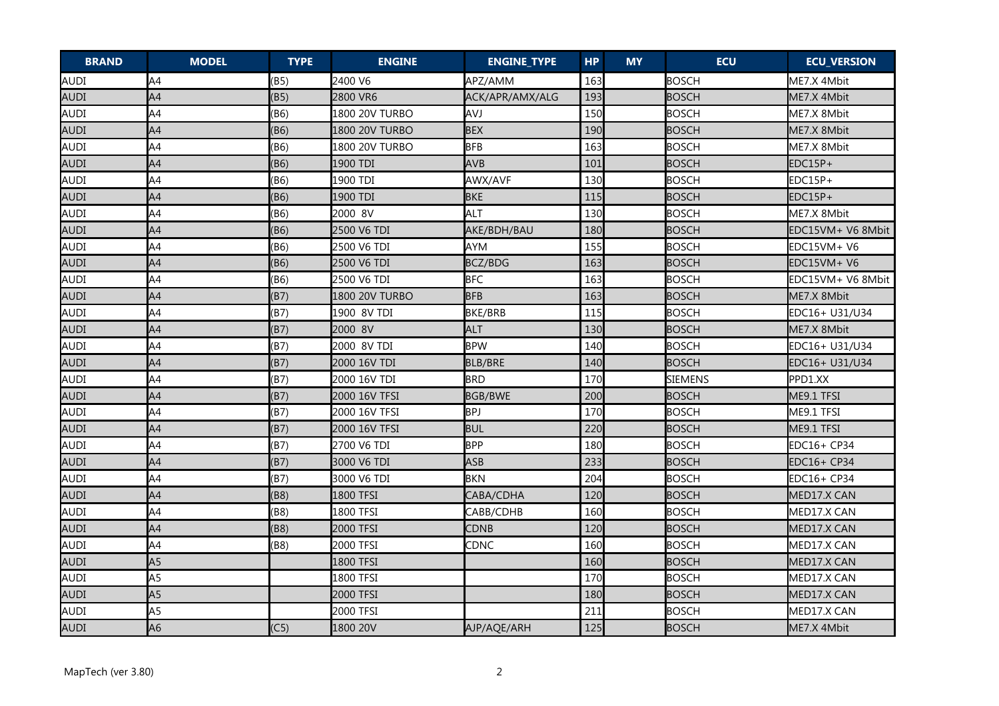| <b>BRAND</b> | <b>MODEL</b>   | <b>TYPE</b> | <b>ENGINE</b>  | <b>ENGINE_TYPE</b> | <b>HP</b> | <b>MY</b> | <b>ECU</b>     | <b>ECU_VERSION</b> |
|--------------|----------------|-------------|----------------|--------------------|-----------|-----------|----------------|--------------------|
| AUDI         | A4             | (B5)        | 2400 V6        | APZ/AMM            | 163       |           | <b>BOSCH</b>   | ME7.X 4Mbit        |
| <b>AUDI</b>  | A4             | (B5)        | 2800 VR6       | ACK/APR/AMX/ALG    | 193       |           | <b>BOSCH</b>   | ME7.X 4Mbit        |
| AUDI         | A4             | (B6)        | 1800 20V TURBO | <b>AVJ</b>         | 150       |           | <b>BOSCH</b>   | ME7.X 8Mbit        |
| <b>AUDI</b>  | A4             | (B6)        | 1800 20V TURBO | <b>BEX</b>         | 190       |           | <b>BOSCH</b>   | ME7.X 8Mbit        |
| AUDI         | A4             | (B6)        | 1800 20V TURBO | <b>BFB</b>         | 163       |           | <b>BOSCH</b>   | ME7.X 8Mbit        |
| <b>AUDI</b>  | A4             | (B6)        | 1900 TDI       | <b>AVB</b>         | 101       |           | <b>BOSCH</b>   | EDC15P+            |
| AUDI         | A4             | (B6)        | 1900 TDI       | AWX/AVF            | 130       |           | BOSCH          | EDC15P+            |
| <b>AUDI</b>  | A4             | (B6)        | 1900 TDI       | <b>BKE</b>         | 115       |           | <b>BOSCH</b>   | EDC15P+            |
| AUDI         | A4             | (B6)        | 2000 8V        | ALT                | 130       |           | <b>BOSCH</b>   | ME7.X 8Mbit        |
| <b>AUDI</b>  | A4             | (B6)        | 2500 V6 TDI    | AKE/BDH/BAU        | 180       |           | <b>BOSCH</b>   | EDC15VM+ V6 8Mbit  |
| AUDI         | A4             | (B6)        | 2500 V6 TDI    | <b>AYM</b>         | 155       |           | <b>BOSCH</b>   | $EDC15VM + V6$     |
| <b>AUDI</b>  | A4             | (B6)        | 2500 V6 TDI    | BCZ/BDG            | 163       |           | <b>BOSCH</b>   | $EDC15VM + V6$     |
| AUDI         | A4             | (B6)        | 2500 V6 TDI    | <b>BFC</b>         | 163       |           | <b>BOSCH</b>   | EDC15VM+ V6 8Mbit  |
| <b>AUDI</b>  | A4             | (B7)        | 1800 20V TURBO | <b>BFB</b>         | 163       |           | <b>BOSCH</b>   | ME7.X 8Mbit        |
| AUDI         | A4             | (B7)        | 1900 8V TDI    | <b>BKE/BRB</b>     | 115       |           | <b>BOSCH</b>   | EDC16+ U31/U34     |
| <b>AUDI</b>  | A4             | (B7)        | 2000 8V        | <b>ALT</b>         | 130       |           | <b>BOSCH</b>   | ME7.X 8Mbit        |
| AUDI         | A4             | (B7)        | 2000 8V TDI    | <b>BPW</b>         | 140       |           | <b>BOSCH</b>   | EDC16+ U31/U34     |
| AUDI         | A4             | (B7)        | 2000 16V TDI   | <b>BLB/BRE</b>     | 140       |           | <b>BOSCH</b>   | EDC16+ U31/U34     |
| AUDI         | A4             | (B7)        | 2000 16V TDI   | <b>BRD</b>         | 170       |           | <b>SIEMENS</b> | PPD1.XX            |
| AUDI         | A4             | (B7)        | 2000 16V TFSI  | <b>BGB/BWE</b>     | 200       |           | <b>BOSCH</b>   | ME9.1 TFSI         |
| AUDI         | A4             | (B7)        | 2000 16V TFSI  | <b>BPJ</b>         | 170       |           | <b>BOSCH</b>   | ME9.1 TFSI         |
| <b>AUDI</b>  | A4             | (B7)        | 2000 16V TFSI  | <b>BUL</b>         | 220       |           | <b>BOSCH</b>   | ME9.1 TFSI         |
| AUDI         | A4             | (B7)        | 2700 V6 TDI    | <b>BPP</b>         | 180       |           | <b>BOSCH</b>   | EDC16+ CP34        |
| AUDI         | A4             | (B7)        | 3000 V6 TDI    | <b>ASB</b>         | 233       |           | <b>BOSCH</b>   | EDC16+ CP34        |
| AUDI         | A4             | (B7)        | 3000 V6 TDI    | <b>BKN</b>         | 204       |           | BOSCH          | EDC16+ CP34        |
| AUDI         | A4             | (B8)        | 1800 TFSI      | CABA/CDHA          | 120       |           | <b>BOSCH</b>   | MED17.X CAN        |
| AUDI         | A4             | (B8)        | 1800 TFSI      | CABB/CDHB          | 160       |           | <b>BOSCH</b>   | MED17.X CAN        |
| AUDI         | A4             | (B8)        | 2000 TFSI      | CDNB               | 120       |           | <b>BOSCH</b>   | MED17.X CAN        |
| AUDI         | A4             | (B8)        | 2000 TFSI      | CDNC               | 160       |           | <b>BOSCH</b>   | MED17.X CAN        |
| <b>AUDI</b>  | A <sub>5</sub> |             | 1800 TFSI      |                    | 160       |           | <b>BOSCH</b>   | MED17.X CAN        |
| AUDI         | A <sub>5</sub> |             | 1800 TFSI      |                    | 170       |           | <b>BOSCH</b>   | MED17.X CAN        |
| <b>AUDI</b>  | A <sub>5</sub> |             | 2000 TFSI      |                    | 180       |           | <b>BOSCH</b>   | MED17.X CAN        |
| AUDI         | A <sub>5</sub> |             | 2000 TFSI      |                    | 211       |           | <b>BOSCH</b>   | MED17.X CAN        |
| AUDI         | A <sub>6</sub> | (C5)        | 1800 20V       | AJP/AQE/ARH        | 125       |           | <b>BOSCH</b>   | ME7.X 4Mbit        |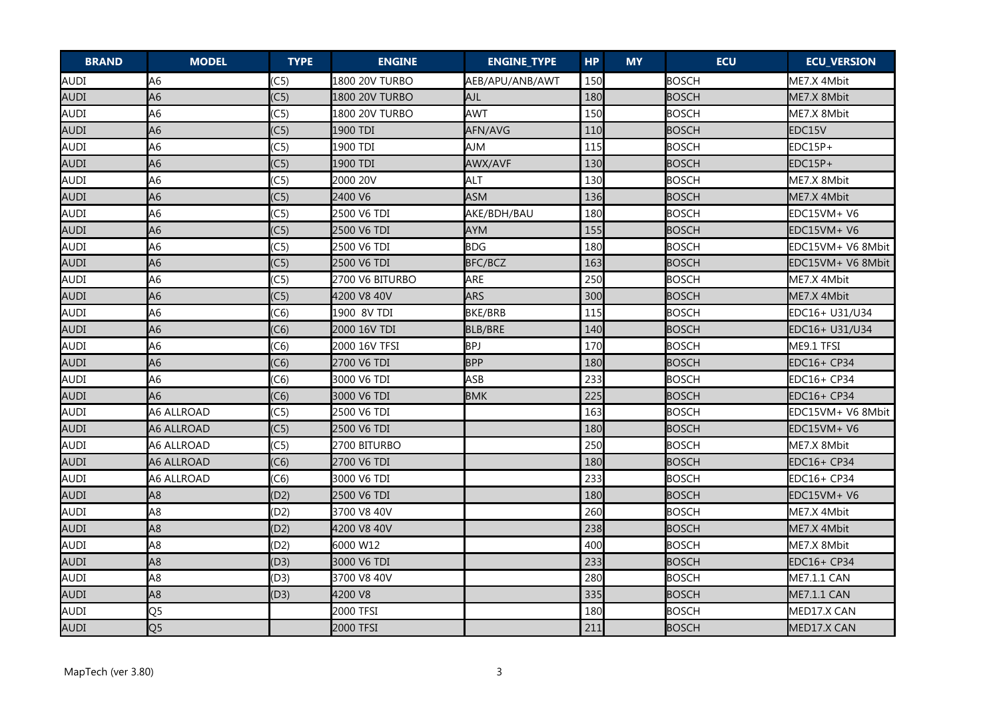| <b>BRAND</b> | <b>MODEL</b>   | <b>TYPE</b> | <b>ENGINE</b>   | <b>ENGINE_TYPE</b> | <b>HP</b> | <b>MY</b> | <b>ECU</b>   | <b>ECU_VERSION</b> |
|--------------|----------------|-------------|-----------------|--------------------|-----------|-----------|--------------|--------------------|
| AUDI         | A <sub>6</sub> | (C5)        | 1800 20V TURBO  | AEB/APU/ANB/AWT    | 150       |           | <b>BOSCH</b> | ME7.X 4Mbit        |
| <b>AUDI</b>  | A <sub>6</sub> | (C5)        | 1800 20V TURBO  | AJL                | 180       |           | <b>BOSCH</b> | ME7.X 8Mbit        |
| AUDI         | A <sub>6</sub> | (C5)        | 1800 20V TURBO  | AWT                | 150       |           | <b>BOSCH</b> | ME7.X 8Mbit        |
| AUDI         | A6             | (C5)        | 1900 TDI        | AFN/AVG            | 110       |           | <b>BOSCH</b> | EDC15V             |
| AUDI         | A <sub>6</sub> | (C5)        | 1900 TDI        | <b>AJM</b>         | 115       |           | <b>BOSCH</b> | EDC15P+            |
| AUDI         | A <sub>6</sub> | (C5)        | 1900 TDI        | <b>AWX/AVF</b>     | 130       |           | <b>BOSCH</b> | $EDC15P+$          |
| AUDI         | A <sub>6</sub> | (C5)        | 2000 20V        | <b>ALT</b>         | 130       |           | <b>BOSCH</b> | ME7.X 8Mbit        |
| AUDI         | A6             | (C5)        | 2400 V6         | <b>ASM</b>         | 136       |           | <b>BOSCH</b> | ME7.X 4Mbit        |
| AUDI         | A <sub>6</sub> | (C5)        | 2500 V6 TDI     | AKE/BDH/BAU        | 180       |           | <b>BOSCH</b> | EDC15VM+ V6        |
| AUDI         | A6             | (C5)        | 2500 V6 TDI     | <b>AYM</b>         | 155       |           | <b>BOSCH</b> | EDC15VM+ V6        |
| <b>AUDI</b>  | A <sub>6</sub> | (C5)        | 2500 V6 TDI     | <b>BDG</b>         | 180       |           | <b>BOSCH</b> | EDC15VM+ V6 8Mbit  |
| AUDI         | A6             | (C5)        | 2500 V6 TDI     | BFC/BCZ            | 163       |           | <b>BOSCH</b> | EDC15VM+ V6 8Mbit  |
| <b>AUDI</b>  | A <sub>6</sub> | (C5)        | 2700 V6 BITURBO | ARE                | 250       |           | <b>BOSCH</b> | ME7.X 4Mbit        |
| AUDI         | A <sub>6</sub> | (C5)        | 4200 V8 40V     | <b>ARS</b>         | 300       |           | <b>BOSCH</b> | ME7.X 4Mbit        |
| AUDI         | A <sub>6</sub> | (C6)        | 1900 8V TDI     | <b>BKE/BRB</b>     | 115       |           | <b>BOSCH</b> | EDC16+ U31/U34     |
| AUDI         | A <sub>6</sub> | (C6)        | 2000 16V TDI    | <b>BLB/BRE</b>     | 140       |           | <b>BOSCH</b> | EDC16+ U31/U34     |
| <b>AUDI</b>  | A <sub>6</sub> | (C6)        | 2000 16V TFSI   | <b>BPJ</b>         | 170       |           | <b>BOSCH</b> | ME9.1 TFSI         |
| <b>AUDI</b>  | A <sub>6</sub> | (C6)        | 2700 V6 TDI     | <b>BPP</b>         | 180       |           | <b>BOSCH</b> | EDC16+ CP34        |
| AUDI         | A <sub>6</sub> | (C6)        | 3000 V6 TDI     | ASB                | 233       |           | <b>BOSCH</b> | EDC16+ CP34        |
| <b>AUDI</b>  | A <sub>6</sub> | (C6)        | 3000 V6 TDI     | <b>BMK</b>         | 225       |           | <b>BOSCH</b> | <b>EDC16+ CP34</b> |
| AUDI         | A6 ALLROAD     | (C5)        | 2500 V6 TDI     |                    | 163       |           | <b>BOSCH</b> | EDC15VM+ V6 8Mbit  |
| <b>AUDI</b>  | A6 ALLROAD     | (C5)        | 2500 V6 TDI     |                    | 180       |           | <b>BOSCH</b> | EDC15VM+ V6        |
| AUDI         | A6 ALLROAD     | (C5)        | 2700 BITURBO    |                    | 250       |           | <b>BOSCH</b> | ME7.X 8Mbit        |
| AUDI         | A6 ALLROAD     | (C6)        | 2700 V6 TDI     |                    | 180       |           | <b>BOSCH</b> | EDC16+ CP34        |
| AUDI         | A6 ALLROAD     | (C6)        | 3000 V6 TDI     |                    | 233       |           | <b>BOSCH</b> | EDC16+ CP34        |
| <b>AUDI</b>  | A <sub>8</sub> | (D2)        | 2500 V6 TDI     |                    | 180       |           | <b>BOSCH</b> | EDC15VM+ V6        |
| AUDI         | A <sub>8</sub> | (D2)        | 3700 V8 40V     |                    | 260       |           | <b>BOSCH</b> | ME7.X 4Mbit        |
| <b>AUDI</b>  | A <sub>8</sub> | (D2)        | 4200 V8 40V     |                    | 238       |           | <b>BOSCH</b> | ME7.X 4Mbit        |
| <b>AUDI</b>  | A <sub>8</sub> | (D2)        | 6000 W12        |                    | 400       |           | <b>BOSCH</b> | ME7.X 8Mbit        |
| <b>AUDI</b>  | A <sub>8</sub> | (D3)        | 3000 V6 TDI     |                    | 233       |           | <b>BOSCH</b> | EDC16+ CP34        |
| AUDI         | A <sub>8</sub> | (D3)        | 3700 V8 40V     |                    | 280       |           | <b>BOSCH</b> | ME7.1.1 CAN        |
| <b>AUDI</b>  | A <sub>8</sub> | (D3)        | 4200 V8         |                    | 335       |           | <b>BOSCH</b> | <b>ME7.1.1 CAN</b> |
| AUDI         | Q <sub>5</sub> |             | 2000 TFSI       |                    | 180       |           | <b>BOSCH</b> | MED17.X CAN        |
| AUDI         | Q <sub>5</sub> |             | 2000 TFSI       |                    | 211       |           | <b>BOSCH</b> | MED17.X CAN        |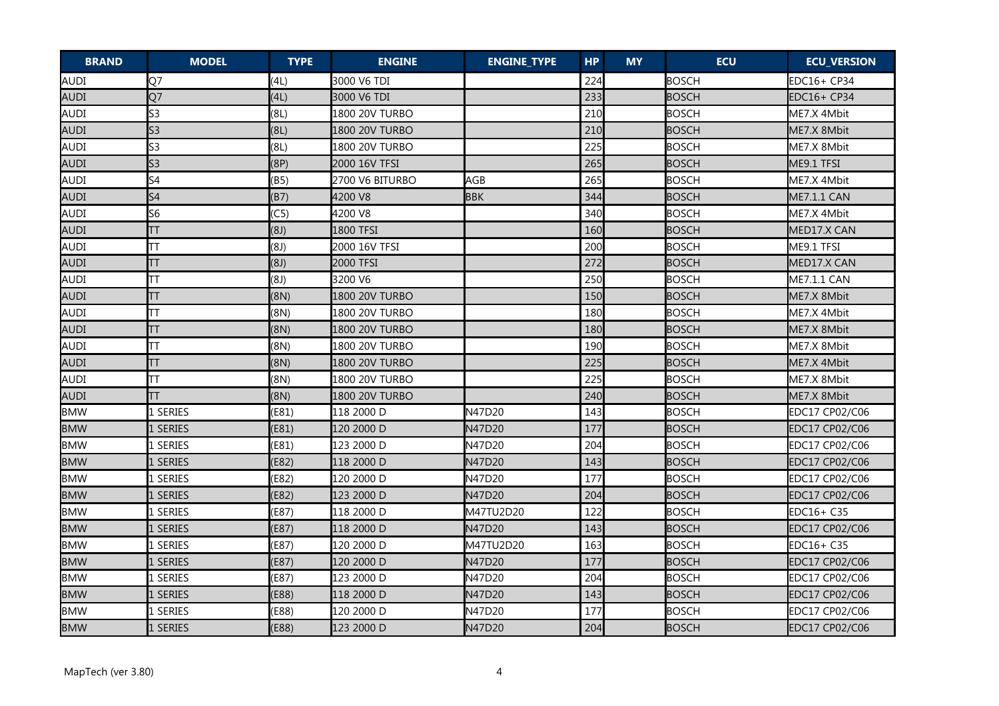| <b>BRAND</b> | <b>MODEL</b>   | <b>TYPE</b> | <b>ENGINE</b>   | <b>ENGINE_TYPE</b> | <b>HP</b> | <b>MY</b> | <b>ECU</b>   | <b>ECU_VERSION</b> |
|--------------|----------------|-------------|-----------------|--------------------|-----------|-----------|--------------|--------------------|
| AUDI         | Q7             | (4L)        | 3000 V6 TDI     |                    | 224       |           | <b>BOSCH</b> | EDC16+ CP34        |
| <b>AUDI</b>  | Q7             | (4L)        | 3000 V6 TDI     |                    | 233       |           | <b>BOSCH</b> | EDC16+ CP34        |
| <b>AUDI</b>  | S <sub>3</sub> | (8L)        | 1800 20V TURBO  |                    | 210       |           | <b>BOSCH</b> | ME7.X 4Mbit        |
| <b>AUDI</b>  | S <sub>3</sub> | (8L)        | 1800 20V TURBO  |                    | 210       |           | <b>BOSCH</b> | ME7.X 8Mbit        |
| <b>AUDI</b>  | S <sub>3</sub> | (8L)        | 1800 20V TURBO  |                    | 225       |           | <b>BOSCH</b> | ME7.X 8Mbit        |
| <b>AUDI</b>  | S <sub>3</sub> | (8P)        | 2000 16V TFSI   |                    | 265       |           | <b>BOSCH</b> | ME9.1 TFSI         |
| AUDI         | S <sub>4</sub> | (B5)        | 2700 V6 BITURBO | AGB                | 265       |           | <b>BOSCH</b> | ME7.X 4Mbit        |
| AUDI         | S <sub>4</sub> | (B7)        | 4200 V8         | <b>BBK</b>         | 344       |           | <b>BOSCH</b> | ME7.1.1 CAN        |
| AUDI         | S <sub>6</sub> | (C5)        | 4200 V8         |                    | 340       |           | <b>BOSCH</b> | ME7.X 4Mbit        |
| <b>AUDI</b>  | ΤT             | (8J)        | 1800 TFSI       |                    | 160       |           | <b>BOSCH</b> | MED17.X CAN        |
| <b>AUDI</b>  | TΤ             | (8J)        | 2000 16V TFSI   |                    | 200       |           | <b>BOSCH</b> | ME9.1 TFSI         |
| <b>AUDI</b>  | TT             | (8J)        | 2000 TFSI       |                    | 272       |           | <b>BOSCH</b> | MED17.X CAN        |
| <b>AUDI</b>  | TT             | (8J)        | 3200 V6         |                    | 250       |           | <b>BOSCH</b> | ME7.1.1 CAN        |
| <b>AUDI</b>  | TΤ             | (8N)        | 1800 20V TURBO  |                    | 150       |           | <b>BOSCH</b> | ME7.X 8Mbit        |
| AUDI         | TT             | (8N)        | 1800 20V TURBO  |                    | 180       |           | <b>BOSCH</b> | ME7.X 4Mbit        |
| <b>AUDI</b>  | TΤ             | (8N)        | 1800 20V TURBO  |                    | 180       |           | <b>BOSCH</b> | ME7.X 8Mbit        |
| <b>AUDI</b>  | ΤT             | (8N)        | 1800 20V TURBO  |                    | 190       |           | <b>BOSCH</b> | ME7.X 8Mbit        |
| <b>AUDI</b>  | TΤ             | (8N)        | 1800 20V TURBO  |                    | 225       |           | <b>BOSCH</b> | ME7.X 4Mbit        |
| AUDI         | ТT             | (8N)        | 1800 20V TURBO  |                    | 225       |           | <b>BOSCH</b> | ME7.X 8Mbit        |
| AUDI         | TΤ             | (8N)        | 1800 20V TURBO  |                    | 240       |           | <b>BOSCH</b> | ME7.X 8Mbit        |
| <b>BMW</b>   | L SERIES       | (E81)       | 118 2000 D      | N47D20             | 143       |           | <b>BOSCH</b> | EDC17 CP02/C06     |
| <b>BMW</b>   | l series       | (E81)       | 120 2000 D      | N47D20             | 177       |           | <b>BOSCH</b> | EDC17 CP02/C06     |
| <b>BMW</b>   | 1 SERIES       | (E81)       | 123 2000 D      | N47D20             | 204       |           | <b>BOSCH</b> | EDC17 CP02/C06     |
| <b>BMW</b>   | 1 SERIES       | (E82)       | 118 2000 D      | N47D20             | 143       |           | <b>BOSCH</b> | EDC17 CP02/C06     |
| <b>BMW</b>   | 1 SERIES       | (E82)       | 120 2000 D      | N47D20             | 177       |           | <b>BOSCH</b> | EDC17 CP02/C06     |
| <b>BMW</b>   | 1 SERIES       | (E82)       | 123 2000 D      | N47D20             | 204       |           | <b>BOSCH</b> | EDC17 CP02/C06     |
| BMW          | 1 SERIES       | (E87)       | 118 2000 D      | M47TU2D20          | 122       |           | <b>BOSCH</b> | EDC16+ C35         |
| <b>BMW</b>   | 1 SERIES       | (E87)       | 118 2000 D      | N47D20             | 143       |           | <b>BOSCH</b> | EDC17 CP02/C06     |
| <b>BMW</b>   | 1 SERIES       | (E87)       | 120 2000 D      | M47TU2D20          | 163       |           | <b>BOSCH</b> | EDC16+ C35         |
| <b>BMW</b>   | 1 SERIES       | (E87)       | 120 2000 D      | N47D20             | 177       |           | <b>BOSCH</b> | EDC17 CP02/C06     |
| <b>BMW</b>   | l series       | (E87)       | 123 2000 D      | N47D20             | 204       |           | <b>BOSCH</b> | EDC17 CP02/C06     |
| <b>BMW</b>   | 1 SERIES       | (E88)       | 118 2000 D      | N47D20             | 143       |           | <b>BOSCH</b> | EDC17 CP02/C06     |
| <b>BMW</b>   | 1 SERIES       | (E88)       | 120 2000 D      | N47D20             | 177       |           | <b>BOSCH</b> | EDC17 CP02/C06     |
| <b>BMW</b>   | 1 SERIES       | (E88)       | 123 2000 D      | N47D20             | 204       |           | <b>BOSCH</b> | EDC17 CP02/C06     |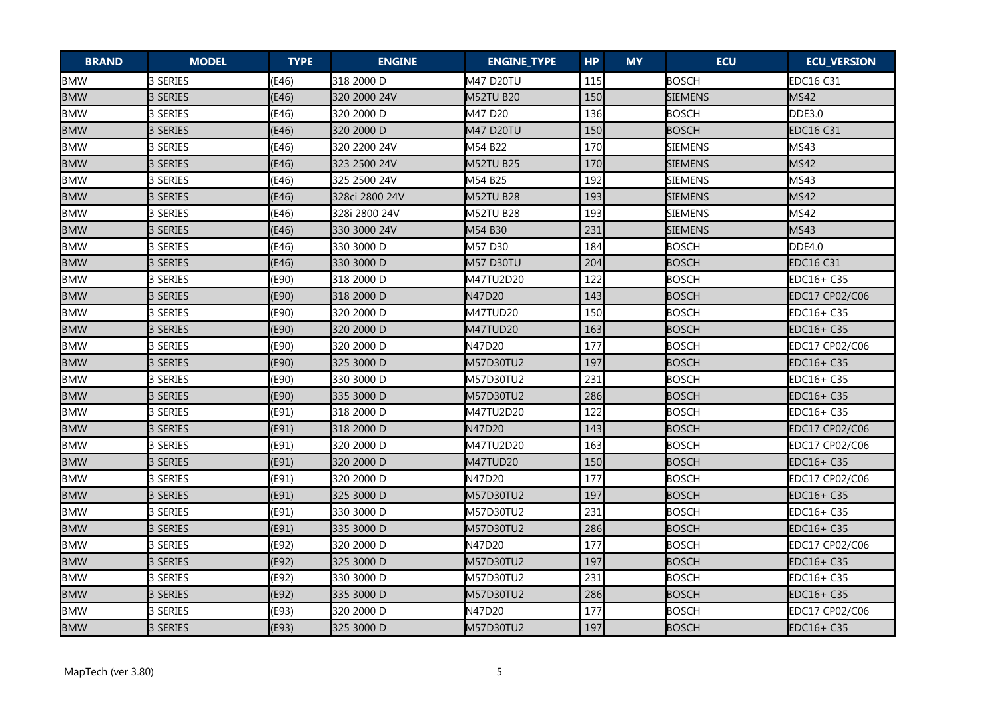| <b>BRAND</b> | <b>MODEL</b> | <b>TYPE</b> | <b>ENGINE</b>  | <b>ENGINE_TYPE</b> | <b>HP</b> | <b>MY</b> | <b>ECU</b>     | <b>ECU_VERSION</b> |
|--------------|--------------|-------------|----------------|--------------------|-----------|-----------|----------------|--------------------|
| <b>BMW</b>   | 3 SERIES     | (E46)       | 318 2000 D     | M47 D20TU          | 115       |           | <b>BOSCH</b>   | <b>EDC16 C31</b>   |
| <b>BMW</b>   | 3 SERIES     | (E46)       | 320 2000 24V   | M52TU B20          | 150       |           | <b>SIEMENS</b> | <b>MS42</b>        |
| <b>BMW</b>   | 3 SERIES     | (E46)       | 320 2000 D     | M47 D20            | 136       |           | <b>BOSCH</b>   | <b>DDE3.0</b>      |
| <b>BMW</b>   | 3 SERIES     | (E46)       | 320 2000 D     | M47 D20TU          | 150       |           | <b>BOSCH</b>   | <b>EDC16 C31</b>   |
| <b>BMW</b>   | 3 SERIES     | (E46)       | 320 2200 24V   | M54 B22            | 170       |           | <b>SIEMENS</b> | MS43               |
| <b>BMW</b>   | 3 SERIES     | (E46)       | 323 2500 24V   | <b>M52TU B25</b>   | 170       |           | <b>SIEMENS</b> | <b>MS42</b>        |
| <b>BMW</b>   | 3 SERIES     | (E46)       | 325 2500 24V   | M54 B25            | 192       |           | <b>SIEMENS</b> | MS43               |
| <b>BMW</b>   | 3 SERIES     | (E46)       | 328ci 2800 24V | M52TU B28          | 193       |           | <b>SIEMENS</b> | <b>MS42</b>        |
| <b>BMW</b>   | 3 SERIES     | (E46)       | 328i 2800 24V  | <b>M52TU B28</b>   | 193       |           | <b>SIEMENS</b> | MS42               |
| <b>BMW</b>   | 3 SERIES     | (E46)       | 330 3000 24V   | M54 B30            | 231       |           | <b>SIEMENS</b> | <b>MS43</b>        |
| <b>BMW</b>   | 3 SERIES     | (E46)       | 330 3000 D     | M57 D30            | 184       |           | <b>BOSCH</b>   | DDE4.0             |
| <b>BMW</b>   | 3 SERIES     | (E46)       | 330 3000 D     | <b>M57 D30TU</b>   | 204       |           | <b>BOSCH</b>   | <b>EDC16 C31</b>   |
| <b>BMW</b>   | 3 SERIES     | (E90)       | 318 2000 D     | M47TU2D20          | 122       |           | <b>BOSCH</b>   | EDC16+ C35         |
| <b>BMW</b>   | 3 SERIES     | (E90)       | 318 2000 D     | N47D20             | 143       |           | <b>BOSCH</b>   | EDC17 CP02/C06     |
| <b>BMW</b>   | 3 SERIES     | (E90)       | 320 2000 D     | M47TUD20           | 150       |           | <b>BOSCH</b>   | EDC16+ C35         |
| <b>BMW</b>   | 3 SERIES     | (E90)       | 320 2000 D     | M47TUD20           | 163       |           | <b>BOSCH</b>   | EDC16+ C35         |
| <b>BMW</b>   | 3 SERIES     | (E90)       | 320 2000 D     | N47D20             | 177       |           | <b>BOSCH</b>   | EDC17 CP02/C06     |
| <b>BMW</b>   | 3 SERIES     | (E90)       | 325 3000 D     | M57D30TU2          | 197       |           | <b>BOSCH</b>   | EDC16+ C35         |
| <b>BMW</b>   | 3 SERIES     | (E90)       | 330 3000 D     | M57D30TU2          | 231       |           | <b>BOSCH</b>   | EDC16+ C35         |
| <b>BMW</b>   | 3 SERIES     | (E90)       | 335 3000 D     | M57D30TU2          | 286       |           | <b>BOSCH</b>   | EDC16+ C35         |
| <b>BMW</b>   | 3 SERIES     | (E91)       | 318 2000 D     | M47TU2D20          | 122       |           | <b>BOSCH</b>   | EDC16+ C35         |
| <b>BMW</b>   | 3 SERIES     | (E91)       | 318 2000 D     | N47D20             | 143       |           | <b>BOSCH</b>   | EDC17 CP02/C06     |
| <b>BMW</b>   | 3 SERIES     | (E91)       | 320 2000 D     | M47TU2D20          | 163       |           | <b>BOSCH</b>   | EDC17 CP02/C06     |
| <b>BMW</b>   | 3 SERIES     | (E91)       | 320 2000 D     | M47TUD20           | 150       |           | <b>BOSCH</b>   | EDC16+ C35         |
| <b>BMW</b>   | 3 SERIES     | (E91)       | 320 2000 D     | N47D20             | 177       |           | <b>BOSCH</b>   | EDC17 CP02/C06     |
| <b>BMW</b>   | 3 SERIES     | (E91)       | 325 3000 D     | M57D30TU2          | 197       |           | <b>BOSCH</b>   | EDC16+ C35         |
| <b>BMW</b>   | 3 SERIES     | (E91)       | 330 3000 D     | M57D30TU2          | 231       |           | <b>BOSCH</b>   | EDC16+ C35         |
| <b>BMW</b>   | 3 SERIES     | (E91)       | 335 3000 D     | M57D30TU2          | 286       |           | <b>BOSCH</b>   | EDC16+ C35         |
| <b>BMW</b>   | 3 SERIES     | (E92)       | 320 2000 D     | N47D20             | 177       |           | <b>BOSCH</b>   | EDC17 CP02/C06     |
| <b>BMW</b>   | 3 SERIES     | (E92)       | 325 3000 D     | M57D30TU2          | 197       |           | <b>BOSCH</b>   | EDC16+ C35         |
| <b>BMW</b>   | 3 SERIES     | (E92)       | 330 3000 D     | M57D30TU2          | 231       |           | <b>BOSCH</b>   | EDC16+ C35         |
| <b>BMW</b>   | 3 SERIES     | (E92)       | 335 3000 D     | M57D30TU2          | 286       |           | <b>BOSCH</b>   | EDC16+ C35         |
| <b>BMW</b>   | 3 SERIES     | (E93)       | 320 2000 D     | N47D20             | 177       |           | <b>BOSCH</b>   | EDC17 CP02/C06     |
| <b>BMW</b>   | 3 SERIES     | (E93)       | 325 3000 D     | M57D30TU2          | 197       |           | <b>BOSCH</b>   | EDC16+ C35         |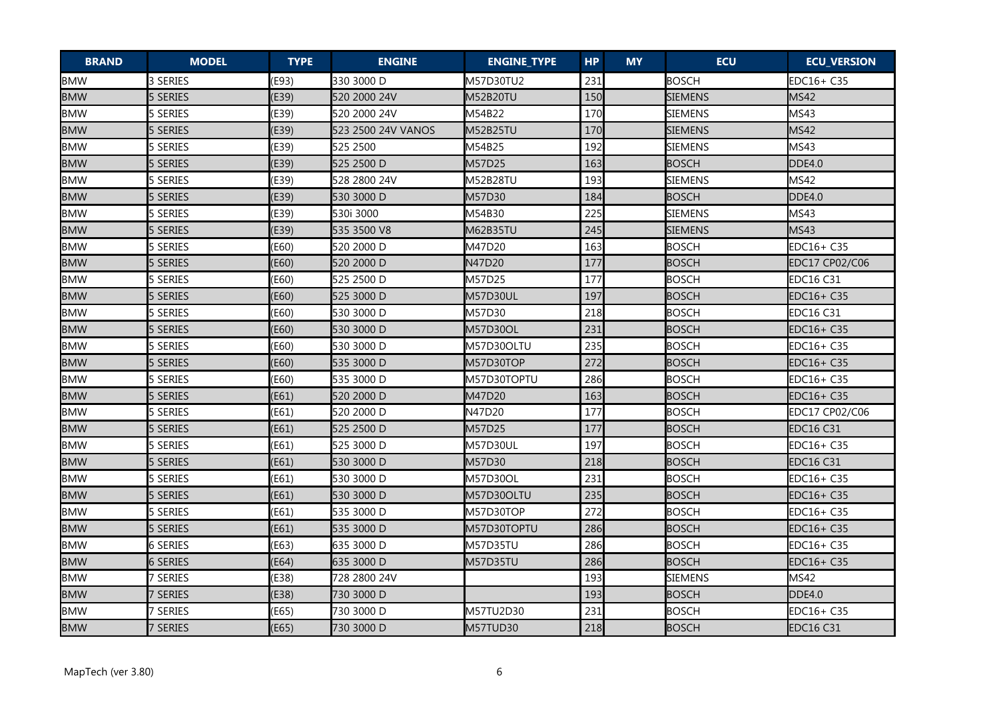| <b>BRAND</b> | <b>MODEL</b>    | <b>TYPE</b> | <b>ENGINE</b>      | <b>ENGINE_TYPE</b> | <b>HP</b> | <b>MY</b> | <b>ECU</b>     | <b>ECU_VERSION</b> |
|--------------|-----------------|-------------|--------------------|--------------------|-----------|-----------|----------------|--------------------|
| <b>BMW</b>   | 3 SERIES        | (E93)       | 330 3000 D         | M57D30TU2          | 231       |           | <b>BOSCH</b>   | EDC16+ C35         |
| <b>BMW</b>   | 5 SERIES        | (E39)       | 520 2000 24V       | M52B20TU           | 150       |           | <b>SIEMENS</b> | <b>MS42</b>        |
| <b>BMW</b>   | 5 SERIES        | (E39)       | 520 2000 24V       | M54B22             | 170       |           | <b>SIEMENS</b> | MS43               |
| <b>BMW</b>   | 5 SERIES        | (E39)       | 523 2500 24V VANOS | M52B25TU           | 170       |           | SIEMENS        | <b>MS42</b>        |
| <b>BMW</b>   | 5 SERIES        | (E39)       | 525 2500           | M54B25             | 192       |           | <b>SIEMENS</b> | MS43               |
| <b>BMW</b>   | 5 SERIES        | (E39)       | 525 2500 D         | M57D25             | 163       |           | <b>BOSCH</b>   | <b>DDE4.0</b>      |
| <b>BMW</b>   | 5 SERIES        | (E39)       | 528 2800 24V       | <b>M52B28TU</b>    | 193       |           | <b>SIEMENS</b> | <b>MS42</b>        |
| <b>BMW</b>   | 5 SERIES        | (E39)       | 530 3000 D         | M57D30             | 184       |           | <b>BOSCH</b>   | <b>DDE4.0</b>      |
| <b>BMW</b>   | 5 SERIES        | (E39)       | 530i 3000          | M54B30             | 225       |           | <b>SIEMENS</b> | MS43               |
| <b>BMW</b>   | 5 SERIES        | (E39)       | 535 3500 V8        | M62B35TU           | 245       |           | <b>SIEMENS</b> | <b>MS43</b>        |
| <b>BMW</b>   | 5 SERIES        | (E60)       | 520 2000 D         | M47D20             | 163       |           | <b>BOSCH</b>   | EDC16+ C35         |
| <b>BMW</b>   | 5 SERIES        | (E60)       | 520 2000 D         | N47D20             | 177       |           | <b>BOSCH</b>   | EDC17 CP02/C06     |
| <b>BMW</b>   | 5 SERIES        | (E60)       | 525 2500 D         | M57D25             | 177       |           | <b>BOSCH</b>   | EDC16 C31          |
| <b>BMW</b>   | 5 SERIES        | (E60)       | 525 3000 D         | <b>M57D30UL</b>    | 197       |           | <b>BOSCH</b>   | EDC16+ C35         |
| <b>BMW</b>   | 5 SERIES        | (E60)       | 530 3000 D         | M57D30             | 218       |           | <b>BOSCH</b>   | <b>EDC16 C31</b>   |
| <b>BMW</b>   | 5 SERIES        | (E60)       | 530 3000 D         | M57D30OL           | 231       |           | <b>BOSCH</b>   | EDC16+ C35         |
| <b>BMW</b>   | 5 SERIES        | (E60)       | 530 3000 D         | M57D30OLTU         | 235       |           | <b>BOSCH</b>   | EDC16+ C35         |
| <b>BMW</b>   | 5 SERIES        | (E60)       | 535 3000 D         | M57D30TOP          | 272       |           | <b>BOSCH</b>   | EDC16+ C35         |
| <b>BMW</b>   | 5 SERIES        | (E60)       | 535 3000 D         | M57D30TOPTU        | 286       |           | <b>BOSCH</b>   | EDC16+ C35         |
| <b>BMW</b>   | 5 SERIES        | (E61)       | 520 2000 D         | M47D20             | 163       |           | <b>BOSCH</b>   | EDC16+ C35         |
| <b>BMW</b>   | 5 SERIES        | (E61)       | 520 2000 D         | N47D20             | 177       |           | <b>BOSCH</b>   | EDC17 CP02/C06     |
| <b>BMW</b>   | 5 SERIES        | (E61)       | 525 2500 D         | M57D25             | 177       |           | <b>BOSCH</b>   | <b>EDC16 C31</b>   |
| <b>BMW</b>   | 5 SERIES        | (E61)       | 525 3000 D         | M57D30UL           | 197       |           | <b>BOSCH</b>   | EDC16+ C35         |
| <b>BMW</b>   | 5 SERIES        | (E61)       | 530 3000 D         | M57D30             | 218       |           | <b>BOSCH</b>   | <b>EDC16 C31</b>   |
| <b>BMW</b>   | 5 SERIES        | (E61)       | 530 3000 D         | M57D30OL           | 231       |           | <b>BOSCH</b>   | EDC16+ C35         |
| <b>BMW</b>   | 5 SERIES        | (E61)       | 530 3000 D         | M57D30OLTU         | 235       |           | <b>BOSCH</b>   | EDC16+ C35         |
| <b>BMW</b>   | 5 SERIES        | (E61)       | 535 3000 D         | M57D30TOP          | 272       |           | <b>BOSCH</b>   | EDC16+ C35         |
| <b>BMW</b>   | 5 SERIES        | (E61)       | 535 3000 D         | M57D30TOPTU        | 286       |           | <b>BOSCH</b>   | EDC16+ C35         |
| <b>BMW</b>   | <b>6 SERIES</b> | (E63)       | 635 3000 D         | M57D35TU           | 286       |           | <b>BOSCH</b>   | EDC16+ C35         |
| <b>BMW</b>   | <b>6 SERIES</b> | (E64)       | 635 3000 D         | <b>M57D35TU</b>    | 286       |           | <b>BOSCH</b>   | EDC16+ C35         |
| <b>BMW</b>   | 7 SERIES        | (E38)       | 728 2800 24V       |                    | 193       |           | <b>SIEMENS</b> | <b>MS42</b>        |
| <b>BMW</b>   | 7 SERIES        | (E38)       | 730 3000 D         |                    | 193       |           | <b>BOSCH</b>   | DDE4.0             |
| <b>BMW</b>   | 7 SERIES        | (E65)       | 730 3000 D         | M57TU2D30          | 231       |           | <b>BOSCH</b>   | EDC16+ C35         |
| <b>BMW</b>   | 7 SERIES        | (E65)       | 730 3000 D         | M57TUD30           | 218       |           | <b>BOSCH</b>   | <b>EDC16 C31</b>   |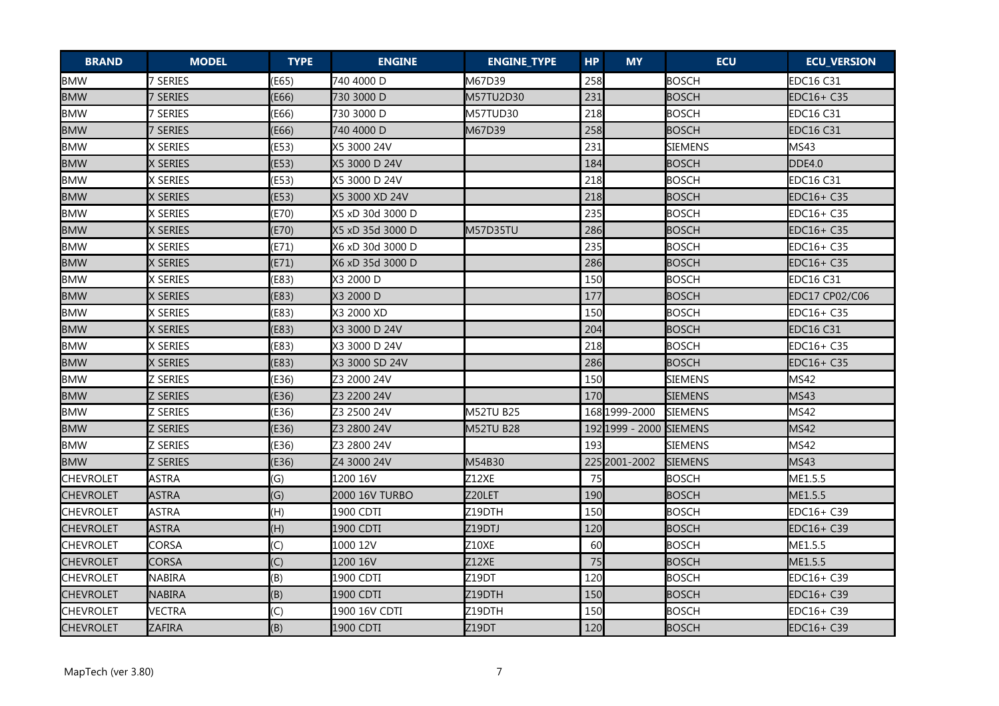| <b>BRAND</b>     | <b>MODEL</b>    | <b>TYPE</b> | <b>ENGINE</b>    | <b>ENGINE_TYPE</b> | <b>HP</b> | <b>MY</b>               | <b>ECU</b>     | <b>ECU_VERSION</b> |
|------------------|-----------------|-------------|------------------|--------------------|-----------|-------------------------|----------------|--------------------|
| <b>BMW</b>       | 7 SERIES        | (E65)       | 740 4000 D       | M67D39             | 258       |                         | <b>BOSCH</b>   | <b>EDC16 C31</b>   |
| <b>BMW</b>       | 7 SERIES        | (E66)       | 730 3000 D       | M57TU2D30          | 231       |                         | <b>BOSCH</b>   | EDC16+ C35         |
| <b>BMW</b>       | 7 SERIES        | (E66)       | 730 3000 D       | M57TUD30           | 218       |                         | <b>BOSCH</b>   | <b>EDC16 C31</b>   |
| <b>BMW</b>       | 7 SERIES        | (E66)       | 740 4000 D       | M67D39             | 258       |                         | <b>BOSCH</b>   | <b>EDC16 C31</b>   |
| <b>BMW</b>       | X SERIES        | (E53)       | X5 3000 24V      |                    | 231       |                         | <b>SIEMENS</b> | MS43               |
| <b>BMW</b>       | X SERIES        | (E53)       | X5 3000 D 24V    |                    | 184       |                         | <b>BOSCH</b>   | <b>DDE4.0</b>      |
| <b>BMW</b>       | X SERIES        | (E53)       | X5 3000 D 24V    |                    | 218       |                         | <b>BOSCH</b>   | <b>EDC16 C31</b>   |
| <b>BMW</b>       | X SERIES        | (E53)       | X5 3000 XD 24V   |                    | 218       |                         | <b>BOSCH</b>   | EDC16+ C35         |
| <b>BMW</b>       | X SERIES        | (E70)       | X5 xD 30d 3000 D |                    | 235       |                         | <b>BOSCH</b>   | EDC16+ C35         |
| <b>BMW</b>       | X SERIES        | (E70)       | X5 xD 35d 3000 D | <b>M57D35TU</b>    | 286       |                         | <b>BOSCH</b>   | EDC16+ C35         |
| <b>BMW</b>       | X SERIES        | (E71)       | X6 xD 30d 3000 D |                    | 235       |                         | <b>BOSCH</b>   | EDC16+ C35         |
| <b>BMW</b>       | X SERIES        | (E71)       | X6 xD 35d 3000 D |                    | 286       |                         | <b>BOSCH</b>   | EDC16+ C35         |
| <b>BMW</b>       | X SERIES        | (E83)       | X3 2000 D        |                    | 150       |                         | <b>BOSCH</b>   | <b>EDC16 C31</b>   |
| <b>BMW</b>       | X SERIES        | (E83)       | X3 2000 D        |                    | 177       |                         | <b>BOSCH</b>   | EDC17 CP02/C06     |
| <b>BMW</b>       | X SERIES        | (E83)       | X3 2000 XD       |                    | 150       |                         | <b>BOSCH</b>   | EDC16+ C35         |
| <b>BMW</b>       | X SERIES        | (E83)       | X3 3000 D 24V    |                    | 204       |                         | <b>BOSCH</b>   | <b>EDC16 C31</b>   |
| <b>BMW</b>       | X SERIES        | (E83)       | X3 3000 D 24V    |                    | 218       |                         | <b>BOSCH</b>   | EDC16+ C35         |
| <b>BMW</b>       | X SERIES        | (E83)       | X3 3000 SD 24V   |                    | 286       |                         | <b>BOSCH</b>   | EDC16+ C35         |
| <b>BMW</b>       | <b>Z SERIES</b> | (E36)       | Z3 2000 24V      |                    | 150       |                         | <b>SIEMENS</b> | MS42               |
| <b>BMW</b>       | <b>Z SERIES</b> | (E36)       | Z3 2200 24V      |                    | 170       |                         | <b>SIEMENS</b> | <b>MS43</b>        |
| <b>BMW</b>       | Z SERIES        | (E36)       | Z3 2500 24V      | <b>M52TU B25</b>   |           | 168 1999-2000           | <b>SIEMENS</b> | <b>MS42</b>        |
| <b>BMW</b>       | Z SERIES        | (E36)       | Z3 2800 24V      | M52TU B28          |           | 192 1999 - 2000 SIEMENS |                | <b>MS42</b>        |
| <b>BMW</b>       | <b>Z SERIES</b> | (E36)       | Z3 2800 24V      |                    | 193       |                         | <b>SIEMENS</b> | <b>MS42</b>        |
| <b>BMW</b>       | <b>Z SERIES</b> | (E36)       | Z4 3000 24V      | M54B30             |           | 225 2001 - 2002         | <b>SIEMENS</b> | <b>MS43</b>        |
| <b>CHEVROLET</b> | <b>ASTRA</b>    | (G)         | 1200 16V         | Z12XE              | 75        |                         | <b>BOSCH</b>   | ME1.5.5            |
| <b>CHEVROLET</b> | <b>ASTRA</b>    | (G)         | 2000 16V TURBO   | Z20LET             | 190       |                         | <b>BOSCH</b>   | ME1.5.5            |
| <b>CHEVROLET</b> | <b>ASTRA</b>    | (H)         | 1900 CDTI        | Z19DTH             | 150       |                         | <b>BOSCH</b>   | EDC16+ C39         |
| <b>CHEVROLET</b> | <b>ASTRA</b>    | (H)         | 1900 CDTI        | Z19DTJ             | 120       |                         | <b>BOSCH</b>   | EDC16+ C39         |
| <b>CHEVROLET</b> | CORSA           | (C)         | 1000 12V         | <b>Z10XE</b>       | 60        |                         | <b>BOSCH</b>   | ME1.5.5            |
| <b>CHEVROLET</b> | <b>CORSA</b>    | (C)         | 1200 16V         | Z12XE              | 75        |                         | <b>BOSCH</b>   | ME1.5.5            |
| <b>CHEVROLET</b> | NABIRA          | (B)         | 1900 CDTI        | Z19DT              | 120       |                         | <b>BOSCH</b>   | EDC16+ C39         |
| <b>CHEVROLET</b> | NABIRA          | (B)         | 1900 CDTI        | Z19DTH             | 150       |                         | <b>BOSCH</b>   | EDC16+ C39         |
| <b>CHEVROLET</b> | <b>VECTRA</b>   | (C)         | 1900 16V CDTI    | Z19DTH             | 150       |                         | <b>BOSCH</b>   | EDC16+ C39         |
| <b>CHEVROLET</b> | ZAFIRA          | (B)         | 1900 CDTI        | Z19DT              | 120       |                         | <b>BOSCH</b>   | EDC16+ C39         |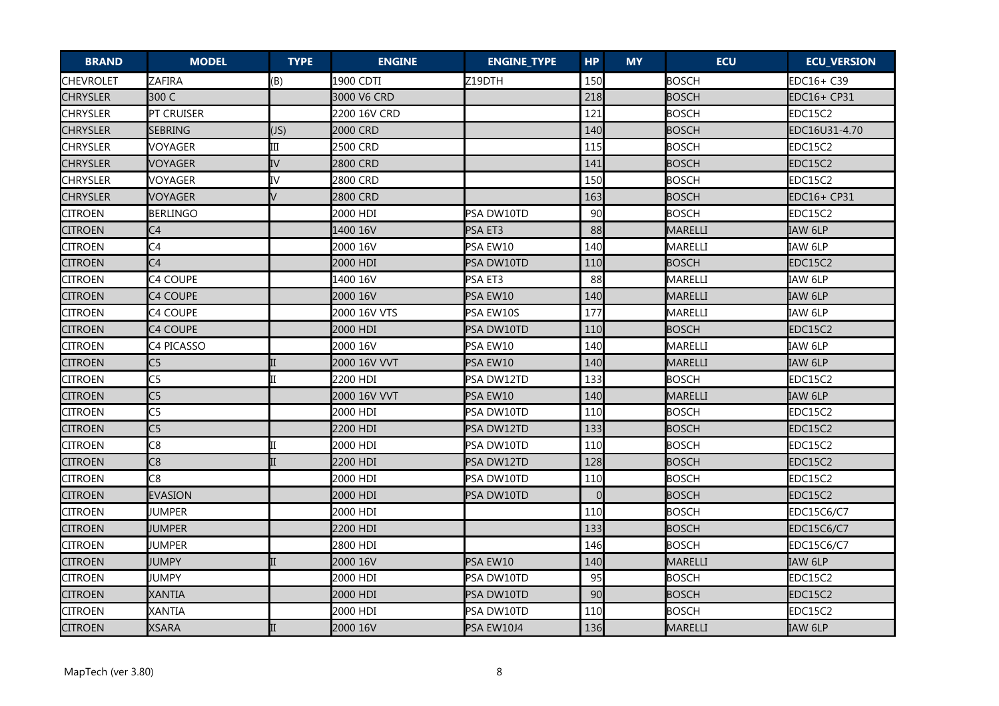| <b>BRAND</b>     | <b>MODEL</b>    | <b>TYPE</b> | <b>ENGINE</b> | <b>ENGINE_TYPE</b> | <b>HP</b> | <b>MY</b> | <b>ECU</b>   | <b>ECU_VERSION</b> |
|------------------|-----------------|-------------|---------------|--------------------|-----------|-----------|--------------|--------------------|
| <b>CHEVROLET</b> | <b>ZAFIRA</b>   | (B)         | 1900 CDTI     | Z19DTH             | 150       |           | <b>BOSCH</b> | EDC16+ C39         |
| <b>CHRYSLER</b>  | 300 C           |             | 3000 V6 CRD   |                    | 218       |           | <b>BOSCH</b> | EDC16+ CP31        |
| <b>CHRYSLER</b>  | PT CRUISER      |             | 2200 16V CRD  |                    | 121       |           | <b>BOSCH</b> | EDC15C2            |
| <b>CHRYSLER</b>  | SEBRING         | (JS)        | 2000 CRD      |                    | 140       |           | <b>BOSCH</b> | EDC16U31-4.70      |
| <b>CHRYSLER</b>  | VOYAGER         | III         | 2500 CRD      |                    | 115       |           | <b>BOSCH</b> | EDC15C2            |
| <b>CHRYSLER</b>  | <b>VOYAGER</b>  | IV          | 2800 CRD      |                    | 141       |           | <b>BOSCH</b> | <b>EDC15C2</b>     |
| <b>CHRYSLER</b>  | <b>VOYAGER</b>  | IV          | 2800 CRD      |                    | 150       |           | <b>BOSCH</b> | EDC15C2            |
| <b>CHRYSLER</b>  | <b>VOYAGER</b>  | $\vee$      | 2800 CRD      |                    | 163       |           | <b>BOSCH</b> | EDC16+ CP31        |
| <b>CITROEN</b>   | <b>BERLINGO</b> |             | 2000 HDI      | PSA DW10TD         | 90        |           | <b>BOSCH</b> | EDC15C2            |
| <b>CITROEN</b>   | C <sub>4</sub>  |             | 1400 16V      | PSA ET3            | 88        |           | MARELLI      | IAW 6LP            |
| <b>CITROEN</b>   | C4              |             | 2000 16V      | PSA EW10           | 140       |           | MARELLI      | IAW 6LP            |
| <b>CITROEN</b>   | C <sub>4</sub>  |             | 2000 HDI      | PSA DW10TD         | 110       |           | <b>BOSCH</b> | EDC15C2            |
| <b>CITROEN</b>   | C4 COUPE        |             | 1400 16V      | PSA ET3            | 88        |           | MARELLI      | IAW 6LP            |
| <b>CITROEN</b>   | C4 COUPE        |             | 2000 16V      | PSA EW10           | 140       |           | MARELLI      | IAW 6LP            |
| <b>CITROEN</b>   | C4 COUPE        |             | 2000 16V VTS  | PSA EW10S          | 177       |           | MARELLI      | IAW 6LP            |
| <b>CITROEN</b>   | C4 COUPE        |             | 2000 HDI      | PSA DW10TD         | 110       |           | <b>BOSCH</b> | EDC15C2            |
| <b>CITROEN</b>   | C4 PICASSO      |             | 2000 16V      | PSA EW10           | 140       |           | MARELLI      | IAW 6LP            |
| <b>CITROEN</b>   | C <sub>5</sub>  |             | 2000 16V VVT  | PSA EW10           | 140       |           | MARELLI      | IAW 6LP            |
| <b>CITROEN</b>   | C <sub>5</sub>  |             | 2200 HDI      | PSA DW12TD         | 133       |           | <b>BOSCH</b> | EDC15C2            |
| <b>CITROEN</b>   | C <sub>5</sub>  |             | 2000 16V VVT  | PSA EW10           | 140       |           | MARELLI      | IAW 6LP            |
| <b>CITROEN</b>   | C <sub>5</sub>  |             | 2000 HDI      | PSA DW10TD         | 110       |           | <b>BOSCH</b> | EDC15C2            |
| <b>CITROEN</b>   | C <sub>5</sub>  |             | 2200 HDI      | PSA DW12TD         | 133       |           | <b>BOSCH</b> | EDC15C2            |
| <b>CITROEN</b>   | C8              |             | 2000 HDI      | PSA DW10TD         | 110       |           | <b>BOSCH</b> | EDC15C2            |
| <b>CITROEN</b>   | C8              |             | 2200 HDI      | PSA DW12TD         | 128       |           | <b>BOSCH</b> | EDC15C2            |
| <b>CITROEN</b>   | C8              |             | 2000 HDI      | PSA DW10TD         | 110       |           | <b>BOSCH</b> | EDC15C2            |
| <b>CITROEN</b>   | <b>EVASION</b>  |             | 2000 HDI      | PSA DW10TD         | $\Omega$  |           | <b>BOSCH</b> | EDC15C2            |
| <b>CITROEN</b>   | <b>JUMPER</b>   |             | 2000 HDI      |                    | 110       |           | <b>BOSCH</b> | EDC15C6/C7         |
| <b>CITROEN</b>   | <b>JUMPER</b>   |             | 2200 HDI      |                    | 133       |           | <b>BOSCH</b> | EDC15C6/C7         |
| <b>CITROEN</b>   | <b>JUMPER</b>   |             | 2800 HDI      |                    | 146       |           | <b>BOSCH</b> | <b>EDC15C6/C7</b>  |
| <b>CITROEN</b>   | JUMPY           |             | 2000 16V      | PSA EW10           | 140       |           | MARELLI      | IAW 6LP            |
| <b>CITROEN</b>   | JUMPY           |             | 2000 HDI      | PSA DW10TD         | 95        |           | <b>BOSCH</b> | EDC15C2            |
| <b>CITROEN</b>   | <b>XANTIA</b>   |             | 2000 HDI      | PSA DW10TD         | 90        |           | <b>BOSCH</b> | EDC15C2            |
| <b>CITROEN</b>   | <b>XANTIA</b>   |             | 2000 HDI      | PSA DW10TD         | 110       |           | <b>BOSCH</b> | EDC15C2            |
| <b>CITROEN</b>   | <b>XSARA</b>    |             | 2000 16V      | PSA EW10J4         | 136       |           | MARELLI      | IAW 6LP            |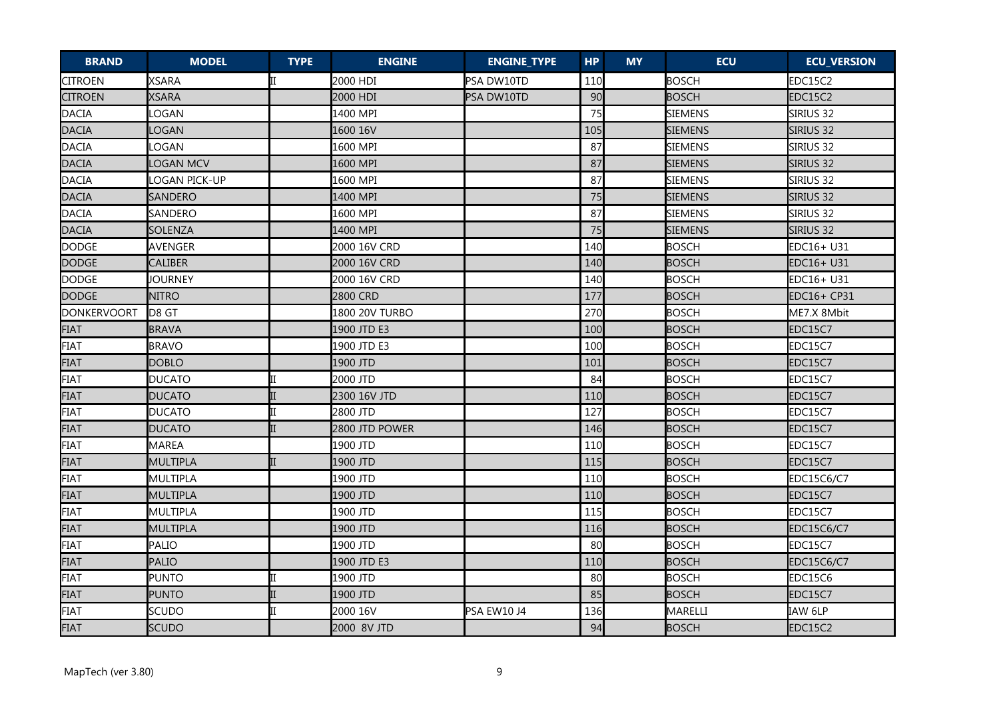| <b>BRAND</b>   | <b>MODEL</b>     | <b>TYPE</b> | <b>ENGINE</b>  | <b>ENGINE_TYPE</b> | <b>HP</b> | <b>MY</b> | <b>ECU</b>     | <b>ECU_VERSION</b> |
|----------------|------------------|-------------|----------------|--------------------|-----------|-----------|----------------|--------------------|
| <b>CITROEN</b> | <b>XSARA</b>     |             | 2000 HDI       | PSA DW10TD         | 110       |           | <b>BOSCH</b>   | EDC15C2            |
| <b>CITROEN</b> | <b>XSARA</b>     |             | 2000 HDI       | PSA DW10TD         | 90        |           | <b>BOSCH</b>   | EDC15C2            |
| <b>DACIA</b>   | <b>OGAN</b>      |             | 1400 MPI       |                    | 75        |           | <b>SIEMENS</b> | SIRIUS 32          |
| <b>DACIA</b>   | LOGAN            |             | 1600 16V       |                    | 105       |           | <b>SIEMENS</b> | sirius 32          |
| <b>DACIA</b>   | LOGAN            |             | 1600 MPI       |                    | 87        |           | <b>SIEMENS</b> | SIRIUS 32          |
| <b>DACIA</b>   | <b>LOGAN MCV</b> |             | 1600 MPI       |                    | 87        |           | <b>SIEMENS</b> | SIRIUS 32          |
| DACIA          | LOGAN PICK-UP    |             | 1600 MPI       |                    | 87        |           | <b>SIEMENS</b> | SIRIUS 32          |
| <b>DACIA</b>   | <b>SANDERO</b>   |             | 1400 MPI       |                    | 75        |           | <b>SIEMENS</b> | SIRIUS 32          |
| DACIA          | <b>SANDERO</b>   |             | 1600 MPI       |                    | 87        |           | <b>SIEMENS</b> | SIRIUS 32          |
| <b>DACIA</b>   | SOLENZA          |             | 1400 MPI       |                    | 75        |           | <b>SIEMENS</b> | SIRIUS 32          |
| <b>DODGE</b>   | AVENGER          |             | 2000 16V CRD   |                    | 140       |           | <b>BOSCH</b>   | EDC16+ U31         |
| <b>DODGE</b>   | CALIBER          |             | 2000 16V CRD   |                    | 140       |           | <b>BOSCH</b>   | EDC16+ U31         |
| <b>DODGE</b>   | JOURNEY          |             | 2000 16V CRD   |                    | 140       |           | <b>BOSCH</b>   | EDC16+ U31         |
| <b>DODGE</b>   | <b>NITRO</b>     |             | 2800 CRD       |                    | 177       |           | <b>BOSCH</b>   | EDC16+ CP31        |
| DONKERVOORT    | D8 GT            |             | 1800 20V TURBO |                    | 270       |           | <b>BOSCH</b>   | ME7.X 8Mbit        |
| <b>FIAT</b>    | <b>BRAVA</b>     |             | 1900 JTD E3    |                    | 100       |           | <b>BOSCH</b>   | EDC15C7            |
| <b>FIAT</b>    | <b>BRAVO</b>     |             | 1900 JTD E3    |                    | 100       |           | <b>BOSCH</b>   | EDC15C7            |
| <b>FIAT</b>    | <b>DOBLO</b>     |             | 1900 JTD       |                    | 101       |           | <b>BOSCH</b>   | EDC15C7            |
| FIAT           | <b>DUCATO</b>    |             | 2000 JTD       |                    | 84        |           | <b>BOSCH</b>   | EDC15C7            |
| <b>FIAT</b>    | <b>DUCATO</b>    |             | 2300 16V JTD   |                    | 110       |           | <b>BOSCH</b>   | EDC15C7            |
| FIAT           | DUCATO           |             | 2800 JTD       |                    | 127       |           | <b>BOSCH</b>   | EDC15C7            |
| <b>FIAT</b>    | <b>DUCATO</b>    |             | 2800 JTD POWER |                    | 146       |           | <b>BOSCH</b>   | EDC15C7            |
| <b>FIAT</b>    | MAREA            |             | 1900 JTD       |                    | 110       |           | <b>BOSCH</b>   | EDC15C7            |
| <b>FIAT</b>    | <b>MULTIPLA</b>  |             | 1900 JTD       |                    | 115       |           | <b>BOSCH</b>   | EDC15C7            |
| FIAT           | <b>MULTIPLA</b>  |             | 1900 JTD       |                    | 110       |           | <b>BOSCH</b>   | <b>EDC15C6/C7</b>  |
| <b>FIAT</b>    | <b>MULTIPLA</b>  |             | 1900 JTD       |                    | 110       |           | <b>BOSCH</b>   | EDC15C7            |
| FIAT           | MULTIPLA         |             | 1900 JTD       |                    | 115       |           | <b>BOSCH</b>   | EDC15C7            |
| <b>FIAT</b>    | MULTIPLA         |             | 1900 JTD       |                    | 116       |           | <b>BOSCH</b>   | <b>EDC15C6/C7</b>  |
| FIAT           | PALIO            |             | 1900 JTD       |                    | 80        |           | <b>BOSCH</b>   | EDC15C7            |
| <b>FIAT</b>    | <b>PALIO</b>     |             | 1900 JTD E3    |                    | 110       |           | <b>BOSCH</b>   | <b>EDC15C6/C7</b>  |
| <b>FIAT</b>    | <b>PUNTO</b>     |             | 1900 JTD       |                    | 80        |           | <b>BOSCH</b>   | EDC15C6            |
| <b>FIAT</b>    | <b>PUNTO</b>     |             | 1900 JTD       |                    | 85        |           | <b>BOSCH</b>   | EDC15C7            |
| <b>FIAT</b>    | <b>SCUDO</b>     |             | 2000 16V       | PSA EW10 J4        | 136       |           | MARELLI        | IAW 6LP            |
| <b>FIAT</b>    | <b>SCUDO</b>     |             | 2000 8V JTD    |                    | 94        |           | <b>BOSCH</b>   | EDC15C2            |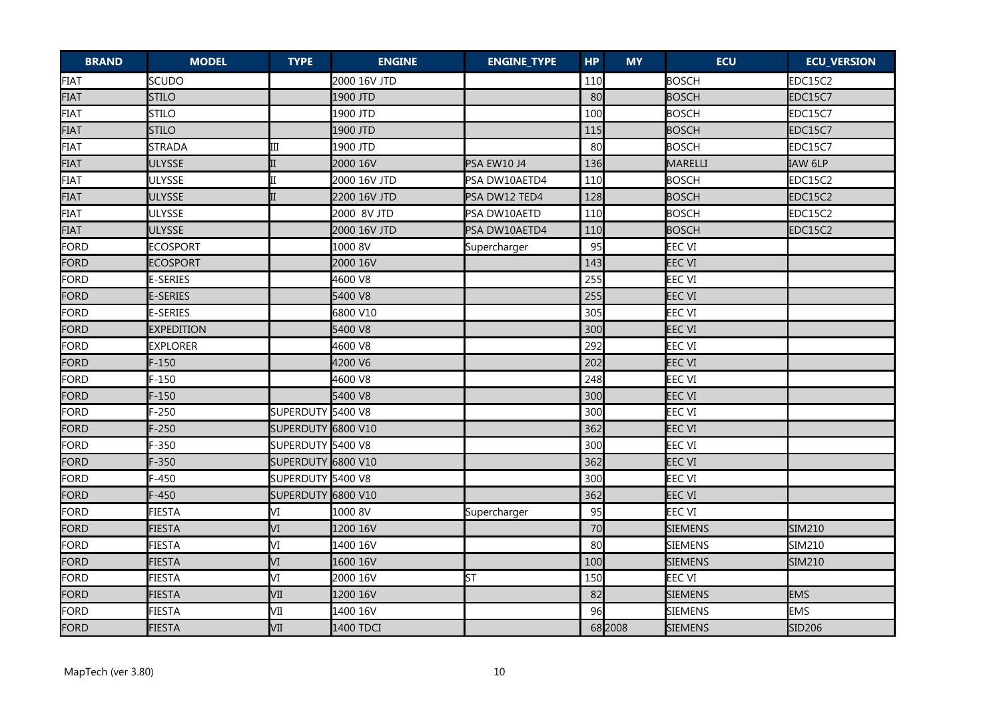| <b>BRAND</b> | <b>MODEL</b>      | <b>TYPE</b>        | <b>ENGINE</b> | <b>ENGINE_TYPE</b> | <b>HP</b> | <b>MY</b> | <b>ECU</b>     | <b>ECU_VERSION</b> |
|--------------|-------------------|--------------------|---------------|--------------------|-----------|-----------|----------------|--------------------|
| FIAT         | <b>SCUDO</b>      |                    | 2000 16V JTD  |                    | 110       |           | <b>BOSCH</b>   | EDC15C2            |
| <b>FIAT</b>  | <b>STILO</b>      |                    | 1900 JTD      |                    | 80        |           | <b>BOSCH</b>   | EDC15C7            |
| FIAT         | <b>STILO</b>      |                    | 1900 JTD      |                    | 100       |           | <b>BOSCH</b>   | EDC15C7            |
| <b>FIAT</b>  | <b>STILO</b>      |                    | 1900 JTD      |                    | 115       |           | <b>BOSCH</b>   | <b>EDC15C7</b>     |
| <b>FIAT</b>  | <b>STRADA</b>     | Ш                  | 1900 JTD      |                    | 80        |           | <b>BOSCH</b>   | EDC15C7            |
| <b>FIAT</b>  | <b>ULYSSE</b>     |                    | 2000 16V      | PSA EW10 J4        | 136       |           | MARELLI        | IAW 6LP            |
| FIAT         | <b>ULYSSE</b>     |                    | 2000 16V JTD  | PSA DW10AETD4      | 110       |           | <b>BOSCH</b>   | EDC15C2            |
| <b>FIAT</b>  | <b>ULYSSE</b>     |                    | 2200 16V JTD  | PSA DW12 TED4      | 128       |           | <b>BOSCH</b>   | EDC15C2            |
| FIAT         | <b>ULYSSE</b>     |                    | 2000 8V JTD   | PSA DW10AETD       | 110       |           | <b>BOSCH</b>   | EDC15C2            |
| <b>FIAT</b>  | <b>ULYSSE</b>     |                    | 2000 16V JTD  | PSA DW10AETD4      | 110       |           | <b>BOSCH</b>   | EDC15C2            |
| FORD         | <b>ECOSPORT</b>   |                    | 1000 8V       | Supercharger       | 95        |           | EEC VI         |                    |
| FORD         | <b>ECOSPORT</b>   |                    | 2000 16V      |                    | 143       |           | <b>EEC VI</b>  |                    |
| FORD         | <b>E-SERIES</b>   |                    | 4600 V8       |                    | 255       |           | EEC VI         |                    |
| FORD         | <b>E-SERIES</b>   |                    | 5400 V8       |                    | 255       |           | <b>EEC VI</b>  |                    |
| FORD         | <b>E-SERIES</b>   |                    | 6800 V10      |                    | 305       |           | EEC VI         |                    |
| FORD         | <b>EXPEDITION</b> |                    | 5400 V8       |                    | 300       |           | <b>EEC VI</b>  |                    |
| FORD         | <b>EXPLORER</b>   |                    | 4600 V8       |                    | 292       |           | <b>EEC VI</b>  |                    |
| FORD         | $F-150$           |                    | 4200 V6       |                    | 202       |           | <b>EEC VI</b>  |                    |
| FORD         | $F-150$           |                    | 4600 V8       |                    | 248       |           | <b>EEC VI</b>  |                    |
| FORD         | $F-150$           |                    | 5400 V8       |                    | 300       |           | <b>EEC VI</b>  |                    |
| FORD         | $F-250$           | SUPERDUTY 5400 V8  |               |                    | 300       |           | <b>EEC VI</b>  |                    |
| FORD         | $F-250$           | SUPERDUTY 6800 V10 |               |                    | 362       |           | <b>EEC VI</b>  |                    |
| FORD         | $F-350$           | SUPERDUTY 5400 V8  |               |                    | 300       |           | <b>EEC VI</b>  |                    |
| FORD         | $F-350$           | SUPERDUTY 6800 V10 |               |                    | 362       |           | <b>EEC VI</b>  |                    |
| FORD         | $F-450$           | SUPERDUTY 5400 V8  |               |                    | 300       |           | <b>EEC VI</b>  |                    |
| FORD         | $F-450$           | SUPERDUTY 6800 V10 |               |                    | 362       |           | <b>EEC VI</b>  |                    |
| FORD         | <b>FIESTA</b>     | М                  | 1000 8V       | Supercharger       | 95        |           | <b>EEC VI</b>  |                    |
| FORD         | <b>FIESTA</b>     | VI                 | 1200 16V      |                    | 70        |           | <b>SIEMENS</b> | <b>SIM210</b>      |
| FORD         | <b>FIESTA</b>     | VI                 | 1400 16V      |                    | 80        |           | <b>SIEMENS</b> | SIM210             |
| FORD         | <b>FIESTA</b>     | VI                 | 1600 16V      |                    | 100       |           | <b>SIEMENS</b> | SIM210             |
| FORD         | <b>FIESTA</b>     | VI                 | 2000 16V      | ST                 | 150       |           | EEC VI         |                    |
| FORD         | <b>FIESTA</b>     | VII                | 1200 16V      |                    | 82        |           | <b>SIEMENS</b> | <b>EMS</b>         |
| FORD         | <b>FIESTA</b>     | VII                | 1400 16V      |                    | 96        |           | <b>SIEMENS</b> | <b>EMS</b>         |
| FORD         | <b>FIESTA</b>     | VII                | 1400 TDCI     |                    |           | 68 2008   | <b>SIEMENS</b> | SID206             |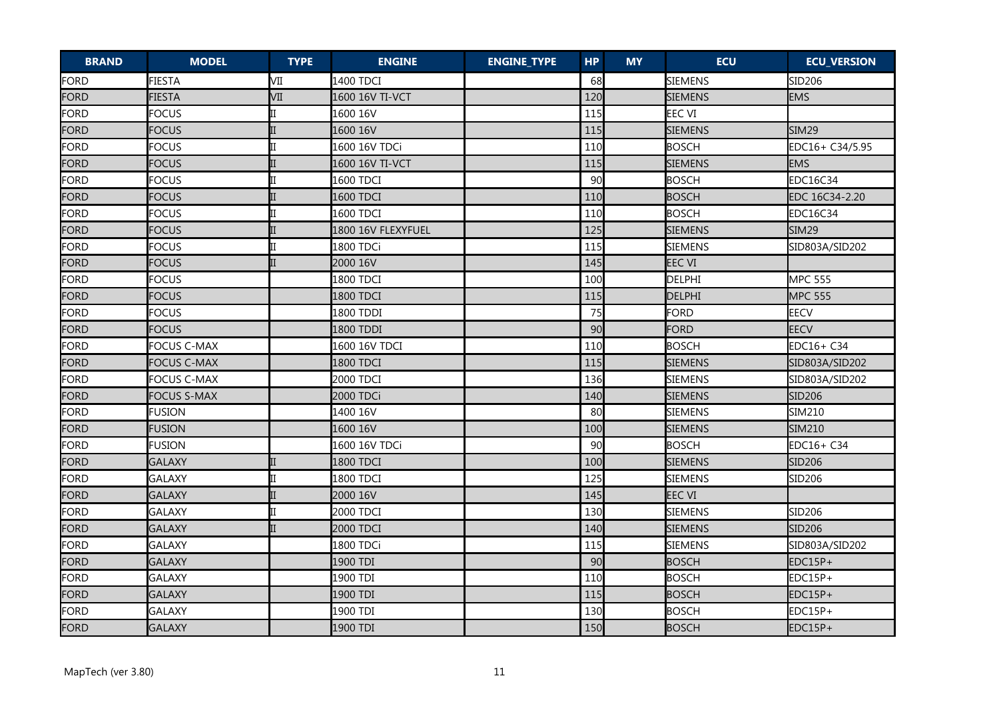| <b>BRAND</b> | <b>MODEL</b>       | <b>TYPE</b> | <b>ENGINE</b>      | <b>ENGINE_TYPE</b> | <b>HP</b> | <b>MY</b> | <b>ECU</b>     | <b>ECU_VERSION</b> |
|--------------|--------------------|-------------|--------------------|--------------------|-----------|-----------|----------------|--------------------|
| <b>FORD</b>  | <b>FIESTA</b>      | VII         | 1400 TDCI          |                    | 68        |           | SIEMENS        | SID206             |
| FORD         | <b>FIESTA</b>      | VII         | 1600 16V TI-VCT    |                    | 120       |           | <b>SIEMENS</b> | <b>EMS</b>         |
| FORD         | <b>FOCUS</b>       | Π           | 1600 16V           |                    | 115       |           | <b>EEC VI</b>  |                    |
| FORD         | <b>FOCUS</b>       |             | 1600 16V           |                    | 115       |           | <b>SIEMENS</b> | <b>SIM29</b>       |
| FORD         | <b>FOCUS</b>       |             | 1600 16V TDCi      |                    | 110       |           | <b>BOSCH</b>   | EDC16+ C34/5.95    |
| FORD         | <b>FOCUS</b>       |             | 1600 16V TI-VCT    |                    | 115       |           | <b>SIEMENS</b> | <b>EMS</b>         |
| FORD         | <b>FOCUS</b>       |             | 1600 TDCI          |                    | 90        |           | <b>BOSCH</b>   | <b>EDC16C34</b>    |
| FORD         | <b>FOCUS</b>       |             | 1600 TDCI          |                    | 110       |           | <b>BOSCH</b>   | EDC 16C34-2.20     |
| FORD         | FOCUS              | Π           | 1600 TDCI          |                    | 110       |           | <b>BOSCH</b>   | EDC16C34           |
| FORD         | <b>FOCUS</b>       | II          | 1800 16V FLEXYFUEL |                    | 125       |           | <b>SIEMENS</b> | <b>SIM29</b>       |
| FORD         | <b>FOCUS</b>       | Π           | 1800 TDCi          |                    | 115       |           | <b>SIEMENS</b> | SID803A/SID202     |
| FORD         | <b>FOCUS</b>       |             | 2000 16V           |                    | 145       |           | <b>EEC VI</b>  |                    |
| FORD         | FOCUS              |             | <b>1800 TDCI</b>   |                    | 100       |           | DELPHI         | <b>MPC 555</b>     |
| FORD         | <b>FOCUS</b>       |             | 1800 TDCI          |                    | 115       |           | <b>DELPHI</b>  | <b>MPC 555</b>     |
| FORD         | <b>FOCUS</b>       |             | 1800 TDDI          |                    | 75        |           | <b>FORD</b>    | <b>EECV</b>        |
| FORD         | <b>FOCUS</b>       |             | 1800 TDDI          |                    | 90        |           | <b>FORD</b>    | <b>EECV</b>        |
| FORD         | <b>FOCUS C-MAX</b> |             | 1600 16V TDCI      |                    | 110       |           | <b>BOSCH</b>   | EDC16+ C34         |
| FORD         | <b>FOCUS C-MAX</b> |             | 1800 TDCI          |                    | 115       |           | <b>SIEMENS</b> | SID803A/SID202     |
| FORD         | FOCUS C-MAX        |             | 2000 TDCI          |                    | 136       |           | <b>SIEMENS</b> | SID803A/SID202     |
| FORD         | <b>FOCUS S-MAX</b> |             | 2000 TDCi          |                    | 140       |           | <b>SIEMENS</b> | <b>SID206</b>      |
| FORD         | <b>FUSION</b>      |             | 1400 16V           |                    | 80        |           | <b>SIEMENS</b> | SIM210             |
| FORD         | <b>FUSION</b>      |             | 1600 16V           |                    | 100       |           | <b>SIEMENS</b> | SIM210             |
| FORD         | <b>FUSION</b>      |             | 1600 16V TDCi      |                    | 90        |           | <b>BOSCH</b>   | EDC16+ C34         |
| FORD         | <b>GALAXY</b>      |             | 1800 TDCI          |                    | 100       |           | <b>SIEMENS</b> | <b>SID206</b>      |
| FORD         | <b>GALAXY</b>      |             | 1800 TDCI          |                    | 125       |           | <b>SIEMENS</b> | SID206             |
| FORD         | <b>GALAXY</b>      |             | 2000 16V           |                    | 145       |           | <b>EEC VI</b>  |                    |
| FORD         | <b>GALAXY</b>      | II          | 2000 TDCI          |                    | 130       |           | <b>SIEMENS</b> | SID206             |
| FORD         | <b>GALAXY</b>      |             | 2000 TDCI          |                    | 140       |           | <b>SIEMENS</b> | SID <sub>206</sub> |
| FORD         | <b>GALAXY</b>      |             | 1800 TDCi          |                    | 115       |           | <b>SIEMENS</b> | SID803A/SID202     |
| FORD         | <b>GALAXY</b>      |             | 1900 TDI           |                    | 90        |           | <b>BOSCH</b>   | $EDC15P+$          |
| FORD         | <b>GALAXY</b>      |             | 1900 TDI           |                    | 110       |           | <b>BOSCH</b>   | EDC15P+            |
| FORD         | <b>GALAXY</b>      |             | 1900 TDI           |                    | 115       |           | <b>BOSCH</b>   | $EDC15P+$          |
| FORD         | <b>GALAXY</b>      |             | 1900 TDI           |                    | 130       |           | <b>BOSCH</b>   | EDC15P+            |
| FORD         | <b>GALAXY</b>      |             | 1900 TDI           |                    | 150       |           | <b>BOSCH</b>   | EDC15P+            |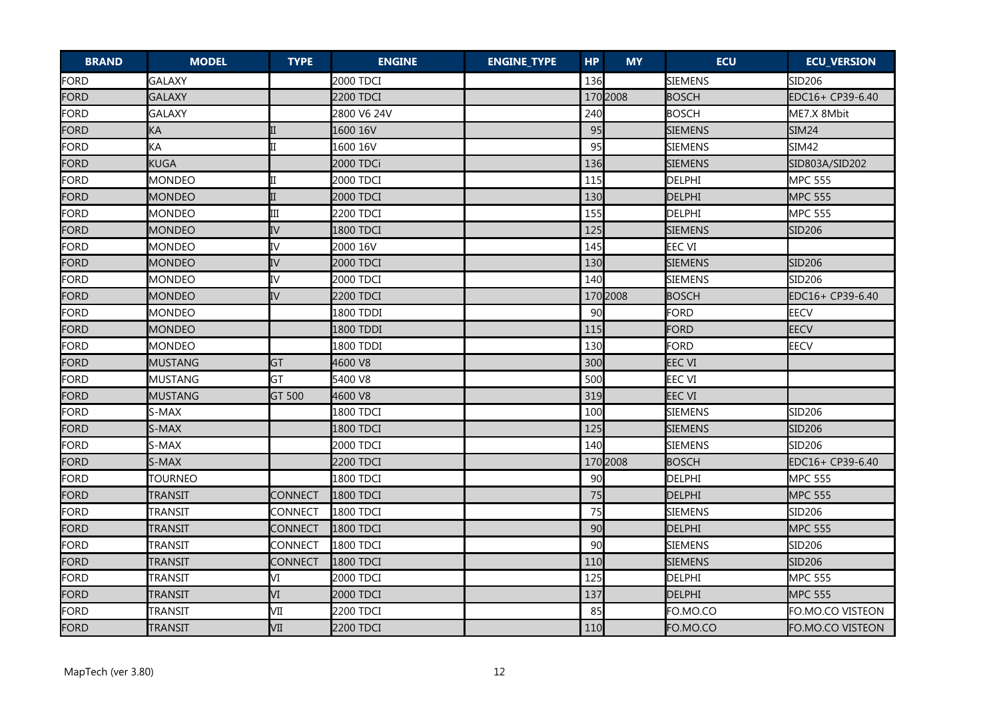| <b>BRAND</b> | <b>MODEL</b>   | <b>TYPE</b>    | <b>ENGINE</b>    | <b>ENGINE_TYPE</b> | <b>HP</b> | <b>MY</b> | <b>ECU</b>     | <b>ECU_VERSION</b> |
|--------------|----------------|----------------|------------------|--------------------|-----------|-----------|----------------|--------------------|
| FORD         | <b>GALAXY</b>  |                | 2000 TDCI        |                    | 136       |           | SIEMENS        | SID <sub>206</sub> |
| FORD         | <b>GALAXY</b>  |                | <b>2200 TDCI</b> |                    |           | 170 2008  | <b>BOSCH</b>   | EDC16+ CP39-6.40   |
| <b>FORD</b>  | <b>GALAXY</b>  |                | 2800 V6 24V      |                    | 240       |           | <b>BOSCH</b>   | ME7.X 8Mbit        |
| <b>FORD</b>  | KA             |                | 1600 16V         |                    | 95        |           | SIEMENS        | <b>SIM24</b>       |
| FORD         | KA             |                | 1600 16V         |                    | 95        |           | <b>SIEMENS</b> | SIM42              |
| <b>FORD</b>  | <b>KUGA</b>    |                | 2000 TDCi        |                    | 136       |           | <b>SIEMENS</b> | SID803A/SID202     |
| <b>FORD</b>  | <b>MONDEO</b>  |                | 2000 TDCI        |                    | 115       |           | DELPHI         | <b>MPC 555</b>     |
| FORD         | <b>MONDEO</b>  |                | 2000 TDCI        |                    | 130       |           | DELPHI         | <b>MPC 555</b>     |
| <b>FORD</b>  | <b>MONDEO</b>  | Ш              | 2200 TDCI        |                    | 155       |           | <b>DELPHI</b>  | <b>MPC 555</b>     |
| <b>FORD</b>  | <b>MONDEO</b>  | IV             | 1800 TDCI        |                    | 125       |           | <b>SIEMENS</b> | <b>SID206</b>      |
| <b>FORD</b>  | <b>MONDEO</b>  | IV             | 2000 16V         |                    | 145       |           | <b>EEC VI</b>  |                    |
| <b>FORD</b>  | <b>MONDEO</b>  | IV             | 2000 TDCI        |                    | 130       |           | <b>SIEMENS</b> | <b>SID206</b>      |
| <b>FORD</b>  | <b>MONDEO</b>  | IV             | 2000 TDCI        |                    | 140       |           | SIEMENS        | SID206             |
| <b>FORD</b>  | <b>MONDEO</b>  | IV             | 2200 TDCI        |                    |           | 170 2008  | <b>BOSCH</b>   | EDC16+ CP39-6.40   |
| <b>FORD</b>  | <b>MONDEO</b>  |                | 1800 TDDI        |                    | 90        |           | <b>FORD</b>    | <b>EECV</b>        |
| FORD         | <b>MONDEO</b>  |                | 1800 TDDI        |                    | 115       |           | FORD           | <b>EECV</b>        |
| <b>FORD</b>  | <b>MONDEO</b>  |                | 1800 TDDI        |                    | 130       |           | <b>FORD</b>    | <b>EECV</b>        |
| <b>FORD</b>  | <b>MUSTANG</b> | <b>GT</b>      | 4600 V8          |                    | 300       |           | <b>EEC VI</b>  |                    |
| <b>FORD</b>  | <b>MUSTANG</b> | GT             | 5400 V8          |                    | 500       |           | EEC VI         |                    |
| FORD         | <b>MUSTANG</b> | GT 500         | 4600 V8          |                    | 319       |           | <b>EEC VI</b>  |                    |
| <b>FORD</b>  | S-MAX          |                | 1800 TDCI        |                    | 100       |           | SIEMENS        | SID206             |
| <b>FORD</b>  | S-MAX          |                | <b>1800 TDCI</b> |                    | 125       |           | <b>SIEMENS</b> | SID206             |
| <b>FORD</b>  | S-MAX          |                | 2000 TDCI        |                    | 140       |           | <b>SIEMENS</b> | SID206             |
| <b>FORD</b>  | S-MAX          |                | 2200 TDCI        |                    |           | 170 2008  | <b>BOSCH</b>   | EDC16+ CP39-6.40   |
| FORD         | <b>TOURNEO</b> |                | <b>1800 TDCI</b> |                    | 90        |           | DELPHI         | <b>MPC 555</b>     |
| <b>FORD</b>  | TRANSIT        | <b>CONNECT</b> | <b>1800 TDCI</b> |                    | 75        |           | <b>DELPHI</b>  | <b>MPC 555</b>     |
| <b>FORD</b>  | <b>TRANSIT</b> | CONNECT        | 1800 TDCI        |                    | 75        |           | <b>SIEMENS</b> | SID206             |
| <b>FORD</b>  | <b>TRANSIT</b> | <b>CONNECT</b> | 1800 TDCI        |                    | 90        |           | <b>DELPHI</b>  | <b>MPC 555</b>     |
| <b>FORD</b>  | <b>TRANSIT</b> | CONNECT        | 1800 TDCI        |                    | 90        |           | <b>SIEMENS</b> | SID206             |
| <b>FORD</b>  | TRANSIT        | CONNECT        | 1800 TDCI        |                    | 110       |           | <b>SIEMENS</b> | <b>SID206</b>      |
| FORD         | <b>TRANSIT</b> | ΙVΙ            | 2000 TDCI        |                    | 125       |           | <b>DELPHI</b>  | <b>MPC 555</b>     |
| <b>FORD</b>  | <b>TRANSIT</b> | VI             | 2000 TDCI        |                    | 137       |           | <b>DELPHI</b>  | <b>MPC 555</b>     |
| FORD         | <b>TRANSIT</b> | VII            | 2200 TDCI        |                    | 85        |           | FO.MO.CO       | FO.MO.CO VISTEON   |
| FORD         | TRANSIT        | VII            | 2200 TDCI        |                    | 110       |           | FO.MO.CO       | FO.MO.CO VISTEON   |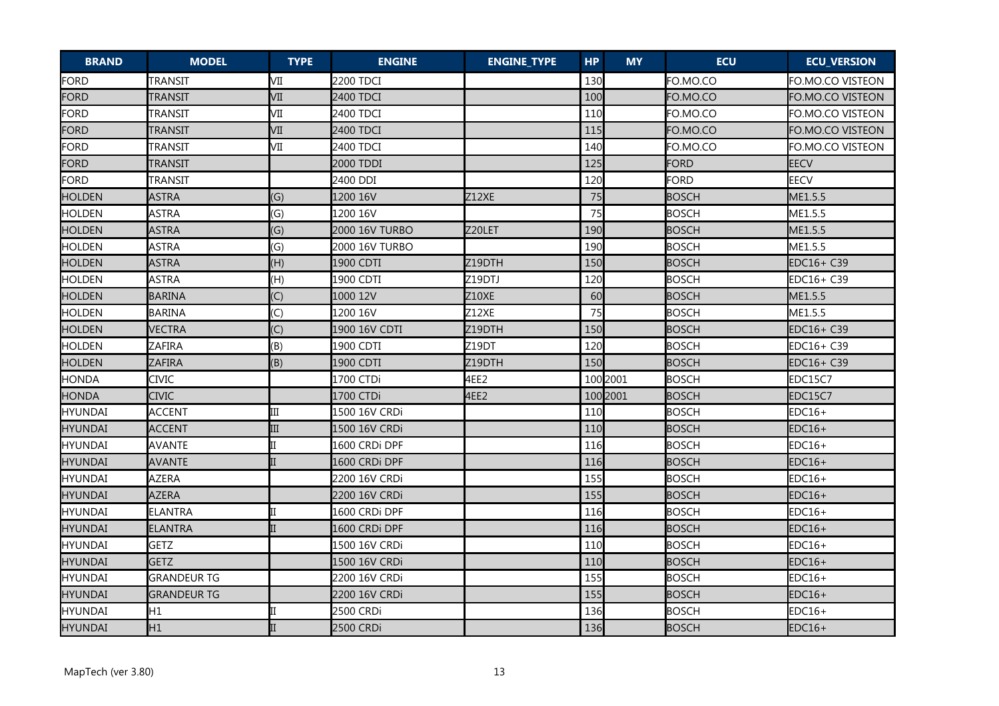| <b>BRAND</b>   | <b>MODEL</b>       | <b>TYPE</b>    | <b>ENGINE</b>  | <b>ENGINE_TYPE</b> | <b>HP</b> | <b>MY</b> | <b>ECU</b>   | <b>ECU_VERSION</b> |
|----------------|--------------------|----------------|----------------|--------------------|-----------|-----------|--------------|--------------------|
| FORD           | TRANSIT            | VII            | 2200 TDCI      |                    | 130       |           | FO.MO.CO     | FO.MO.CO VISTEON   |
| FORD           | TRANSIT            | VII            | 2400 TDCI      |                    | 100       |           | FO.MO.CO     | FO.MO.CO VISTEON   |
| <b>FORD</b>    | <b>TRANSIT</b>     | VII            | 2400 TDCI      |                    | 110       |           | FO.MO.CO     | FO.MO.CO VISTEON   |
| <b>FORD</b>    | TRANSIT            | VII            | 2400 TDCI      |                    | 115       |           | FO.MO.CO     | FO.MO.CO VISTEON   |
| <b>FORD</b>    | TRANSIT            | VII            | 2400 TDCI      |                    | 140       |           | FO.MO.CO     | FO.MO.CO VISTEON   |
| <b>FORD</b>    | <b>TRANSIT</b>     |                | 2000 TDDI      |                    | 125       |           | FORD         | <b>EECV</b>        |
| <b>FORD</b>    | TRANSIT            |                | 2400 DDI       |                    | 120       |           | <b>FORD</b>  | <b>EECV</b>        |
| <b>HOLDEN</b>  | <b>ASTRA</b>       | (G)            | 1200 16V       | Z12XE              | 75        |           | <b>BOSCH</b> | ME1.5.5            |
| <b>HOLDEN</b>  | <b>ASTRA</b>       | (G)            | 1200 16V       |                    | 75        |           | <b>BOSCH</b> | ME1.5.5            |
| <b>HOLDEN</b>  | <b>ASTRA</b>       | (G)            | 2000 16V TURBO | Z20LET             | 190       |           | <b>BOSCH</b> | ME1.5.5            |
| <b>HOLDEN</b>  | <b>ASTRA</b>       | (G)            | 2000 16V TURBO |                    | 190       |           | <b>BOSCH</b> | ME1.5.5            |
| <b>HOLDEN</b>  | <b>ASTRA</b>       | (H)            | 1900 CDTI      | Z19DTH             | 150       |           | <b>BOSCH</b> | EDC16+ C39         |
| <b>HOLDEN</b>  | <b>ASTRA</b>       | (H)            | 1900 CDTI      | Z19DTJ             | 120       |           | <b>BOSCH</b> | EDC16+ C39         |
| <b>HOLDEN</b>  | <b>BARINA</b>      | (C)            | 1000 12V       | <b>Z10XE</b>       | 60        |           | <b>BOSCH</b> | ME1.5.5            |
| <b>HOLDEN</b>  | <b>BARINA</b>      | (C)            | 1200 16V       | <b>Z12XE</b>       | 75        |           | <b>BOSCH</b> | ME1.5.5            |
| <b>HOLDEN</b>  | <b>VECTRA</b>      | (C)            | 1900 16V CDTI  | Z19DTH             | 150       |           | <b>BOSCH</b> | EDC16+ C39         |
| <b>HOLDEN</b>  | ZAFIRA             | (B)            | 1900 CDTI      | Z19DT              | 120       |           | <b>BOSCH</b> | EDC16+ C39         |
| <b>HOLDEN</b>  | <b>ZAFIRA</b>      | (B)            | 1900 CDTI      | Z19DTH             | 150       |           | <b>BOSCH</b> | EDC16+ C39         |
| <b>HONDA</b>   | <b>CIVIC</b>       |                | 1700 CTDi      | 4EE2               |           | 100 2001  | <b>BOSCH</b> | EDC15C7            |
| <b>HONDA</b>   | <b>CIVIC</b>       |                | 1700 CTDi      | 4EE2               |           | 100 2001  | <b>BOSCH</b> | EDC15C7            |
| <b>HYUNDAI</b> | <b>ACCENT</b>      | III            | 1500 16V CRDi  |                    | 110       |           | <b>BOSCH</b> | EDC16+             |
| <b>HYUNDAI</b> | <b>ACCENT</b>      | $\mathbf{III}$ | 1500 16V CRDi  |                    | 110       |           | <b>BOSCH</b> | $EDC16+$           |
| <b>HYUNDAI</b> | <b>AVANTE</b>      |                | 1600 CRDi DPF  |                    | 116       |           | <b>BOSCH</b> | $EDC16+$           |
| <b>HYUNDAI</b> | <b>AVANTE</b>      |                | 1600 CRDi DPF  |                    | 116       |           | <b>BOSCH</b> | $EDC16+$           |
| HYUNDAI        | <b>AZERA</b>       |                | 2200 16V CRDi  |                    | 155       |           | <b>BOSCH</b> | EDC16+             |
| <b>HYUNDAI</b> | <b>AZERA</b>       |                | 2200 16V CRDi  |                    | 155       |           | <b>BOSCH</b> | $EDC16+$           |
| <b>HYUNDAI</b> | <b>ELANTRA</b>     | II             | l1600 CRDi DPF |                    | 116       |           | <b>BOSCH</b> | $EDC16+$           |
| HYUNDAI        | <b>ELANTRA</b>     |                | 1600 CRDi DPF  |                    | 116       |           | <b>BOSCH</b> | $EDC16+$           |
| HYUNDAI        | <b>GETZ</b>        |                | 1500 16V CRDi  |                    | 110       |           | <b>BOSCH</b> | $EDC16+$           |
| <b>HYUNDAI</b> | <b>GETZ</b>        |                | 1500 16V CRDi  |                    | 110       |           | <b>BOSCH</b> | $EDC16+$           |
| HYUNDAI        | <b>GRANDEUR TG</b> |                | 2200 16V CRDi  |                    | 155       |           | <b>BOSCH</b> | $EDC16+$           |
| <b>HYUNDAI</b> | <b>GRANDEUR TG</b> |                | 2200 16V CRDi  |                    | 155       |           | <b>BOSCH</b> | $EDC16+$           |
| HYUNDAI        | H <sub>1</sub>     |                | 2500 CRDi      |                    | 136       |           | <b>BOSCH</b> | $EDC16+$           |
| <b>HYUNDAI</b> | H <sub>1</sub>     |                | 2500 CRDi      |                    | 136       |           | <b>BOSCH</b> | $EDC16+$           |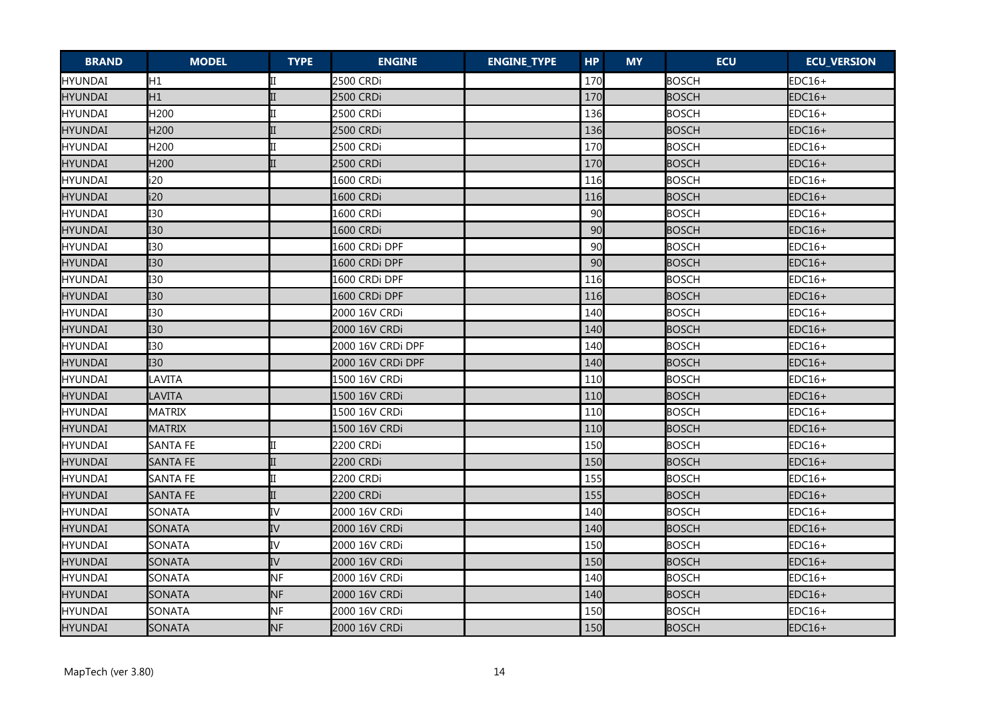| <b>BRAND</b>   | <b>MODEL</b>     | <b>TYPE</b>  | <b>ENGINE</b>     | <b>ENGINE_TYPE</b> | <b>HP</b> | <b>MY</b> | <b>ECU</b>   | <b>ECU_VERSION</b> |
|----------------|------------------|--------------|-------------------|--------------------|-----------|-----------|--------------|--------------------|
| HYUNDAI        | H <sub>1</sub>   |              | 2500 CRDi         |                    | 170       |           | <b>BOSCH</b> | $EDC16+$           |
| <b>HYUNDAI</b> | H1               |              | 2500 CRDi         |                    | 170       |           | <b>BOSCH</b> | $EDC16+$           |
| HYUNDAI        | H200             |              | 2500 CRDi         |                    | 136       |           | <b>BOSCH</b> | $EDC16+$           |
| <b>HYUNDAI</b> | H <sub>200</sub> |              | 2500 CRDi         |                    | 136       |           | <b>BOSCH</b> | $EDC16+$           |
| HYUNDAI        | H <sub>200</sub> |              | 2500 CRDi         |                    | 170       |           | <b>BOSCH</b> | $EDC16+$           |
| <b>HYUNDAI</b> | H200             | $\mathbf{I}$ | 2500 CRDi         |                    | 170       |           | <b>BOSCH</b> | $EDC16+$           |
| HYUNDAI        | i20              |              | 1600 CRDi         |                    | 116       |           | <b>BOSCH</b> | $EDC16+$           |
| <b>HYUNDAI</b> | i20              |              | 1600 CRDi         |                    | 116       |           | <b>BOSCH</b> | $EDC16+$           |
| <b>HYUNDAI</b> | I30              |              | 1600 CRDi         |                    | 90        |           | <b>BOSCH</b> | $EDC16+$           |
| <b>HYUNDAI</b> | I <sub>30</sub>  |              | 1600 CRDi         |                    | 90        |           | <b>BOSCH</b> | $EDC16+$           |
| HYUNDAI        | <b>I30</b>       |              | 1600 CRDi DPF     |                    | 90        |           | <b>BOSCH</b> | $EDC16+$           |
| <b>HYUNDAI</b> | I <sub>30</sub>  |              | 1600 CRDi DPF     |                    | 90        |           | <b>BOSCH</b> | $EDC16+$           |
| <b>HYUNDAI</b> | <b>I30</b>       |              | 1600 CRDi DPF     |                    | 116       |           | BOSCH        | $EDC16+$           |
| <b>HYUNDAI</b> | <b>I30</b>       |              | 1600 CRDi DPF     |                    | 116       |           | <b>BOSCH</b> | $EDC16+$           |
| HYUNDAI        | <b>I30</b>       |              | 2000 16V CRDi     |                    | 140       |           | <b>BOSCH</b> | $EDC16+$           |
| <b>HYUNDAI</b> | I <sub>30</sub>  |              | 2000 16V CRDi     |                    | 140       |           | <b>BOSCH</b> | $EDC16+$           |
| <b>HYUNDAI</b> | I30              |              | 2000 16V CRDi DPF |                    | 140       |           | <b>BOSCH</b> | $EDC16+$           |
| HYUNDAI        | <b>I30</b>       |              | 2000 16V CRDi DPF |                    | 140       |           | <b>BOSCH</b> | $EDC16+$           |
| HYUNDAI        | LAVITA           |              | 1500 16V CRDi     |                    | 110       |           | <b>BOSCH</b> | $EDC16+$           |
| <b>HYUNDAI</b> | LAVITA           |              | 1500 16V CRDi     |                    | 110       |           | <b>BOSCH</b> | $EDC16+$           |
| <b>HYUNDAI</b> | MATRIX           |              | 1500 16V CRDi     |                    | 110       |           | <b>BOSCH</b> | EDC16+             |
| <b>HYUNDAI</b> | <b>MATRIX</b>    |              | 1500 16V CRDi     |                    | 110       |           | <b>BOSCH</b> | $EDC16+$           |
| <b>HYUNDAI</b> | <b>SANTA FE</b>  |              | 2200 CRDi         |                    | 150       |           | <b>BOSCH</b> | $EDC16+$           |
| <b>HYUNDAI</b> | <b>SANTA FE</b>  |              | 2200 CRDi         |                    | 150       |           | <b>BOSCH</b> | $EDC16+$           |
| HYUNDAI        | <b>SANTA FE</b>  |              | 2200 CRDi         |                    | 155       |           | <b>BOSCH</b> | $EDC16+$           |
| <b>HYUNDAI</b> | <b>SANTA FE</b>  | $_{\rm II}$  | 2200 CRDi         |                    | 155       |           | <b>BOSCH</b> | $EDC16+$           |
| HYUNDAI        | <b>SONATA</b>    | IV           | 2000 16V CRDi     |                    | 140       |           | <b>BOSCH</b> | EDC16+             |
| <b>HYUNDAI</b> | <b>SONATA</b>    | IV           | 2000 16V CRDi     |                    | 140       |           | <b>BOSCH</b> | $EDC16+$           |
| <b>HYUNDAI</b> | SONATA           | IV           | 2000 16V CRDi     |                    | 150       |           | <b>BOSCH</b> | $EDC16+$           |
| HYUNDAI        | SONATA           | IV           | 2000 16V CRDi     |                    | 150       |           | <b>BOSCH</b> | $EDC16+$           |
| <b>HYUNDAI</b> | SONATA           | <b>NF</b>    | 2000 16V CRDi     |                    | 140       |           | <b>BOSCH</b> | $EDC16+$           |
| <b>HYUNDAI</b> | <b>SONATA</b>    | <b>NF</b>    | 2000 16V CRDi     |                    | 140       |           | <b>BOSCH</b> | $EDC16+$           |
| HYUNDAI        | SONATA           | <b>NF</b>    | 2000 16V CRDi     |                    | 150       |           | <b>BOSCH</b> | $EDC16+$           |
| <b>HYUNDAI</b> | <b>SONATA</b>    | <b>NF</b>    | 2000 16V CRDi     |                    | 150       |           | <b>BOSCH</b> | $EDC16+$           |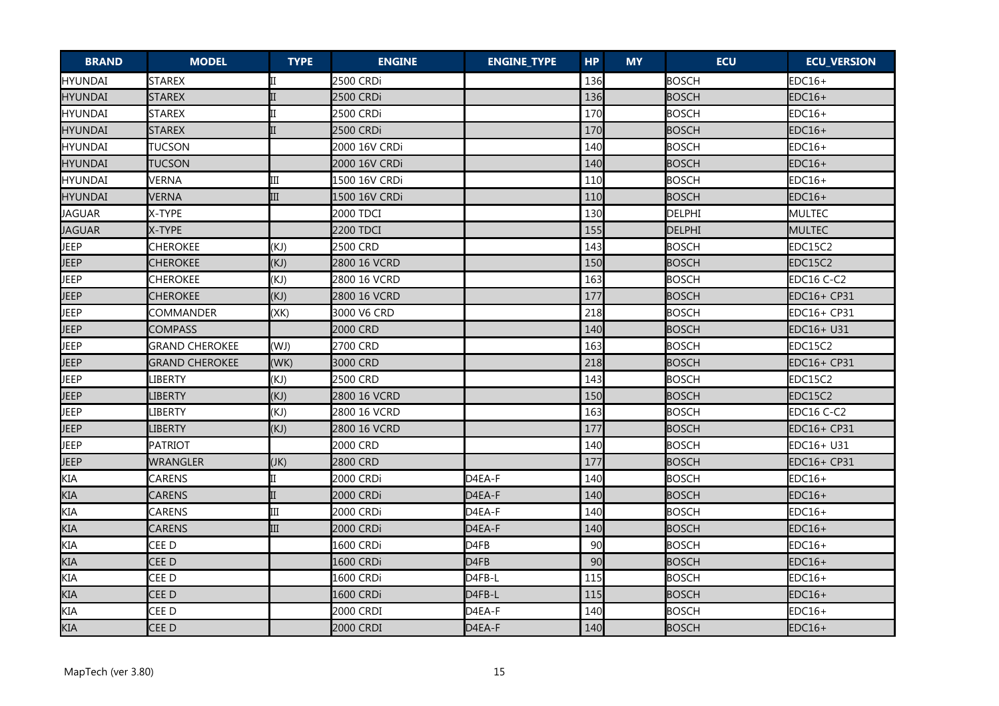| <b>BRAND</b>   | <b>MODEL</b>          | <b>TYPE</b> | <b>ENGINE</b> | <b>ENGINE_TYPE</b> | <b>HP</b> | <b>MY</b> | <b>ECU</b>    | <b>ECU_VERSION</b> |
|----------------|-----------------------|-------------|---------------|--------------------|-----------|-----------|---------------|--------------------|
| HYUNDAI        | <b>STAREX</b>         |             | 2500 CRDi     |                    | 136       |           | <b>BOSCH</b>  | $EDC16+$           |
| <b>HYUNDAI</b> | <b>STAREX</b>         |             | 2500 CRDi     |                    | 136       |           | <b>BOSCH</b>  | $EDC16+$           |
| HYUNDAI        | <b>STAREX</b>         |             | 2500 CRDi     |                    | 170       |           | <b>BOSCH</b>  | $EDC16+$           |
| HYUNDAI        | <b>STAREX</b>         |             | 2500 CRDi     |                    | 170       |           | <b>BOSCH</b>  | $EDC16+$           |
| <b>HYUNDAI</b> | TUCSON                |             | 2000 16V CRDi |                    | 140       |           | <b>BOSCH</b>  | $EDC16+$           |
| <b>HYUNDAI</b> | <b>TUCSON</b>         |             | 2000 16V CRDi |                    | 140       |           | <b>BOSCH</b>  | $EDC16+$           |
| HYUNDAI        | <b>VERNA</b>          | Ш           | 1500 16V CRDi |                    | 110       |           | <b>BOSCH</b>  | EDC16+             |
| <b>HYUNDAI</b> | <b>VERNA</b>          | III         | 1500 16V CRDi |                    | 110       |           | <b>BOSCH</b>  | $EDC16+$           |
| <b>JAGUAR</b>  | X-TYPE                |             | 2000 TDCI     |                    | 130       |           | <b>DELPHI</b> | MULTEC             |
| <b>JAGUAR</b>  | X-TYPE                |             | 2200 TDCI     |                    | 155       |           | <b>DELPHI</b> | <b>MULTEC</b>      |
| JEEP           | <b>CHEROKEE</b>       | (KJ)        | 2500 CRD      |                    | 143       |           | <b>BOSCH</b>  | EDC15C2            |
| <b>JEEP</b>    | <b>CHEROKEE</b>       | (KJ)        | 2800 16 VCRD  |                    | 150       |           | <b>BOSCH</b>  | EDC15C2            |
| <b>JEEP</b>    | CHEROKEE              | (KJ)        | 2800 16 VCRD  |                    | 163       |           | <b>BOSCH</b>  | EDC16 C-C2         |
| JEEP           | <b>CHEROKEE</b>       | (KJ)        | 2800 16 VCRD  |                    | 177       |           | <b>BOSCH</b>  | EDC16+ CP31        |
| JEEP           | COMMANDER             | (XK)        | 3000 V6 CRD   |                    | 218       |           | <b>BOSCH</b>  | EDC16+ CP31        |
| JEEP           | <b>COMPASS</b>        |             | 2000 CRD      |                    | 140       |           | <b>BOSCH</b>  | EDC16+ U31         |
| JEEP           | <b>GRAND CHEROKEE</b> | (WJ)        | 2700 CRD      |                    | 163       |           | <b>BOSCH</b>  | EDC15C2            |
| JEEP           | <b>GRAND CHEROKEE</b> | (WK)        | 3000 CRD      |                    | 218       |           | <b>BOSCH</b>  | EDC16+ CP31        |
| JEEP           | LIBERTY               | (KJ)        | 2500 CRD      |                    | 143       |           | <b>BOSCH</b>  | EDC15C2            |
| JEEP           | <b>LIBERTY</b>        | (KJ)        | 2800 16 VCRD  |                    | 150       |           | <b>BOSCH</b>  | EDC15C2            |
| JEEP           | LIBERTY               | (KJ)        | 2800 16 VCRD  |                    | 163       |           | <b>BOSCH</b>  | EDC16 C-C2         |
| JEEP           | LIBERTY               | (KJ)        | 2800 16 VCRD  |                    | 177       |           | <b>BOSCH</b>  | EDC16+ CP31        |
| JEEP           | <b>PATRIOT</b>        |             | 2000 CRD      |                    | 140       |           | <b>BOSCH</b>  | EDC16+ U31         |
| JEEP           | <b>WRANGLER</b>       | (JK)        | 2800 CRD      |                    | 177       |           | <b>BOSCH</b>  | EDC16+ CP31        |
| KIA            | CARENS                |             | 2000 CRDi     | D4EA-F             | 140       |           | <b>BOSCH</b>  | $EDC16+$           |
| KIA            | <b>CARENS</b>         |             | 2000 CRDi     | D4EA-F             | 140       |           | <b>BOSCH</b>  | $EDC16+$           |
| <b>KIA</b>     | <b>CARENS</b>         | III         | 2000 CRDi     | D4EA-F             | 140       |           | <b>BOSCH</b>  | EDC16+             |
| KIA            | <b>CARENS</b>         | III         | 2000 CRDi     | D4EA-F             | 140       |           | <b>BOSCH</b>  | EDC16+             |
| <b>KIA</b>     | CEE D                 |             | 1600 CRDi     | D4FB               | 90        |           | <b>BOSCH</b>  | EDC16+             |
| KIA            | CEE D                 |             | 1600 CRDi     | D4FB               | 90        |           | <b>BOSCH</b>  | $EDC16+$           |
| KIA            | CEE D                 |             | 1600 CRDi     | D4FB-L             | 115       |           | <b>BOSCH</b>  | EDC16+             |
| <b>KIA</b>     | CEE D                 |             | 1600 CRDi     | D4FB-L             | 115       |           | <b>BOSCH</b>  | $EDC16+$           |
| <b>KIA</b>     | CEE D                 |             | 2000 CRDI     | D4EA-F             | 140       |           | <b>BOSCH</b>  | EDC16+             |
| <b>KIA</b>     | CEE D                 |             | 2000 CRDI     | D4EA-F             | 140       |           | <b>BOSCH</b>  | $EDC16+$           |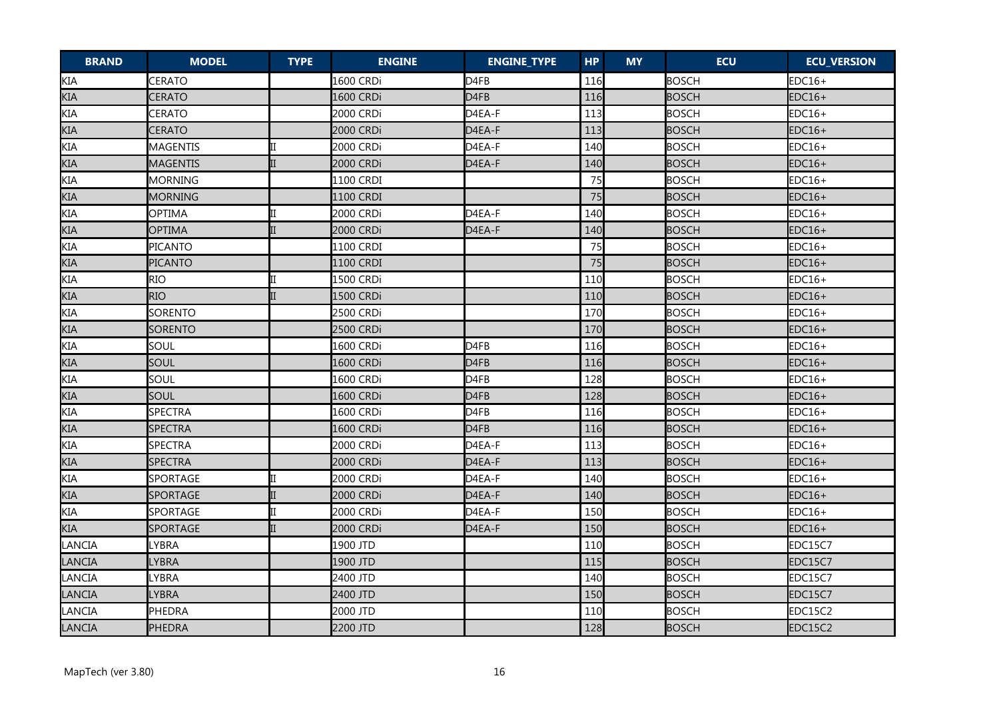| <b>BRAND</b> | <b>MODEL</b>    | <b>TYPE</b> | <b>ENGINE</b> | <b>ENGINE_TYPE</b> | <b>HP</b> | <b>MY</b> | <b>ECU</b>   | <b>ECU_VERSION</b> |
|--------------|-----------------|-------------|---------------|--------------------|-----------|-----------|--------------|--------------------|
| <b>KIA</b>   | CERATO          |             | 1600 CRDi     | D <sub>4FB</sub>   | 116       |           | <b>BOSCH</b> | $EDC16+$           |
| KIA          | CERATO          |             | 1600 CRDi     | D <sub>4FB</sub>   | 116       |           | <b>BOSCH</b> | $EDC16+$           |
| <b>KIA</b>   | CERATO          |             | 2000 CRDi     | D4EA-F             | 113       |           | <b>BOSCH</b> | $EDC16+$           |
| <b>KIA</b>   | CERATO          |             | 2000 CRDi     | D4EA-F             | 113       |           | <b>BOSCH</b> | $EDC16+$           |
| KIA          | <b>MAGENTIS</b> |             | 2000 CRDi     | D4EA-F             | 140       |           | <b>BOSCH</b> | $EDC16+$           |
| KIA          | <b>MAGENTIS</b> | II          | 2000 CRDi     | D4EA-F             | 140       |           | <b>BOSCH</b> | $EDC16+$           |
| <b>KIA</b>   | <b>MORNING</b>  |             | 1100 CRDI     |                    | 75        |           | <b>BOSCH</b> | $EDC16+$           |
| KIA          | MORNING         |             | 1100 CRDI     |                    | 75        |           | <b>BOSCH</b> | $EDC16+$           |
| <b>KIA</b>   | OPTIMA          | II          | 2000 CRDi     | D4EA-F             | 140       |           | <b>BOSCH</b> | $EDC16+$           |
| <b>KIA</b>   | <b>OPTIMA</b>   | II          | 2000 CRDi     | D4EA-F             | 140       |           | <b>BOSCH</b> | $EDC16+$           |
| KIA          | <b>PICANTO</b>  |             | 1100 CRDI     |                    | 75        |           | <b>BOSCH</b> | $EDC16+$           |
| KIA          | <b>PICANTO</b>  |             | 1100 CRDI     |                    | 75        |           | <b>BOSCH</b> | $EDC16+$           |
| KIA          | RIO.            | Π           | 1500 CRDi     |                    | 110       |           | <b>BOSCH</b> | $EDC16+$           |
| KIA          | <b>RIO</b>      | II          | 1500 CRDi     |                    | 110       |           | <b>BOSCH</b> | $EDC16+$           |
| KIA          | <b>SORENTO</b>  |             | 2500 CRDi     |                    | 170       |           | <b>BOSCH</b> | $EDC16+$           |
| <b>KIA</b>   | <b>SORENTO</b>  |             | 2500 CRDi     |                    | 170       |           | <b>BOSCH</b> | $EDC16+$           |
| <b>KIA</b>   | SOUL            |             | 1600 CRDi     | D <sub>4FB</sub>   | 116       |           | <b>BOSCH</b> | $EDC16+$           |
| <b>KIA</b>   | SOUL            |             | 1600 CRDi     | D <sub>4FB</sub>   | 116       |           | <b>BOSCH</b> | $EDC16+$           |
| KIA          | SOUL            |             | 1600 CRDi     | D4FB               | 128       |           | <b>BOSCH</b> | $EDC16+$           |
| <b>KIA</b>   | SOUL            |             | 1600 CRDi     | D <sub>4FB</sub>   | 128       |           | <b>BOSCH</b> | $EDC16+$           |
| KIA          | SPECTRA         |             | 1600 CRDi     | D4FB               | 116       |           | <b>BOSCH</b> | $EDC16+$           |
| <b>KIA</b>   | <b>SPECTRA</b>  |             | 1600 CRDi     | D4FB               | 116       |           | <b>BOSCH</b> | $EDC16+$           |
| KIA          | <b>SPECTRA</b>  |             | 2000 CRDi     | D4EA-F             | 113       |           | <b>BOSCH</b> | $EDC16+$           |
| KIA          | <b>SPECTRA</b>  |             | 2000 CRDi     | D4EA-F             | 113       |           | <b>BOSCH</b> | $EDC16+$           |
| <b>KIA</b>   | SPORTAGE        |             | 2000 CRDi     | D4EA-F             | 140       |           | <b>BOSCH</b> | $EDC16+$           |
| KIA          | <b>SPORTAGE</b> |             | 2000 CRDi     | D4EA-F             | 140       |           | <b>BOSCH</b> | $EDC16+$           |
| <b>KIA</b>   | <b>SPORTAGE</b> | II          | 2000 CRDi     | D4EA-F             | 150       |           | <b>BOSCH</b> | $EDC16+$           |
| <b>KIA</b>   | SPORTAGE        |             | 2000 CRDi     | D4EA-F             | 150       |           | <b>BOSCH</b> | $EDC16+$           |
| LANCIA       | LYBRA           |             | 1900 JTD      |                    | 110       |           | <b>BOSCH</b> | EDC15C7            |
| LANCIA       | LYBRA           |             | 1900 JTD      |                    | 115       |           | <b>BOSCH</b> | EDC15C7            |
| LANCIA       | LYBRA           |             | 2400 JTD      |                    | 140       |           | <b>BOSCH</b> | EDC15C7            |
| LANCIA       | LYBRA           |             | 2400 JTD      |                    | 150       |           | <b>BOSCH</b> | <b>EDC15C7</b>     |
| LANCIA       | PHEDRA          |             | 2000 JTD      |                    | 110       |           | <b>BOSCH</b> | EDC15C2            |
| LANCIA       | PHEDRA          |             | 2200 JTD      |                    | 128       |           | <b>BOSCH</b> | <b>EDC15C2</b>     |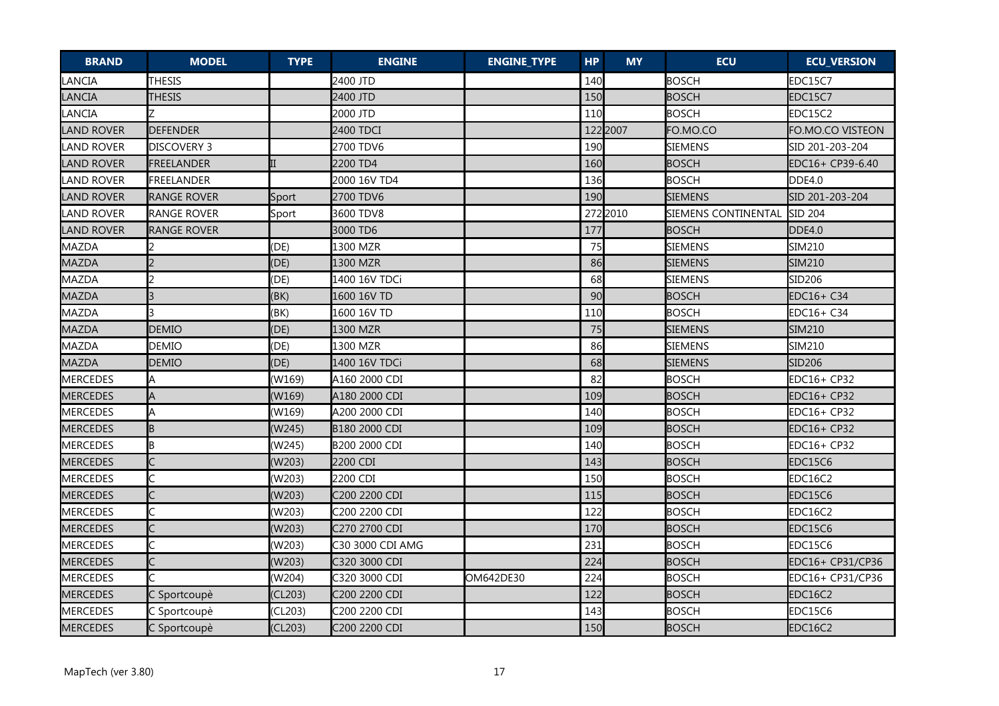| <b>BRAND</b>      | <b>MODEL</b>            | <b>TYPE</b> | <b>ENGINE</b>    | <b>ENGINE_TYPE</b> | <b>HP</b> | <b>MY</b> | <b>ECU</b>          | <b>ECU_VERSION</b> |
|-------------------|-------------------------|-------------|------------------|--------------------|-----------|-----------|---------------------|--------------------|
| LANCIA            | <b>THESIS</b>           |             | 2400 JTD         |                    | 140       |           | <b>BOSCH</b>        | EDC15C7            |
| <b>LANCIA</b>     | THESIS                  |             | 2400 JTD         |                    | 150       |           | <b>BOSCH</b>        | EDC15C7            |
| LANCIA            |                         |             | 2000 JTD         |                    | 110       |           | <b>BOSCH</b>        | EDC15C2            |
| <b>LAND ROVER</b> | <b>DEFENDER</b>         |             | 2400 TDCI        |                    |           | 122 2007  | FO.MO.CO            | FO.MO.CO VISTEON   |
| LAND ROVER        | <b>DISCOVERY 3</b>      |             | 2700 TDV6        |                    | 190       |           | SIEMENS             | SID 201-203-204    |
| <b>LAND ROVER</b> | <b>FREELANDER</b>       | II          | 2200 TD4         |                    | 160       |           | <b>BOSCH</b>        | EDC16+ CP39-6.40   |
| <b>LAND ROVER</b> | FREELANDER              |             | 2000 16V TD4     |                    | 136       |           | <b>BOSCH</b>        | DDE4.0             |
| <b>LAND ROVER</b> | <b>RANGE ROVER</b>      | Sport       | 2700 TDV6        |                    | 190       |           | <b>SIEMENS</b>      | SID 201-203-204    |
| ILAND ROVER       | RANGE ROVER             | Sport       | 3600 TDV8        |                    |           | 272 2010  | SIEMENS CONTINENTAL | <b>SID 204</b>     |
| <b>LAND ROVER</b> | <b>RANGE ROVER</b>      |             | 3000 TD6         |                    | 177       |           | <b>BOSCH</b>        | DDE4.0             |
| MAZDA             |                         | (DE)        | 1300 MZR         |                    | 75        |           | <b>SIEMENS</b>      | SIM210             |
| MAZDA             | $\overline{2}$          | (DE)        | 1300 MZR         |                    | 86        |           | <b>SIEMENS</b>      | <b>SIM210</b>      |
| MAZDA             | $\overline{2}$          | (DE)        | 1400 16V TDCi    |                    | 68        |           | <b>SIEMENS</b>      | SID206             |
| <b>MAZDA</b>      | $\overline{\mathbf{3}}$ | (BK)        | 1600 16V TD      |                    | 90        |           | <b>BOSCH</b>        | EDC16+ C34         |
| MAZDA             |                         | (BK)        | 1600 16V TD      |                    | 110       |           | <b>BOSCH</b>        | EDC16+ C34         |
| MAZDA             | <b>DEMIO</b>            | (DE)        | 1300 MZR         |                    | 75        |           | <b>SIEMENS</b>      | SIM210             |
| MAZDA             | <b>DEMIO</b>            | (DE)        | 1300 MZR         |                    | 86        |           | <b>SIEMENS</b>      | SIM210             |
| MAZDA             | <b>DEMIO</b>            | (DE)        | 1400 16V TDCi    |                    | 68        |           | SIEMENS             | SID <sub>206</sub> |
| MERCEDES          | A                       | (W169)      | A160 2000 CDI    |                    | 82        |           | <b>BOSCH</b>        | EDC16+ CP32        |
| <b>MERCEDES</b>   | A                       | (W169)      | A180 2000 CDI    |                    | 109       |           | <b>BOSCH</b>        | EDC16+ CP32        |
| MERCEDES          | A                       | (W169)      | A200 2000 CDI    |                    | 140       |           | <b>BOSCH</b>        | EDC16+ CP32        |
| <b>MERCEDES</b>   | B                       | (W245)      | B180 2000 CDI    |                    | 109       |           | <b>BOSCH</b>        | EDC16+ CP32        |
| <b>MERCEDES</b>   | ΙB                      | (W245)      | B200 2000 CDI    |                    | 140       |           | <b>BOSCH</b>        | EDC16+ CP32        |
| <b>MERCEDES</b>   |                         | (W203)      | 2200 CDI         |                    | 143       |           | <b>BOSCH</b>        | EDC15C6            |
| MERCEDES          |                         | (W203)      | 2200 CDI         |                    | 150       |           | <b>BOSCH</b>        | EDC16C2            |
| <b>MERCEDES</b>   | C                       | (W203)      | C200 2200 CDI    |                    | 115       |           | <b>BOSCH</b>        | EDC15C6            |
| MERCEDES          |                         | (W203)      | C200 2200 CDI    |                    | 122       |           | <b>BOSCH</b>        | EDC16C2            |
| <b>MERCEDES</b>   | C                       | (W203)      | C270 2700 CDI    |                    | 170       |           | <b>BOSCH</b>        | EDC15C6            |
| MERCEDES          | C                       | (W203)      | C30 3000 CDI AMG |                    | 231       |           | <b>BOSCH</b>        | EDC15C6            |
| <b>MERCEDES</b>   | C                       | (W203)      | C320 3000 CDI    |                    | 224       |           | <b>BOSCH</b>        | EDC16+ CP31/CP36   |
| MERCEDES          |                         | (W204)      | C320 3000 CDI    | OM642DE30          | 224       |           | <b>BOSCH</b>        | EDC16+ CP31/CP36   |
| <b>MERCEDES</b>   | C Sportcoupè            | (CL203)     | C200 2200 CDI    |                    | 122       |           | <b>BOSCH</b>        | EDC16C2            |
| <b>MERCEDES</b>   | C Sportcoupè            | (CL203)     | C200 2200 CDI    |                    | 143       |           | <b>BOSCH</b>        | EDC15C6            |
| <b>MERCEDES</b>   | C Sportcoupè            | (CL203)     | C200 2200 CDI    |                    | 150       |           | <b>BOSCH</b>        | EDC16C2            |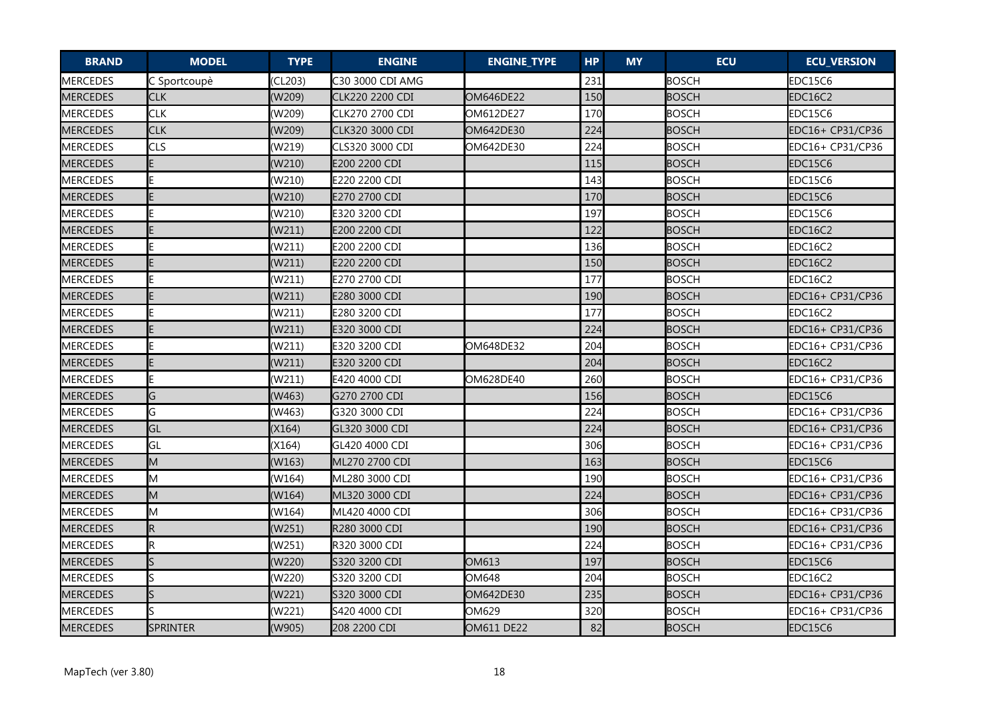| <b>BRAND</b>    | <b>MODEL</b>    | <b>TYPE</b> | <b>ENGINE</b>           | <b>ENGINE_TYPE</b> | <b>HP</b> | <b>MY</b> | <b>ECU</b>   | <b>ECU_VERSION</b> |
|-----------------|-----------------|-------------|-------------------------|--------------------|-----------|-----------|--------------|--------------------|
| MERCEDES        | C Sportcoupè    | (CL203)     | C30 3000 CDI AMG        |                    | 231       |           | <b>BOSCH</b> | EDC15C6            |
| <b>MERCEDES</b> | <b>CLK</b>      | (W209)      | CLK220 2200 CDI         | OM646DE22          | 150       |           | <b>BOSCH</b> | EDC16C2            |
| MERCEDES        | <b>CLK</b>      | (W209)      | CLK270 2700 CDI         | OM612DE27          | 170       |           | <b>BOSCH</b> | EDC15C6            |
| <b>MERCEDES</b> | <b>CLK</b>      | (W209)      | CLK320 3000 CDI         | OM642DE30          | 224       |           | <b>BOSCH</b> | EDC16+ CP31/CP36   |
| MERCEDES        | <b>CLS</b>      | (W219)      | CLS320 3000 CDI         | OM642DE30          | 224       |           | <b>BOSCH</b> | EDC16+ CP31/CP36   |
| <b>MERCEDES</b> | E.              | (W210)      | E200 2200 CDI           |                    | 115       |           | <b>BOSCH</b> | EDC15C6            |
| MERCEDES        | E.              | (W210)      | E220 2200 CDI           |                    | 143       |           | <b>BOSCH</b> | EDC15C6            |
| MERCEDES        | E.              | (W210)      | E270 2700 CDI           |                    | 170       |           | <b>BOSCH</b> | EDC15C6            |
| MERCEDES        | ΙE              | (W210)      | E320 3200 CDI           |                    | 197       |           | <b>BOSCH</b> | EDC15C6            |
| MERCEDES        | E               | (W211)      | E200 2200 CDI           |                    | 122       |           | <b>BOSCH</b> | EDC16C2            |
| MERCEDES        | E               | (W211)      | E200 2200 CDI           |                    | 136       |           | <b>BOSCH</b> | EDC16C2            |
| <b>MERCEDES</b> | E.              | (W211)      | E220 2200 CDI           |                    | 150       |           | <b>BOSCH</b> | EDC16C2            |
| <b>MERCEDES</b> | İΕ              | (W211)      | E270 2700 CDI           |                    | 177       |           | <b>BOSCH</b> | EDC16C2            |
| <b>MERCEDES</b> | E.              | (W211)      | E280 3000 CDI           |                    | 190       |           | <b>BOSCH</b> | EDC16+ CP31/CP36   |
| MERCEDES        | E               | (W211)      | E280 3200 CDI           |                    | 177       |           | <b>BOSCH</b> | EDC16C2            |
| <b>MERCEDES</b> | E.              | (W211)      | E320 3000 CDI           |                    | 224       |           | <b>BOSCH</b> | EDC16+ CP31/CP36   |
| <b>MERCEDES</b> | E               | (W211)      | <b>I</b> E320 3200 CDI  | OM648DE32          | 204       |           | <b>BOSCH</b> | EDC16+ CP31/CP36   |
| <b>MERCEDES</b> | IE.             | (W211)      | E320 3200 CDI           |                    | 204       |           | <b>BOSCH</b> | EDC16C2            |
| MERCEDES        | E               | (W211)      | <b>I</b> E420 4000 CDI  | OM628DE40          | 260       |           | <b>BOSCH</b> | EDC16+ CP31/CP36   |
| <b>MERCEDES</b> | G               | (W463)      | G270 2700 CDI           |                    | 156       |           | <b>BOSCH</b> | EDC15C6            |
| MERCEDES        | G               | (W463)      | G320 3000 CDI           |                    | 224       |           | <b>BOSCH</b> | EDC16+ CP31/CP36   |
| <b>MERCEDES</b> | GL              | (X164)      | GL320 3000 CDI          |                    | 224       |           | <b>BOSCH</b> | EDC16+ CP31/CP36   |
| MERCEDES        | <b>GL</b>       | (X164)      | GL420 4000 CDI          |                    | 306       |           | <b>BOSCH</b> | EDC16+ CP31/CP36   |
| <b>MERCEDES</b> | M               | (W163)      | ML270 2700 CDI          |                    | 163       |           | <b>BOSCH</b> | EDC15C6            |
| MERCEDES        | lм              | (W164)      | ML280 3000 CDI          |                    | 190       |           | <b>BOSCH</b> | EDC16+ CP31/CP36   |
| <b>MERCEDES</b> | M               | (W164)      | ML320 3000 CDI          |                    | 224       |           | <b>BOSCH</b> | EDC16+ CP31/CP36   |
| MERCEDES        | Iм              | (W164)      | <b>I</b> ML420 4000 CDI |                    | 306       |           | <b>BOSCH</b> | EDC16+ CP31/CP36   |
| <b>MERCEDES</b> | R               | (W251)      | R280 3000 CDI           |                    | 190       |           | <b>BOSCH</b> | EDC16+ CP31/CP36   |
| MERCEDES        | R               | (W251)      | R320 3000 CDI           |                    | 224       |           | <b>BOSCH</b> | EDC16+ CP31/CP36   |
| <b>MERCEDES</b> | ls.             | (W220)      | S320 3200 CDI           | OM613              | 197       |           | <b>BOSCH</b> | EDC15C6            |
| MERCEDES        | ls              | (W220)      | S320 3200 CDI           | OM648              | 204       |           | <b>BOSCH</b> | EDC16C2            |
| <b>MERCEDES</b> | ls.             | (W221)      | S320 3000 CDI           | OM642DE30          | 235       |           | <b>BOSCH</b> | EDC16+ CP31/CP36   |
| MERCEDES        | S               | (W221)      | S420 4000 CDI           | OM629              | 320       |           | <b>BOSCH</b> | EDC16+ CP31/CP36   |
| <b>MERCEDES</b> | <b>SPRINTER</b> | (W905)      | 208 2200 CDI            | OM611 DE22         | 82        |           | <b>BOSCH</b> | EDC15C6            |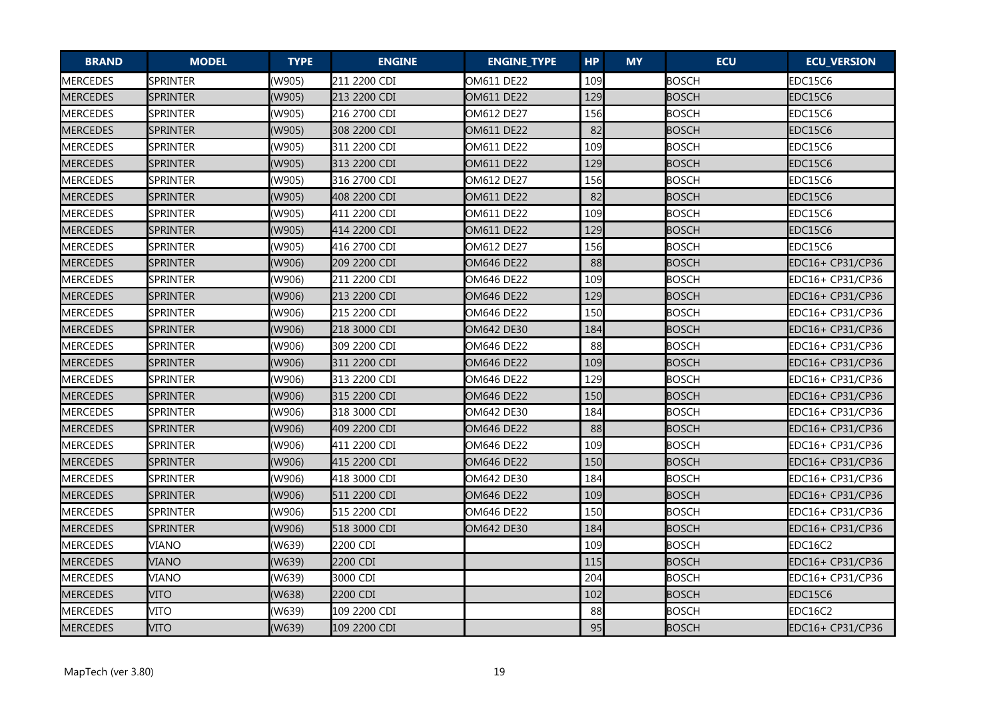| <b>BRAND</b>    | <b>MODEL</b>    | <b>TYPE</b> | <b>ENGINE</b> | <b>ENGINE_TYPE</b> | <b>HP</b> | <b>MY</b> | <b>ECU</b>   | <b>ECU_VERSION</b> |
|-----------------|-----------------|-------------|---------------|--------------------|-----------|-----------|--------------|--------------------|
| MERCEDES        | <b>SPRINTER</b> | (W905)      | 211 2200 CDI  | OM611 DE22         | 109       |           | <b>BOSCH</b> | EDC15C6            |
| <b>MERCEDES</b> | <b>SPRINTER</b> | (W905)      | 213 2200 CDI  | OM611 DE22         | 129       |           | <b>BOSCH</b> | EDC15C6            |
| MERCEDES        | SPRINTER        | (W905)      | 216 2700 CDI  | OM612 DE27         | 156       |           | <b>BOSCH</b> | EDC15C6            |
| <b>MERCEDES</b> | <b>SPRINTER</b> | (W905)      | 308 2200 CDI  | OM611 DE22         | 82        |           | <b>BOSCH</b> | EDC15C6            |
| MERCEDES        | <b>SPRINTER</b> | (W905)      | 311 2200 CDI  | OM611 DE22         | 109       |           | <b>BOSCH</b> | EDC15C6            |
| <b>MERCEDES</b> | <b>SPRINTER</b> | (W905)      | 313 2200 CDI  | OM611 DE22         | 129       |           | <b>BOSCH</b> | EDC15C6            |
| MERCEDES        | <b>SPRINTER</b> | (W905)      | 316 2700 CDI  | OM612 DE27         | 156       |           | <b>BOSCH</b> | EDC15C6            |
| MERCEDES        | <b>SPRINTER</b> | (W905)      | 408 2200 CDI  | OM611 DE22         | 82        |           | <b>BOSCH</b> | EDC15C6            |
| MERCEDES        | <b>SPRINTER</b> | (W905)      | 411 2200 CDI  | OM611 DE22         | 109       |           | <b>BOSCH</b> | EDC15C6            |
| <b>MERCEDES</b> | <b>SPRINTER</b> | (W905)      | 414 2200 CDI  | OM611 DE22         | 129       |           | <b>BOSCH</b> | EDC15C6            |
| MERCEDES        | SPRINTER        | (W905)      | 416 2700 CDI  | OM612 DE27         | 156       |           | <b>BOSCH</b> | EDC15C6            |
| <b>MERCEDES</b> | <b>SPRINTER</b> | (W906)      | 209 2200 CDI  | OM646 DE22         | 88        |           | <b>BOSCH</b> | EDC16+ CP31/CP36   |
| <b>MERCEDES</b> | SPRINTER        | (W906)      | 211 2200 CDI  | OM646 DE22         | 109       |           | <b>BOSCH</b> | EDC16+ CP31/CP36   |
| <b>MERCEDES</b> | <b>SPRINTER</b> | (W906)      | 213 2200 CDI  | OM646 DE22         | 129       |           | <b>BOSCH</b> | EDC16+ CP31/CP36   |
| <b>MERCEDES</b> | <b>SPRINTER</b> | (W906)      | 215 2200 CDI  | OM646 DE22         | 150       |           | <b>BOSCH</b> | EDC16+ CP31/CP36   |
| <b>MERCEDES</b> | <b>SPRINTER</b> | (W906)      | 218 3000 CDI  | OM642 DE30         | 184       |           | <b>BOSCH</b> | EDC16+ CP31/CP36   |
| <b>MERCEDES</b> | <b>SPRINTER</b> | (W906)      | 309 2200 CDI  | OM646 DE22         | 88        |           | <b>BOSCH</b> | EDC16+ CP31/CP36   |
| <b>MERCEDES</b> | <b>SPRINTER</b> | (W906)      | 311 2200 CDI  | <b>OM646 DE22</b>  | 109       |           | <b>BOSCH</b> | EDC16+ CP31/CP36   |
| MERCEDES        | <b>SPRINTER</b> | (W906)      | 313 2200 CDI  | OM646 DE22         | 129       |           | <b>BOSCH</b> | EDC16+ CP31/CP36   |
| MERCEDES        | <b>SPRINTER</b> | (W906)      | 315 2200 CDI  | <b>OM646 DE22</b>  | 150       |           | <b>BOSCH</b> | EDC16+ CP31/CP36   |
| <b>MERCEDES</b> | SPRINTER        | (W906)      | 318 3000 CDI  | OM642 DE30         | 184       |           | BOSCH        | EDC16+ CP31/CP36   |
| <b>MERCEDES</b> | <b>SPRINTER</b> | (W906)      | 409 2200 CDI  | OM646 DE22         | 88        |           | <b>BOSCH</b> | EDC16+ CP31/CP36   |
| MERCEDES        | <b>SPRINTER</b> | (W906)      | 411 2200 CDI  | OM646 DE22         | 109       |           | <b>BOSCH</b> | EDC16+ CP31/CP36   |
| MERCEDES        | <b>SPRINTER</b> | (W906)      | 415 2200 CDI  | OM646 DE22         | 150       |           | <b>BOSCH</b> | EDC16+ CP31/CP36   |
| MERCEDES        | <b>SPRINTER</b> | (W906)      | 418 3000 CDI  | OM642 DE30         | 184       |           | <b>BOSCH</b> | EDC16+ CP31/CP36   |
| <b>MERCEDES</b> | <b>SPRINTER</b> | (W906)      | 511 2200 CDI  | OM646 DE22         | 109       |           | <b>BOSCH</b> | EDC16+ CP31/CP36   |
| MERCEDES        | <b>SPRINTER</b> | (W906)      | 515 2200 CDI  | OM646 DE22         | 150       |           | <b>BOSCH</b> | EDC16+ CP31/CP36   |
| MERCEDES        | <b>SPRINTER</b> | (W906)      | 518 3000 CDI  | OM642 DE30         | 184       |           | <b>BOSCH</b> | EDC16+ CP31/CP36   |
| MERCEDES        | VIANO           | (W639)      | 2200 CDI      |                    | 109       |           | <b>BOSCH</b> | EDC16C2            |
| <b>MERCEDES</b> | VIANO           | (W639)      | 2200 CDI      |                    | 115       |           | <b>BOSCH</b> | EDC16+ CP31/CP36   |
| MERCEDES        | VIANO           | (W639)      | 3000 CDI      |                    | 204       |           | <b>BOSCH</b> | EDC16+ CP31/CP36   |
| <b>MERCEDES</b> | VITO            | (W638)      | 2200 CDI      |                    | 102       |           | <b>BOSCH</b> | EDC15C6            |
| MERCEDES        | <b>VITO</b>     | (W639)      | 109 2200 CDI  |                    | 88        |           | <b>BOSCH</b> | EDC16C2            |
| <b>MERCEDES</b> | <b>VITO</b>     | (W639)      | 109 2200 CDI  |                    | 95        |           | <b>BOSCH</b> | EDC16+ CP31/CP36   |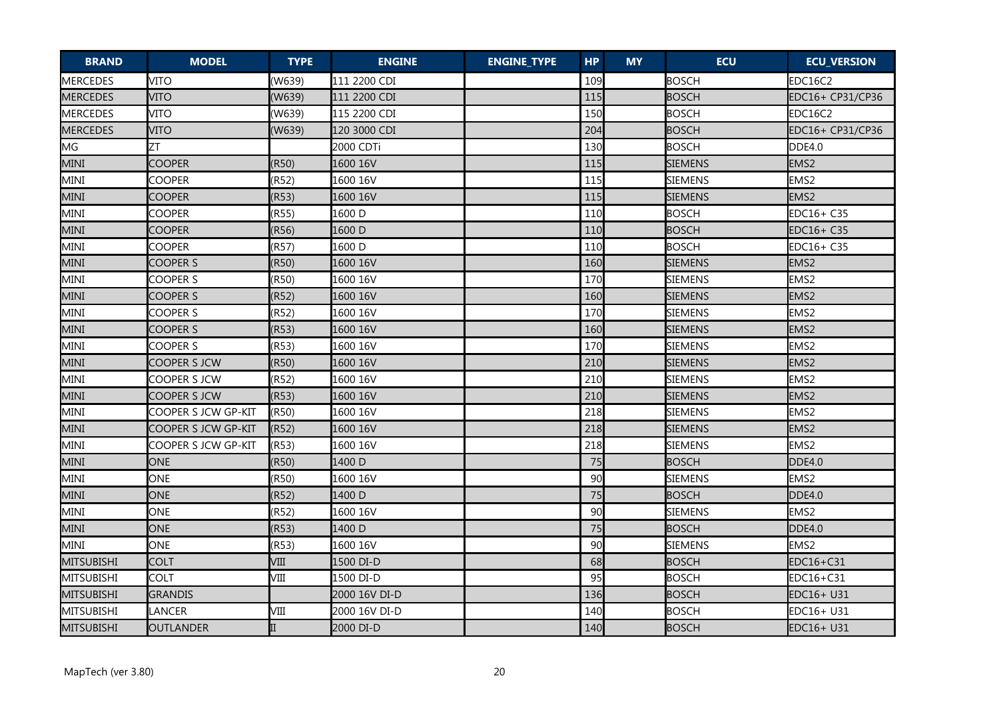| <b>BRAND</b>      | <b>MODEL</b>        | <b>TYPE</b> | <b>ENGINE</b> | <b>ENGINE_TYPE</b> | <b>HP</b> | <b>MY</b> | <b>ECU</b>     | <b>ECU_VERSION</b> |
|-------------------|---------------------|-------------|---------------|--------------------|-----------|-----------|----------------|--------------------|
| MERCEDES          | <b>VITO</b>         | (W639)      | 111 2200 CDI  |                    | 109       |           | <b>BOSCH</b>   | EDC16C2            |
| <b>MERCEDES</b>   | <b>VITO</b>         | (W639)      | 111 2200 CDI  |                    | 115       |           | <b>BOSCH</b>   | EDC16+ CP31/CP36   |
| <b>MERCEDES</b>   | <b>VITO</b>         | (W639)      | 115 2200 CDI  |                    | 150       |           | <b>BOSCH</b>   | EDC16C2            |
| <b>MERCEDES</b>   | <b>VITO</b>         | (W639)      | 120 3000 CDI  |                    | 204       |           | <b>BOSCH</b>   | EDC16+ CP31/CP36   |
| MG                | ZΤ                  |             | 2000 CDTi     |                    | 130       |           | <b>BOSCH</b>   | DDE4.0             |
| MINI              | <b>COOPER</b>       | (R50)       | 1600 16V      |                    | 115       |           | <b>SIEMENS</b> | EMS2               |
| MINI              | <b>COOPER</b>       | (R52)       | 1600 16V      |                    | 115       |           | <b>SIEMENS</b> | EMS2               |
| MINI              | <b>COOPER</b>       | (R53)       | 1600 16V      |                    | 115       |           | <b>SIEMENS</b> | EMS2               |
| MINI              | <b>COOPER</b>       | (R55)       | l1600 D       |                    | 110       |           | <b>BOSCH</b>   | EDC16+ C35         |
| MINI              | <b>COOPER</b>       | (R56)       | 1600 D        |                    | 110       |           | <b>BOSCH</b>   | EDC16+ C35         |
| MINI              | <b>COOPER</b>       | (R57)       | 1600 D        |                    | 110       |           | <b>BOSCH</b>   | EDC16+ C35         |
| MINI              | COOPER S            | (R50)       | 1600 16V      |                    | 160       |           | <b>SIEMENS</b> | EMS2               |
| MINI              | COOPER S            | (R50)       | 1600 16V      |                    | 170       |           | <b>SIEMENS</b> | EMS <sub>2</sub>   |
| MINI              | <b>COOPER S</b>     | (R52)       | 1600 16V      |                    | 160       |           | <b>SIEMENS</b> | EMS2               |
| MINI              | <b>COOPER S</b>     | (R52)       | 1600 16V      |                    | 170       |           | <b>SIEMENS</b> | EMS <sub>2</sub>   |
| MINI              | <b>COOPER S</b>     | (R53)       | 1600 16V      |                    | 160       |           | <b>SIEMENS</b> | EMS <sub>2</sub>   |
| MINI              | <b>COOPER S</b>     | (R53)       | 1600 16V      |                    | 170       |           | <b>SIEMENS</b> | EMS2               |
| <b>MINI</b>       | <b>COOPER S JCW</b> | (R50)       | 1600 16V      |                    | 210       |           | <b>SIEMENS</b> | EMS2               |
| MINI              | COOPER S JCW        | (R52)       | 1600 16V      |                    | 210       |           | <b>SIEMENS</b> | EMS2               |
| MINI              | COOPER S JCW        | (R53)       | 1600 16V      |                    | 210       |           | <b>SIEMENS</b> | EMS2               |
| MINI              | COOPER S JCW GP-KIT | (R50)       | 1600 16V      |                    | 218       |           | <b>SIEMENS</b> | EMS2               |
| MINI              | COOPER S JCW GP-KIT | (R52)       | 1600 16V      |                    | 218       |           | <b>SIEMENS</b> | EMS <sub>2</sub>   |
| MINI              | COOPER S JCW GP-KIT | (R53)       | 1600 16V      |                    | 218       |           | <b>SIEMENS</b> | EMS <sub>2</sub>   |
| MINI              | <b>ONE</b>          | (R50)       | 1400 D        |                    | 75        |           | <b>BOSCH</b>   | <b>DDE4.0</b>      |
| MINI              | ONE                 | (R50)       | 1600 16V      |                    | 90        |           | <b>SIEMENS</b> | EMS <sub>2</sub>   |
| MINI              | <b>ONE</b>          | (R52)       | 1400 D        |                    | 75        |           | <b>BOSCH</b>   | DDE4.0             |
| MINI              | ONE                 | (R52)       | 1600 16V      |                    | 90        |           | <b>SIEMENS</b> | EMS <sub>2</sub>   |
| MINI              | ONE                 | (R53)       | 1400 D        |                    | 75        |           | <b>BOSCH</b>   | <b>DDE4.0</b>      |
| MINI              | ONE                 | (R53)       | 1600 16V      |                    | 90        |           | <b>SIEMENS</b> | EMS <sub>2</sub>   |
| <b>MITSUBISHI</b> | <b>COLT</b>         | VIII        | 1500 DI-D     |                    | 68        |           | <b>BOSCH</b>   | EDC16+C31          |
| MITSUBISHI        | <b>COLT</b>         | VIII        | 1500 DI-D     |                    | 95        |           | <b>BOSCH</b>   | EDC16+C31          |
| <b>MITSUBISHI</b> | <b>GRANDIS</b>      |             | 2000 16V DI-D |                    | 136       |           | <b>BOSCH</b>   | EDC16+ U31         |
| MITSUBISHI        | <b>LANCER</b>       | VIII        | 2000 16V DI-D |                    | 140       |           | <b>BOSCH</b>   | EDC16+ U31         |
| <b>MITSUBISHI</b> | OUTLANDER           | II          | 2000 DI-D     |                    | 140       |           | <b>BOSCH</b>   | EDC16+ U31         |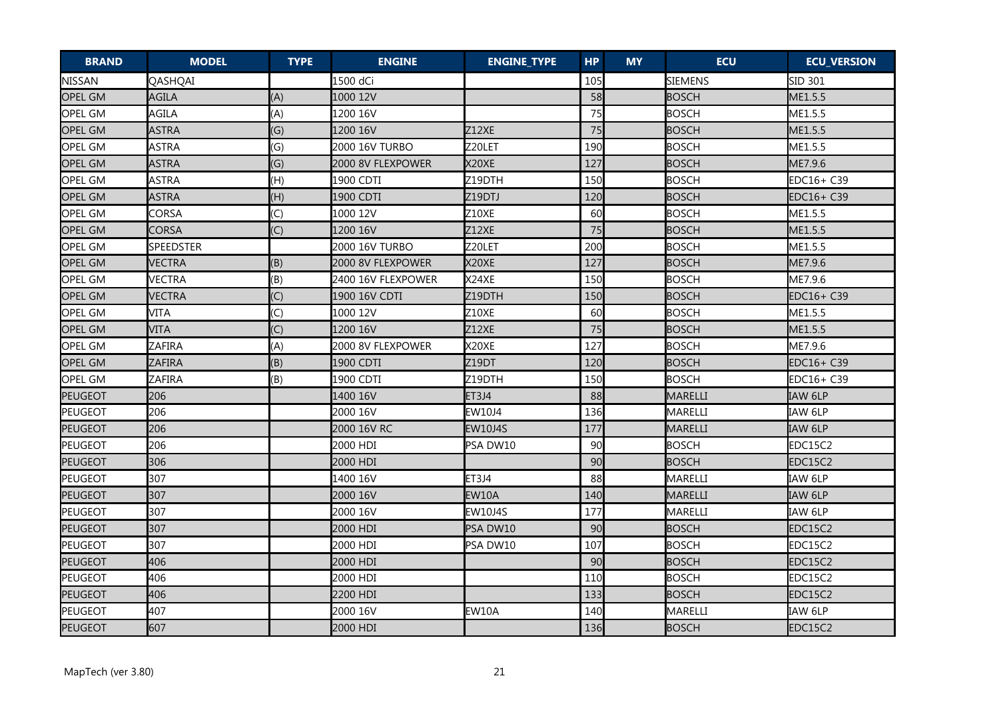| <b>BRAND</b>   | <b>MODEL</b>     | <b>TYPE</b>    | <b>ENGINE</b>      | <b>ENGINE_TYPE</b> | <b>HP</b> | <b>MY</b> | <b>ECU</b>   | <b>ECU_VERSION</b> |
|----------------|------------------|----------------|--------------------|--------------------|-----------|-----------|--------------|--------------------|
| <b>NISSAN</b>  | QASHQAI          |                | 1500 dCi           |                    | 105       |           | SIEMENS      | SID 301            |
| <b>OPEL GM</b> | AGILA            | (A)            | 1000 12V           |                    | 58        |           | <b>BOSCH</b> | ME1.5.5            |
| <b>OPEL GM</b> | AGILA            | (A)            | 1200 16V           |                    | 75        |           | <b>BOSCH</b> | ME1.5.5            |
| <b>OPEL GM</b> | <b>ASTRA</b>     | (G)            | 1200 16V           | Z12XE              | 75        |           | <b>BOSCH</b> | ME1.5.5            |
| OPEL GM        | <b>ASTRA</b>     | (G)            | 2000 16V TURBO     | Z20LET             | 190       |           | <b>BOSCH</b> | ME1.5.5            |
| <b>OPEL GM</b> | <b>ASTRA</b>     | (G)            | 2000 8V FLEXPOWER  | X20XE              | 127       |           | <b>BOSCH</b> | ME7.9.6            |
| <b>OPEL GM</b> | <b>ASTRA</b>     | (H)            | 1900 CDTI          | Z19DTH             | 150       |           | <b>BOSCH</b> | EDC16+ C39         |
| <b>OPEL GM</b> | <b>ASTRA</b>     | (H)            | 1900 CDTI          | Z19DTJ             | 120       |           | <b>BOSCH</b> | EDC16+ C39         |
| <b>OPEL GM</b> | CORSA            | $\overline{C}$ | 1000 12V           | Z10XE              | 60        |           | <b>BOSCH</b> | ME1.5.5            |
| <b>OPEL GM</b> | <b>CORSA</b>     | (C)            | 1200 16V           | <b>Z12XE</b>       | 75        |           | <b>BOSCH</b> | ME1.5.5            |
| <b>OPEL GM</b> | <b>SPEEDSTER</b> |                | 2000 16V TURBO     | Z20LET             | 200       |           | <b>BOSCH</b> | ME1.5.5            |
| <b>OPEL GM</b> | <b>VECTRA</b>    | (B)            | 2000 8V FLEXPOWER  | X20XE              | 127       |           | <b>BOSCH</b> | ME7.9.6            |
| OPEL GM        | <b>VECTRA</b>    | (B)            | 2400 16V FLEXPOWER | X24XE              | 150       |           | <b>BOSCH</b> | ME7.9.6            |
| <b>OPEL GM</b> | <b>VECTRA</b>    | (C)            | 1900 16V CDTI      | Z19DTH             | 150       |           | <b>BOSCH</b> | EDC16+ C39         |
| <b>OPEL GM</b> | VITA             | (C)            | 1000 12V           | <b>Z10XE</b>       | 60        |           | <b>BOSCH</b> | ME1.5.5            |
| <b>OPEL GM</b> | <b>VITA</b>      | (C)            | 1200 16V           | Z12XE              | 75        |           | <b>BOSCH</b> | ME1.5.5            |
| <b>OPEL GM</b> | ZAFIRA           | (A)            | 2000 8V FLEXPOWER  | X20XE              | 127       |           | <b>BOSCH</b> | ME7.9.6            |
| <b>OPEL GM</b> | <b>ZAFIRA</b>    | (B)            | 1900 CDTI          | Z <sub>19</sub> DT | 120       |           | <b>BOSCH</b> | EDC16+ C39         |
| <b>OPEL GM</b> | <b>ZAFIRA</b>    | (B)            | 1900 CDTI          | Z19DTH             | 150       |           | <b>BOSCH</b> | EDC16+ C39         |
| <b>PEUGEOT</b> | 206              |                | 1400 16V           | ET3J4              | 88        |           | MARELLI      | IAW 6LP            |
| PEUGEOT        | 206              |                | 2000 16V           | EW10J4             | 136       |           | MARELLI      | IAW 6LP            |
| <b>PEUGEOT</b> | 206              |                | 2000 16V RC        | EW10J4S            | 177       |           | MARELLI      | IAW 6LP            |
| PEUGEOT        | 206              |                | 2000 HDI           | PSA DW10           | 90        |           | <b>BOSCH</b> | EDC15C2            |
| PEUGEOT        | 306              |                | 2000 HDI           |                    | 90        |           | <b>BOSCH</b> | EDC15C2            |
| PEUGEOT        | 307              |                | 1400 16V           | ET3J4              | 88        |           | MARELLI      | IAW 6LP            |
| <b>PEUGEOT</b> | 307              |                | 2000 16V           | <b>EW10A</b>       | 140       |           | MARELLI      | IAW 6LP            |
| PEUGEOT        | 307              |                | 2000 16V           | <b>EW10J4S</b>     | 177       |           | MARELLI      | IAW 6LP            |
| <b>PEUGEOT</b> | 307              |                | 2000 HDI           | PSA DW10           | 90        |           | <b>BOSCH</b> | EDC15C2            |
| PEUGEOT        | 307              |                | 2000 HDI           | PSA DW10           | 107       |           | <b>BOSCH</b> | EDC15C2            |
| PEUGEOT        | 406              |                | 2000 HDI           |                    | 90        |           | <b>BOSCH</b> | EDC15C2            |
| PEUGEOT        | 406              |                | 2000 HDI           |                    | 110       |           | <b>BOSCH</b> | EDC15C2            |
| <b>PEUGEOT</b> | 406              |                | 2200 HDI           |                    | 133       |           | <b>BOSCH</b> | EDC15C2            |
| PEUGEOT        | 407              |                | 2000 16V           | EW10A              | 140       |           | MARELLI      | IAW 6LP            |
| PEUGEOT        | 607              |                | 2000 HDI           |                    | 136       |           | <b>BOSCH</b> | EDC15C2            |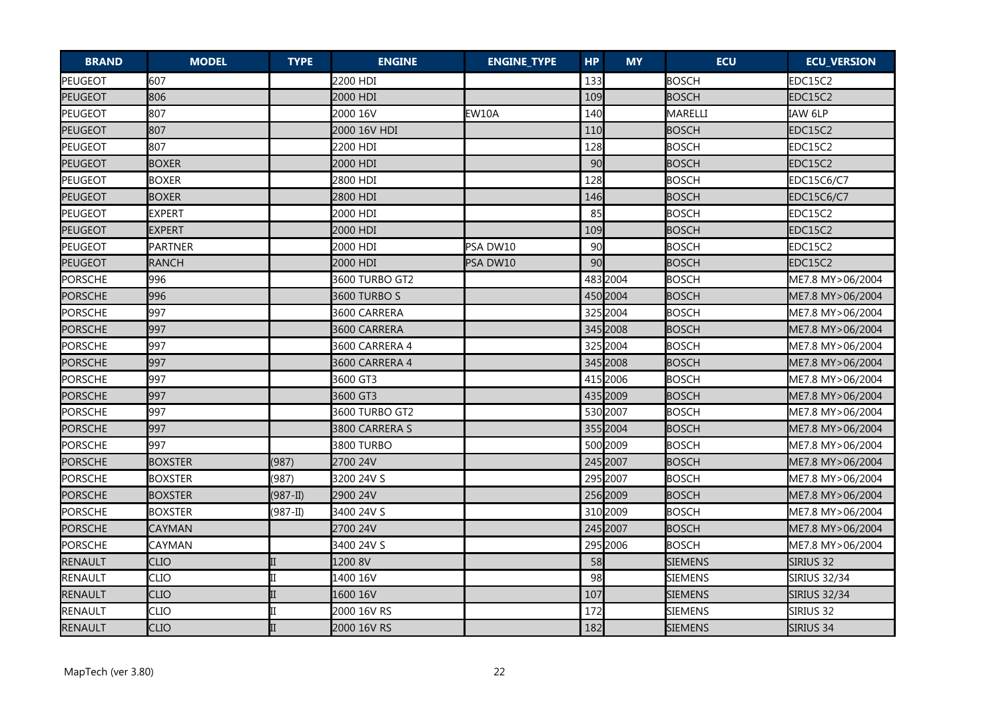| <b>BRAND</b>   | <b>MODEL</b>   | <b>TYPE</b>  | <b>ENGINE</b>  | <b>ENGINE_TYPE</b> | <b>HP</b> | <b>MY</b> | <b>ECU</b>     | <b>ECU_VERSION</b>  |
|----------------|----------------|--------------|----------------|--------------------|-----------|-----------|----------------|---------------------|
| <b>PEUGEOT</b> | 607            |              | 2200 HDI       |                    | 133       |           | <b>BOSCH</b>   | EDC15C2             |
| PEUGEOT        | 806            |              | 2000 HDI       |                    | 109       |           | <b>BOSCH</b>   | EDC15C2             |
| PEUGEOT        | 807            |              | 2000 16V       | EW10A              | 140       |           | MARELLI        | IAW 6LP             |
| PEUGEOT        | 807            |              | 2000 16V HDI   |                    | 110       |           | <b>BOSCH</b>   | EDC15C2             |
| PEUGEOT        | 807            |              | 2200 HDI       |                    | 128       |           | <b>BOSCH</b>   | EDC15C2             |
| PEUGEOT        | <b>BOXER</b>   |              | 2000 HDI       |                    | 90        |           | <b>BOSCH</b>   | EDC15C2             |
| PEUGEOT        | <b>BOXER</b>   |              | 2800 HDI       |                    | 128       |           | <b>BOSCH</b>   | EDC15C6/C7          |
| PEUGEOT        | <b>BOXER</b>   |              | 2800 HDI       |                    | 146       |           | <b>BOSCH</b>   | EDC15C6/C7          |
| PEUGEOT        | <b>EXPERT</b>  |              | 2000 HDI       |                    | 85        |           | <b>BOSCH</b>   | EDC15C2             |
| PEUGEOT        | <b>EXPERT</b>  |              | 2000 HDI       |                    | 109       |           | <b>BOSCH</b>   | EDC15C2             |
| PEUGEOT        | <b>PARTNER</b> |              | 2000 HDI       | PSA DW10           | 90        |           | <b>BOSCH</b>   | EDC15C2             |
| PEUGEOT        | <b>RANCH</b>   |              | 2000 HDI       | PSA DW10           | 90        |           | <b>BOSCH</b>   | EDC15C2             |
| <b>PORSCHE</b> | 996            |              | 3600 TURBO GT2 |                    |           | 483 2004  | <b>BOSCH</b>   | ME7.8 MY>06/2004    |
| <b>PORSCHE</b> | 996            |              | 3600 TURBO S   |                    |           | 450 2004  | <b>BOSCH</b>   | ME7.8 MY>06/2004    |
| <b>PORSCHE</b> | 997            |              | 3600 CARRERA   |                    |           | 325 2004  | <b>BOSCH</b>   | ME7.8 MY>06/2004    |
| PORSCHE        | 997            |              | 3600 CARRERA   |                    |           | 345 2008  | <b>BOSCH</b>   | ME7.8 MY>06/2004    |
| PORSCHE        | 997            |              | 3600 CARRERA 4 |                    |           | 325 2004  | <b>BOSCH</b>   | ME7.8 MY>06/2004    |
| PORSCHE        | 997            |              | 3600 CARRERA 4 |                    |           | 345 2008  | <b>BOSCH</b>   | ME7.8 MY>06/2004    |
| <b>PORSCHE</b> | 997            |              | 3600 GT3       |                    |           | 415 2006  | <b>BOSCH</b>   | ME7.8 MY>06/2004    |
| <b>PORSCHE</b> | 997            |              | 3600 GT3       |                    |           | 435 2009  | <b>BOSCH</b>   | ME7.8 MY>06/2004    |
| PORSCHE        | 997            |              | 3600 TURBO GT2 |                    |           | 530 2007  | <b>BOSCH</b>   | ME7.8 MY>06/2004    |
| <b>PORSCHE</b> | 997            |              | 3800 CARRERA S |                    |           | 3552004   | <b>BOSCH</b>   | ME7.8 MY>06/2004    |
| <b>PORSCHE</b> | 997            |              | 3800 TURBO     |                    |           | 500 2009  | <b>BOSCH</b>   | ME7.8 MY>06/2004    |
| <b>PORSCHE</b> | <b>BOXSTER</b> | (987)        | 2700 24V       |                    |           | 245 2007  | <b>BOSCH</b>   | ME7.8 MY>06/2004    |
| <b>PORSCHE</b> | <b>BOXSTER</b> | (987)        | 3200 24V S     |                    |           | 295 2007  | <b>BOSCH</b>   | ME7.8 MY>06/2004    |
| PORSCHE        | <b>BOXSTER</b> | $(987 - II)$ | 2900 24V       |                    |           | 256 2009  | <b>BOSCH</b>   | ME7.8 MY>06/2004    |
| PORSCHE        | <b>BOXSTER</b> | $(987 - II)$ | 3400 24V S     |                    |           | 310 2009  | <b>BOSCH</b>   | ME7.8 MY>06/2004    |
| <b>PORSCHE</b> | <b>CAYMAN</b>  |              | 2700 24V       |                    |           | 245 2007  | <b>BOSCH</b>   | ME7.8 MY>06/2004    |
| PORSCHE        | CAYMAN         |              | 3400 24V S     |                    |           | 295 2006  | <b>BOSCH</b>   | ME7.8 MY>06/2004    |
| RENAULT        | CLIO           |              | 1200 8V        |                    | 58        |           | SIEMENS        | Sirius 32           |
| RENAULT        | CLIO           |              | 1400 16V       |                    | 98        |           | <b>SIEMENS</b> | <b>SIRIUS 32/34</b> |
| RENAULT        | <b>CLIO</b>    |              | 1600 16V       |                    | 107       |           | <b>SIEMENS</b> | <b>SIRIUS 32/34</b> |
| RENAULT        | <b>CLIO</b>    |              | 2000 16V RS    |                    | 172       |           | <b>SIEMENS</b> | SIRIUS 32           |
| <b>RENAULT</b> | <b>CLIO</b>    |              | 2000 16V RS    |                    | 182       |           | <b>SIEMENS</b> | SIRIUS 34           |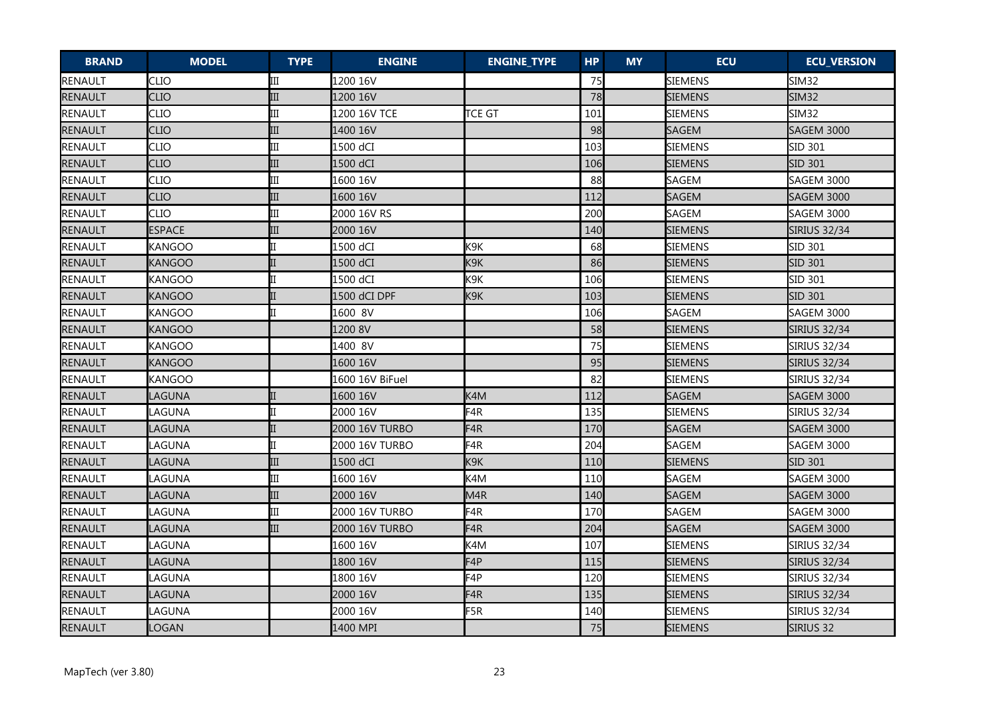| <b>BRAND</b>   | <b>MODEL</b>  | <b>TYPE</b> | <b>ENGINE</b>         | <b>ENGINE_TYPE</b> | <b>HP</b> | <b>MY</b> | <b>ECU</b>     | <b>ECU_VERSION</b>  |
|----------------|---------------|-------------|-----------------------|--------------------|-----------|-----------|----------------|---------------------|
| RENAULT        | <b>CLIO</b>   | III         | 1200 16V              |                    | 75        |           | SIEMENS        | SIM <sub>32</sub>   |
| RENAULT        | <b>CLIO</b>   | III         | 1200 16V              |                    | 78        |           | SIEMENS        | SIM32               |
| RENAULT        | <b>CLIO</b>   | III         | 1200 16V TCE          | <b>TCE GT</b>      | 101       |           | <b>SIEMENS</b> | <b>SIM32</b>        |
| RENAULT        | <b>CLIO</b>   | III         | 1400 16V              |                    | 98        |           | <b>SAGEM</b>   | <b>SAGEM 3000</b>   |
| RENAULT        | CLIO          | III         | 1500 dCI              |                    | 103       |           | SIEMENS        | SID 301             |
| RENAULT        | <b>CLIO</b>   | III         | 1500 dCI              |                    | 106       |           | <b>SIEMENS</b> | SID 301             |
| RENAULT        | CLIO          | III         | 1600 16V              |                    | 88        |           | <b>SAGEM</b>   | SAGEM 3000          |
| RENAULT        | <b>CLIO</b>   | III         | 1600 16V              |                    | 112       |           | <b>SAGEM</b>   | <b>SAGEM 3000</b>   |
| RENAULT        | <b>CLIO</b>   | III         | 2000 16V RS           |                    | 200       |           | <b>SAGEM</b>   | SAGEM 3000          |
| RENAULT        | <b>ESPACE</b> | III         | 2000 16V              |                    | 140       |           | <b>SIEMENS</b> | <b>SIRIUS 32/34</b> |
| RENAULT        | <b>KANGOO</b> |             | 1500 dCI              | K <sub>9</sub> K   | 68        |           | <b>SIEMENS</b> | SID 301             |
| RENAULT        | KANGOO        |             | 1500 dCI              | K9K                | 86        |           | <b>SIEMENS</b> | SID 301             |
| RENAULT        | KANGOO        |             | 1500 dCI              | K9K                | 106       |           | <b>SIEMENS</b> | SID 301             |
| RENAULT        | <b>KANGOO</b> |             | 1500 dCI DPF          | K9K                | 103       |           | <b>SIEMENS</b> | <b>SID 301</b>      |
| RENAULT        | <b>KANGOO</b> | IΤ          | 1600 8V               |                    | 106       |           | SAGEM          | <b>SAGEM 3000</b>   |
| RENAULT        | <b>KANGOO</b> |             | 1200 8V               |                    | 58        |           | <b>SIEMENS</b> | <b>SIRIUS 32/34</b> |
| RENAULT        | <b>KANGOO</b> |             | 1400 8V               |                    | 75        |           | <b>SIEMENS</b> | <b>SIRIUS 32/34</b> |
| RENAULT        | <b>KANGOO</b> |             | 1600 16V              |                    | 95        |           | SIEMENS        | Sirius 32/34        |
| RENAULT        | <b>KANGOO</b> |             | 1600 16V BiFuel       |                    | 82        |           | <b>SIEMENS</b> | <b>SIRIUS 32/34</b> |
| RENAULT        | LAGUNA        |             | 1600 16V              | K4M                | 112       |           | <b>SAGEM</b>   | <b>SAGEM 3000</b>   |
| RENAULT        | LAGUNA        |             | 2000 16V              | F <sub>4</sub> R   | 135       |           | <b>SIEMENS</b> | <b>SIRIUS 32/34</b> |
| <b>RENAULT</b> | LAGUNA        |             | <b>2000 16V TURBO</b> | F4R                | 170       |           | <b>SAGEM</b>   | SAGEM 3000          |
| RENAULT        | LAGUNA        |             | 2000 16V TURBO        | F4R                | 204       |           | SAGEM          | SAGEM 3000          |
| RENAULT        | LAGUNA        | III         | 1500 dCI              | K <sub>9</sub> K   | 110       |           | <b>SIEMENS</b> | SID 301             |
| RENAULT        | LAGUNA        | Ш           | 1600 16V              | K4M                | 110       |           | SAGEM          | SAGEM 3000          |
| RENAULT        | LAGUNA        | III         | 2000 16V              | M <sub>4R</sub>    | 140       |           | <b>SAGEM</b>   | SAGEM 3000          |
| RENAULT        | LAGUNA        | III         | <b>2000 16V TURBO</b> | F <sub>4R</sub>    | 170       |           | <b>SAGEM</b>   | SAGEM 3000          |
| RENAULT        | LAGUNA        | III         | <b>2000 16V TURBO</b> | F <sub>4</sub> R   | 204       |           | <b>SAGEM</b>   | <b>SAGEM 3000</b>   |
| RENAULT        | LAGUNA        |             | 1600 16V              | K4M                | 107       |           | <b>SIEMENS</b> | SIRIUS 32/34        |
| RENAULT        | LAGUNA        |             | 1800 16V              | F <sub>4</sub> P   | 115       |           | <b>SIEMENS</b> | <b>SIRIUS 32/34</b> |
| RENAULT        | LAGUNA        |             | 1800 16V              | F4P                | 120       |           | <b>SIEMENS</b> | <b>SIRIUS 32/34</b> |
| RENAULT        | LAGUNA        |             | 2000 16V              | F <sub>4</sub> R   | 135       |           | <b>SIEMENS</b> | <b>SIRIUS 32/34</b> |
| RENAULT        | LAGUNA        |             | 2000 16V              | F5R                | 140       |           | <b>SIEMENS</b> | <b>SIRIUS 32/34</b> |
| RENAULT        | <b>LOGAN</b>  |             | 1400 MPI              |                    | 75        |           | <b>SIEMENS</b> | SIRIUS 32           |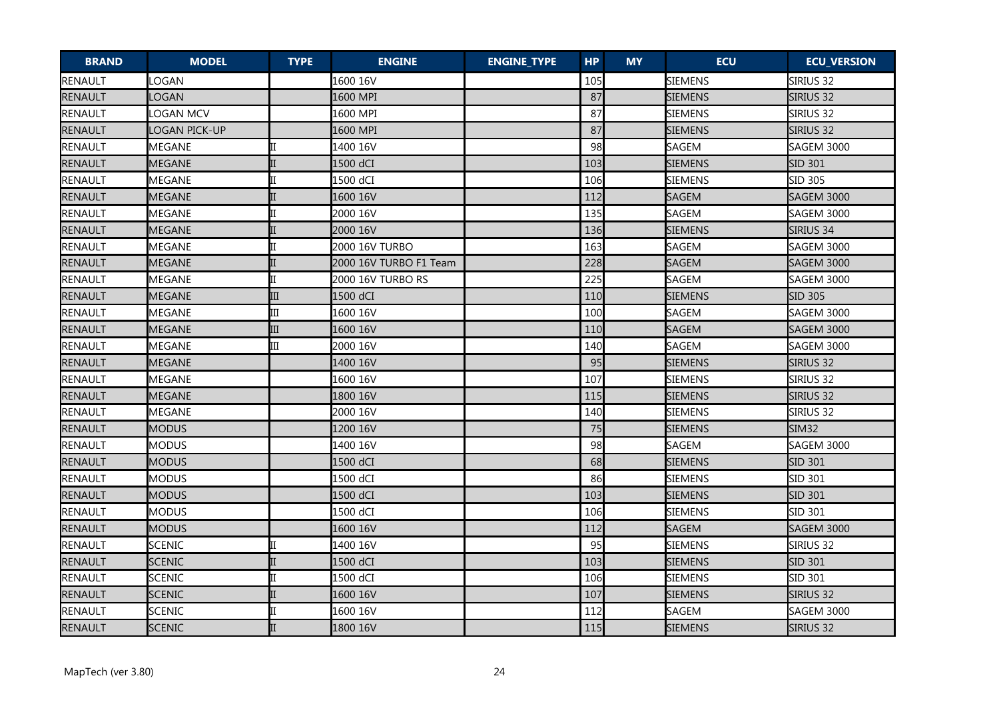| <b>BRAND</b>   | <b>MODEL</b>  | <b>TYPE</b> | <b>ENGINE</b>          | <b>ENGINE_TYPE</b> | <b>HP</b> | <b>MY</b> | <b>ECU</b>     | <b>ECU_VERSION</b> |
|----------------|---------------|-------------|------------------------|--------------------|-----------|-----------|----------------|--------------------|
| RENAULT        | LOGAN         |             | 1600 16V               |                    | 105       |           | SIEMENS        | Sirius 32          |
| RENAULT        | LOGAN         |             | 1600 MPI               |                    | 87        |           | SIEMENS        | SIRIUS 32          |
| RENAULT        | LOGAN MCV     |             | 1600 MPI               |                    | 87        |           | <b>SIEMENS</b> | SIRIUS 32          |
| RENAULT        | OGAN PICK-UP  |             | 1600 MPI               |                    | 87        |           | SIEMENS        | SIRIUS 32          |
| RENAULT        | MEGANE        |             | 1400 16V               |                    | 98        |           | SAGEM          | SAGEM 3000         |
| RENAULT        | <b>MEGANE</b> |             | 1500 dCI               |                    | 103       |           | <b>SIEMENS</b> | <b>SID 301</b>     |
| RENAULT        | <b>MEGANE</b> |             | 1500 dCI               |                    | 106       |           | <b>SIEMENS</b> | SID 305            |
| RENAULT        | <b>MEGANE</b> |             | 1600 16V               |                    | 112       |           | <b>SAGEM</b>   | <b>SAGEM 3000</b>  |
| RENAULT        | MEGANE        |             | 2000 16V               |                    | 135       |           | <b>SAGEM</b>   | SAGEM 3000         |
| RENAULT        | <b>MEGANE</b> |             | 2000 16V               |                    | 136       |           | <b>SIEMENS</b> | SIRIUS 34          |
| RENAULT        | <b>MEGANE</b> |             | 2000 16V TURBO         |                    | 163       |           | SAGEM          | <b>SAGEM 3000</b>  |
| RENAULT        | <b>MEGANE</b> |             | 2000 16V TURBO F1 Team |                    | 228       |           | <b>SAGEM</b>   | <b>SAGEM 3000</b>  |
| RENAULT        | <b>MEGANE</b> |             | 2000 16V TURBO RS      |                    | 225       |           | <b>SAGEM</b>   | SAGEM 3000         |
| RENAULT        | <b>MEGANE</b> | III         | 1500 dCI               |                    | 110       |           | <b>SIEMENS</b> | <b>SID 305</b>     |
| RENAULT        | <b>MEGANE</b> | III         | 1600 16V               |                    | 100       |           | SAGEM          | <b>SAGEM 3000</b>  |
| RENAULT        | <b>MEGANE</b> | III         | 1600 16V               |                    | 110       |           | <b>SAGEM</b>   | <b>SAGEM 3000</b>  |
| RENAULT        | <b>MEGANE</b> | III         | 2000 16V               |                    | 140       |           | <b>SAGEM</b>   | SAGEM 3000         |
| RENAULT        | <b>MEGANE</b> |             | 1400 16V               |                    | 95        |           | <b>SIEMENS</b> | SIRIUS 32          |
| RENAULT        | <b>MEGANE</b> |             | 1600 16V               |                    | 107       |           | <b>SIEMENS</b> | Sirius 32          |
| RENAULT        | <b>MEGANE</b> |             | 1800 16V               |                    | 115       |           | <b>SIEMENS</b> | SIRIUS 32          |
| RENAULT        | MEGANE        |             | 2000 16V               |                    | 140       |           | SIEMENS        | Sirius 32          |
| RENAULT        | <b>MODUS</b>  |             | 1200 16V               |                    | 75        |           | <b>SIEMENS</b> | <b>SIM32</b>       |
| RENAULT        | <b>MODUS</b>  |             | 1400 16V               |                    | 98        |           | <b>SAGEM</b>   | <b>SAGEM 3000</b>  |
| RENAULT        | <b>MODUS</b>  |             | 1500 dCI               |                    | 68        |           | <b>SIEMENS</b> | SID 301            |
| RENAULT        | <b>MODUS</b>  |             | 1500 dCI               |                    | 86        |           | <b>SIEMENS</b> | SID 301            |
| RENAULT        | <b>MODUS</b>  |             | 1500 dCI               |                    | 103       |           | SIEMENS        | <b>SID 301</b>     |
| RENAULT        | <b>MODUS</b>  |             | 1500 dCI               |                    | 106       |           | <b>SIEMENS</b> | SID 301            |
| RENAULT        | <b>MODUS</b>  |             | 1600 16V               |                    | 112       |           | <b>SAGEM</b>   | <b>SAGEM 3000</b>  |
| RENAULT        | <b>SCENIC</b> |             | 1400 16V               |                    | 95        |           | <b>SIEMENS</b> | SIRIUS 32          |
| <b>RENAULT</b> | <b>SCENIC</b> |             | 1500 dCI               |                    | 103       |           | <b>SIEMENS</b> | SID 301            |
| RENAULT        | <b>SCENIC</b> |             | 1500 dCI               |                    | 106       |           | <b>SIEMENS</b> | SID 301            |
| RENAULT        | <b>SCENIC</b> |             | 1600 16V               |                    | 107       |           | <b>SIEMENS</b> | SIRIUS 32          |
| RENAULT        | <b>SCENIC</b> |             | 1600 16V               |                    | 112       |           | <b>SAGEM</b>   | <b>SAGEM 3000</b>  |
| <b>RENAULT</b> | <b>SCENIC</b> |             | 1800 16V               |                    | 115       |           | <b>SIEMENS</b> | SIRIUS 32          |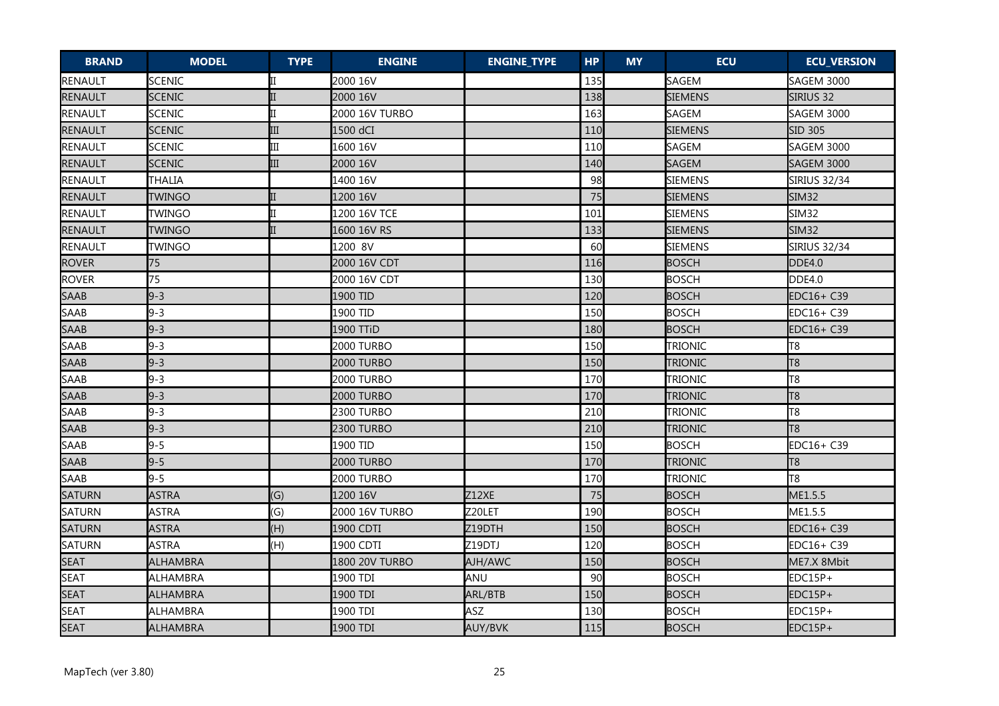| <b>BRAND</b>  | <b>MODEL</b>    | <b>TYPE</b> | <b>ENGINE</b>     | <b>ENGINE_TYPE</b> | <b>HP</b> | <b>MY</b> | <b>ECU</b>     | <b>ECU_VERSION</b>  |
|---------------|-----------------|-------------|-------------------|--------------------|-----------|-----------|----------------|---------------------|
| RENAULT       | <b>SCENIC</b>   |             | 2000 16V          |                    | 135       |           | SAGEM          | SAGEM 3000          |
| RENAULT       | <b>SCENIC</b>   |             | 2000 16V          |                    | 138       |           | <b>SIEMENS</b> | Sirius 32           |
| RENAULT       | <b>SCENIC</b>   |             | 2000 16V TURBO    |                    | 163       |           | SAGEM          | <b>SAGEM 3000</b>   |
| RENAULT       | <b>SCENIC</b>   | III         | 1500 dCI          |                    | 110       |           | <b>SIEMENS</b> | <b>SID 305</b>      |
| RENAULT       | <b>SCENIC</b>   | III         | 1600 16V          |                    | 110       |           | SAGEM          | <b>SAGEM 3000</b>   |
| RENAULT       | <b>SCENIC</b>   | III         | 2000 16V          |                    | 140       |           | <b>SAGEM</b>   | <b>SAGEM 3000</b>   |
| RENAULT       | <b>THALIA</b>   |             | 1400 16V          |                    | 98        |           | <b>SIEMENS</b> | SIRIUS 32/34        |
| RENAULT       | <b>TWINGO</b>   |             | 1200 16V          |                    | 75        |           | <b>SIEMENS</b> | <b>SIM32</b>        |
| RENAULT       | <b>TWINGO</b>   |             | 1200 16V TCE      |                    | 101       |           | <b>SIEMENS</b> | SIM32               |
| RENAULT       | <b>TWINGO</b>   | II          | 1600 16V RS       |                    | 133       |           | <b>SIEMENS</b> | <b>SIM32</b>        |
| RENAULT       | <b>TWINGO</b>   |             | 1200 8V           |                    | 60        |           | <b>SIEMENS</b> | <b>SIRIUS 32/34</b> |
| <b>ROVER</b>  | 75              |             | 2000 16V CDT      |                    | 116       |           | <b>BOSCH</b>   | DDE4.0              |
| <b>ROVER</b>  | 75              |             | 2000 16V CDT      |                    | 130       |           | BOSCH          | <b>DDE4.0</b>       |
| <b>SAAB</b>   | $9 - 3$         |             | 1900 TID          |                    | 120       |           | <b>BOSCH</b>   | EDC16+ C39          |
| SAAB          | $9 - 3$         |             | 1900 TID          |                    | 150       |           | <b>BOSCH</b>   | EDC16+ C39          |
| <b>SAAB</b>   | $9 - 3$         |             | 1900 TTiD         |                    | 180       |           | <b>BOSCH</b>   | EDC16+ C39          |
| SAAB          | $9 - 3$         |             | 2000 TURBO        |                    | 150       |           | <b>TRIONIC</b> | T8                  |
| <b>SAAB</b>   | $9 - 3$         |             | 2000 TURBO        |                    | 150       |           | <b>TRIONIC</b> | T <sub>8</sub>      |
| SAAB          | $9 - 3$         |             | <b>2000 TURBO</b> |                    | 170       |           | <b>TRIONIC</b> | T8                  |
| <b>SAAB</b>   | $9 - 3$         |             | 2000 TURBO        |                    | 170       |           | TRIONIC        | T <sub>8</sub>      |
| SAAB          | $9 - 3$         |             | <b>2300 TURBO</b> |                    | 210       |           | Trionic        | T8                  |
| <b>SAAB</b>   | $9 - 3$         |             | 2300 TURBO        |                    | 210       |           | <b>TRIONIC</b> | T <sub>8</sub>      |
| SAAB          | $9 - 5$         |             | 1900 TID          |                    | 150       |           | <b>BOSCH</b>   | EDC16+ C39          |
| <b>SAAB</b>   | $9 - 5$         |             | 2000 TURBO        |                    | 170       |           | <b>TRIONIC</b> | T <sub>8</sub>      |
| SAAB          | $9 - 5$         |             | 2000 TURBO        |                    | 170       |           | TRIONIC        | T8                  |
| <b>SATURN</b> | <b>ASTRA</b>    | (G)         | 1200 16V          | Z12XE              | 75        |           | <b>BOSCH</b>   | ME1.5.5             |
| SATURN        | <b>ASTRA</b>    | (G)         | 2000 16V TURBO    | Z20LET             | 190       |           | <b>BOSCH</b>   | ME1.5.5             |
| <b>SATURN</b> | <b>ASTRA</b>    | (H)         | 1900 CDTI         | Z19DTH             | 150       |           | <b>BOSCH</b>   | EDC16+ C39          |
| SATURN        | <b>ASTRA</b>    | (H)         | 1900 CDTI         | Z19DTJ             | 120       |           | <b>BOSCH</b>   | EDC16+ C39          |
| <b>SEAT</b>   | <b>ALHAMBRA</b> |             | 1800 20V TURBO    | AJH/AWC            | 150       |           | <b>BOSCH</b>   | ME7.X 8Mbit         |
| <b>SEAT</b>   | ALHAMBRA        |             | 1900 TDI          | ANU                | 90        |           | <b>BOSCH</b>   | EDC15P+             |
| <b>SEAT</b>   | <b>ALHAMBRA</b> |             | 1900 TDI          | ARL/BTB            | 150       |           | <b>BOSCH</b>   | EDC15P+             |
| <b>SEAT</b>   | <b>ALHAMBRA</b> |             | 1900 TDI          | ASZ                | 130       |           | <b>BOSCH</b>   | EDC15P+             |
| <b>SEAT</b>   | <b>ALHAMBRA</b> |             | 1900 TDI          | AUY/BVK            | 115       |           | <b>BOSCH</b>   | EDC15P+             |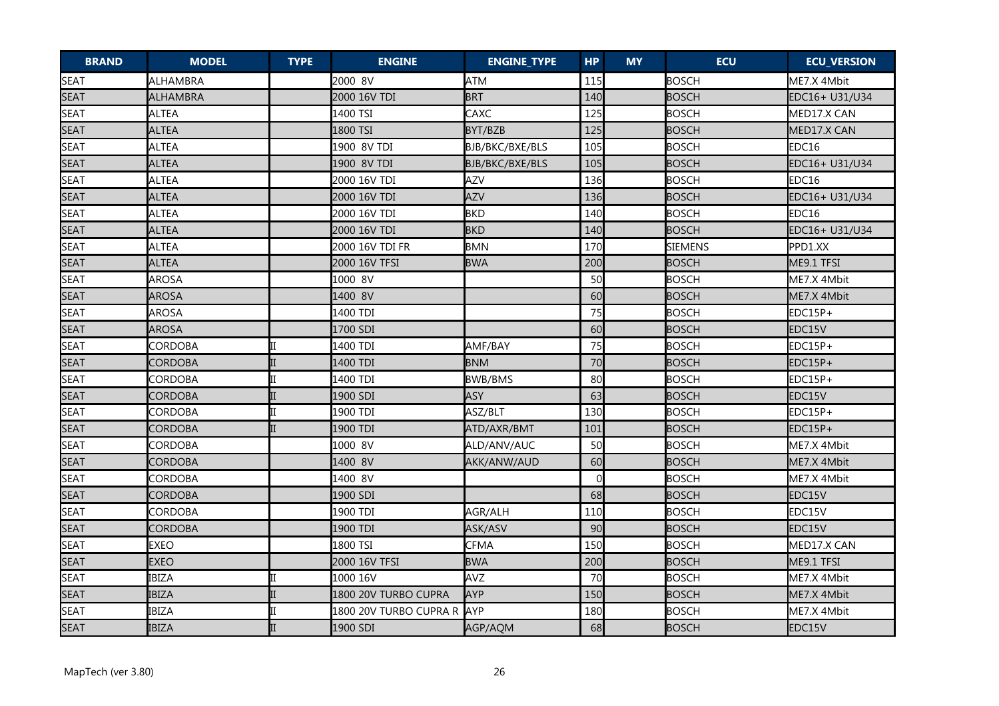| <b>BRAND</b> | <b>MODEL</b>   | <b>TYPE</b> | <b>ENGINE</b>          | <b>ENGINE_TYPE</b> | <b>HP</b> | <b>MY</b> | <b>ECU</b>     | <b>ECU_VERSION</b> |
|--------------|----------------|-------------|------------------------|--------------------|-----------|-----------|----------------|--------------------|
| <b>SEAT</b>  | ALHAMBRA       |             | 2000 8V                | <b>ATM</b>         | 115       |           | <b>BOSCH</b>   | ME7.X 4Mbit        |
| <b>SEAT</b>  | ALHAMBRA       |             | 2000 16V TDI           | <b>BRT</b>         | 140       |           | <b>BOSCH</b>   | EDC16+ U31/U34     |
| <b>SEAT</b>  | <b>ALTEA</b>   |             | 1400 TSI               | CAXC               | 125       |           | <b>BOSCH</b>   | MED17.X CAN        |
| <b>SEAT</b>  | <b>ALTEA</b>   |             | 1800 TSI               | BYT/BZB            | 125       |           | <b>BOSCH</b>   | MED17.X CAN        |
| <b>SEAT</b>  | ALTEA          |             | 1900 8V TDI            | BJB/BKC/BXE/BLS    | 105       |           | BOSCH          | EDC16              |
| <b>SEAT</b>  | <b>ALTEA</b>   |             | 1900 8V TDI            | BJB/BKC/BXE/BLS    | 105       |           | <b>BOSCH</b>   | EDC16+ U31/U34     |
| <b>SEAT</b>  | ALTEA          |             | 2000 16V TDI           | <b>AZV</b>         | 136       |           | <b>BOSCH</b>   | EDC16              |
| <b>SEAT</b>  | <b>ALTEA</b>   |             | 2000 16V TDI           | <b>AZV</b>         | 136       |           | <b>BOSCH</b>   | EDC16+ U31/U34     |
| <b>SEAT</b>  | <b>ALTEA</b>   |             | 2000 16V TDI           | <b>BKD</b>         | 140       |           | <b>BOSCH</b>   | EDC16              |
| <b>SEAT</b>  | <b>ALTEA</b>   |             | 2000 16V TDI           | <b>BKD</b>         | 140       |           | <b>BOSCH</b>   | EDC16+ U31/U34     |
| <b>SEAT</b>  | <b>ALTEA</b>   |             | 2000 16V TDI FR        | <b>BMN</b>         | 170       |           | <b>SIEMENS</b> | PPD1.XX            |
| <b>SEAT</b>  | <b>ALTEA</b>   |             | 2000 16V TFSI          | <b>BWA</b>         | 200       |           | <b>BOSCH</b>   | ME9.1 TFSI         |
| <b>SEAT</b>  | <b>AROSA</b>   |             | 1000 8V                |                    | 50        |           | <b>BOSCH</b>   | ME7.X 4Mbit        |
| <b>SEAT</b>  | <b>AROSA</b>   |             | 1400 8V                |                    | 60        |           | <b>BOSCH</b>   | ME7.X 4Mbit        |
| <b>SEAT</b>  | <b>AROSA</b>   |             | 1400 TDI               |                    | 75        |           | <b>BOSCH</b>   | EDC15P+            |
| <b>SEAT</b>  | <b>AROSA</b>   |             | 1700 SDI               |                    | 60        |           | <b>BOSCH</b>   | EDC15V             |
| <b>SEAT</b>  | CORDOBA        |             | 1400 TDI               | AMF/BAY            | 75        |           | <b>BOSCH</b>   | EDC15P+            |
| <b>SEAT</b>  | <b>CORDOBA</b> |             | 1400 TDI               | <b>BNM</b>         | 70        |           | <b>BOSCH</b>   | EDC15P+            |
| <b>SEAT</b>  | CORDOBA        | Π           | 1400 TDI               | <b>BWB/BMS</b>     | 80        |           | <b>BOSCH</b>   | EDC15P+            |
| <b>SEAT</b>  | CORDOBA        |             | 1900 SDI               | <b>ASY</b>         | 63        |           | <b>BOSCH</b>   | EDC15V             |
| <b>SEAT</b>  | <b>CORDOBA</b> |             | 1900 TDI               | ASZ/BLT            | 130       |           | <b>BOSCH</b>   | EDC15P+            |
| <b>SEAT</b>  | CORDOBA        | Π           | 1900 TDI               | ATD/AXR/BMT        | 101       |           | <b>BOSCH</b>   | EDC15P+            |
| <b>SEAT</b>  | CORDOBA        |             | 1000 8V                | ALD/ANV/AUC        | 50        |           | <b>BOSCH</b>   | ME7.X 4Mbit        |
| <b>SEAT</b>  | <b>CORDOBA</b> |             | 1400 8V                | AKK/ANW/AUD        | 60        |           | <b>BOSCH</b>   | ME7.X 4Mbit        |
| <b>SEAT</b>  | <b>CORDOBA</b> |             | 1400 8V                |                    | $\Omega$  |           | <b>BOSCH</b>   | ME7.X 4Mbit        |
| <b>SEAT</b>  | <b>CORDOBA</b> |             | 1900 SDI               |                    | 68        |           | <b>BOSCH</b>   | EDC15V             |
| <b>SEAT</b>  | CORDOBA        |             | 1900 TDI               | AGR/ALH            | 110       |           | <b>BOSCH</b>   | EDC15V             |
| <b>SEAT</b>  | CORDOBA        |             | 1900 TDI               | ASK/ASV            | 90        |           | <b>BOSCH</b>   | EDC15V             |
| <b>SEAT</b>  | <b>EXEO</b>    |             | 1800 TSI               | <b>CFMA</b>        | 150       |           | <b>BOSCH</b>   | MED17.X CAN        |
| <b>SEAT</b>  | <b>EXEO</b>    |             | 2000 16V TFSI          | <b>BWA</b>         | 200       |           | <b>BOSCH</b>   | ME9.1 TFSI         |
| <b>SEAT</b>  | <b>IBIZA</b>   | II          | 1000 16V               | AVZ                | 70        |           | <b>BOSCH</b>   | ME7.X 4Mbit        |
| <b>SEAT</b>  | <b>IBIZA</b>   |             | 1800 20V TURBO CUPRA   | <b>AYP</b>         | 150       |           | <b>BOSCH</b>   | ME7.X 4Mbit        |
| <b>SEAT</b>  | <b>IBIZA</b>   |             | 1800 20V TURBO CUPRA R | <b>AYP</b>         | 180       |           | <b>BOSCH</b>   | ME7.X 4Mbit        |
| <b>SEAT</b>  | <b>IBIZA</b>   |             | 1900 SDI               | AGP/AQM            | 68        |           | <b>BOSCH</b>   | EDC15V             |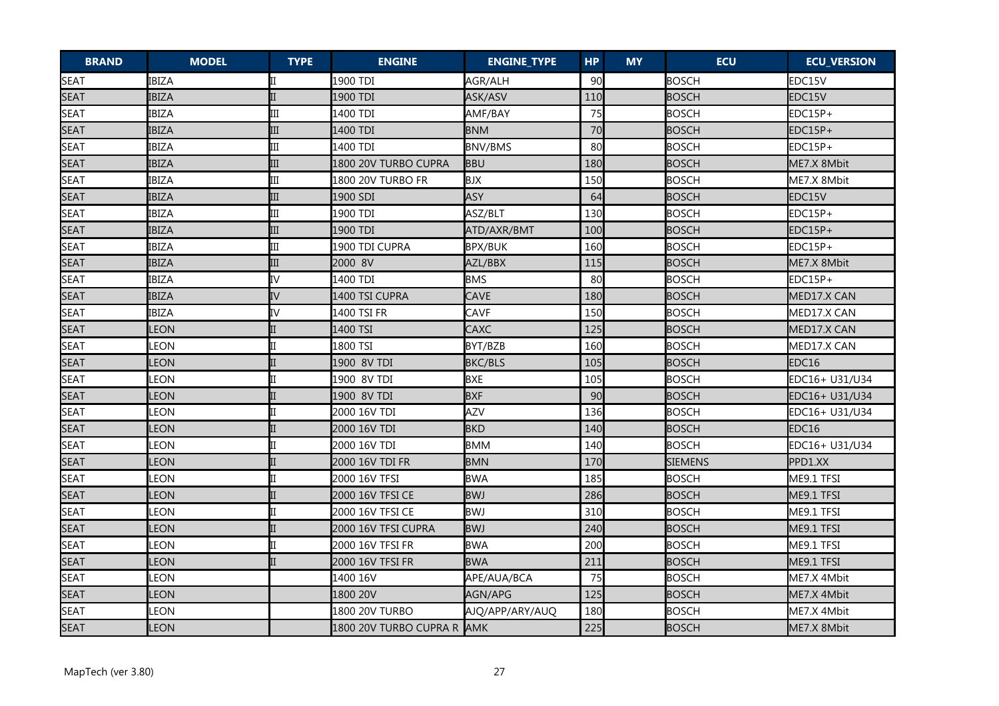| <b>BRAND</b> | <b>MODEL</b> | <b>TYPE</b> | <b>ENGINE</b>              | <b>ENGINE_TYPE</b> | <b>HP</b> | <b>MY</b> | <b>ECU</b>     | <b>ECU_VERSION</b> |
|--------------|--------------|-------------|----------------------------|--------------------|-----------|-----------|----------------|--------------------|
| <b>SEAT</b>  | <b>IBIZA</b> | II          | 1900 TDI                   | AGR/ALH            | 90        |           | <b>BOSCH</b>   | EDC15V             |
| <b>SEAT</b>  | <b>IBIZA</b> |             | 1900 TDI                   | ASK/ASV            | 110       |           | <b>BOSCH</b>   | EDC15V             |
| <b>SEAT</b>  | <b>IBIZA</b> | III         | 1400 TDI                   | AMF/BAY            | 75        |           | <b>BOSCH</b>   | EDC15P+            |
| <b>SEAT</b>  | <b>IBIZA</b> | III         | 1400 TDI                   | <b>BNM</b>         | 70        |           | <b>BOSCH</b>   | EDC15P+            |
| <b>SEAT</b>  | <b>IBIZA</b> | III         | 1400 TDI                   | <b>BNV/BMS</b>     | 80        |           | <b>BOSCH</b>   | EDC15P+            |
| <b>SEAT</b>  | <b>IBIZA</b> | III         | 1800 20V TURBO CUPRA       | <b>BBU</b>         | 180       |           | <b>BOSCH</b>   | ME7.X 8Mbit        |
| <b>SEAT</b>  | <b>IBIZA</b> | III         | 1800 20V TURBO FR          | <b>BJX</b>         | 150       |           | <b>BOSCH</b>   | ME7.X 8Mbit        |
| <b>SEAT</b>  | <b>IBIZA</b> | III         | 1900 SDI                   | <b>ASY</b>         | 64        |           | <b>BOSCH</b>   | EDC15V             |
| <b>SEAT</b>  | <b>IBIZA</b> | III         | 1900 TDI                   | ASZ/BLT            | 130       |           | <b>BOSCH</b>   | EDC15P+            |
| <b>SEAT</b>  | <b>IBIZA</b> | III         | 1900 TDI                   | ATD/AXR/BMT        | 100       |           | <b>BOSCH</b>   | EDC15P+            |
| <b>SEAT</b>  | <b>IBIZA</b> | III         | 1900 TDI CUPRA             | <b>BPX/BUK</b>     | 160       |           | <b>BOSCH</b>   | EDC15P+            |
| <b>SEAT</b>  | <b>IBIZA</b> | III         | 2000 8V                    | AZL/BBX            | 115       |           | <b>BOSCH</b>   | ME7.X 8Mbit        |
| <b>SEAT</b>  | <b>IBIZA</b> | IV          | 1400 TDI                   | <b>BMS</b>         | 80        |           | <b>BOSCH</b>   | EDC15P+            |
| <b>SEAT</b>  | <b>IBIZA</b> | IV          | 1400 TSI CUPRA             | CAVE               | 180       |           | <b>BOSCH</b>   | MED17.X CAN        |
| <b>SEAT</b>  | <b>IBIZA</b> | IV          | 1400 TSI FR                | <b>CAVF</b>        | 150       |           | <b>BOSCH</b>   | MED17.X CAN        |
| <b>SEAT</b>  | LEON         |             | 1400 TSI                   | CAXC               | 125       |           | <b>BOSCH</b>   | MED17.X CAN        |
| <b>SEAT</b>  | LEON         |             | 1800 TSI                   | BYT/BZB            | 160       |           | <b>BOSCH</b>   | MED17.X CAN        |
| <b>SEAT</b>  | <b>LEON</b>  |             | 1900 8V TDI                | <b>BKC/BLS</b>     | 105       |           | <b>BOSCH</b>   | EDC16              |
| <b>SEAT</b>  | LEON         | II          | 1900 8V TDI                | <b>BXE</b>         | 105       |           | <b>BOSCH</b>   | EDC16+ U31/U34     |
| <b>SEAT</b>  | LEON         |             | 1900 8V TDI                | <b>BXF</b>         | 90        |           | <b>BOSCH</b>   | EDC16+ U31/U34     |
| <b>SEAT</b>  | LEON         |             | 2000 16V TDI               | AZV                | 136       |           | <b>BOSCH</b>   | IEDC16+ U31/U34    |
| <b>SEAT</b>  | LEON         |             | 2000 16V TDI               | <b>BKD</b>         | 140       |           | <b>BOSCH</b>   | EDC16              |
| <b>SEAT</b>  | LEON         |             | 2000 16V TDI               | <b>BMM</b>         | 140       |           | <b>BOSCH</b>   | EDC16+ U31/U34     |
| <b>SEAT</b>  | LEON         |             | 2000 16V TDI FR            | <b>BMN</b>         | 170       |           | <b>SIEMENS</b> | PPD1.XX            |
| <b>SEAT</b>  | LEON         |             | 2000 16V TFSI              | <b>BWA</b>         | 185       |           | <b>BOSCH</b>   | ME9.1 TFSI         |
| <b>SEAT</b>  | LEON         |             | 2000 16V TFSI CE           | <b>BWJ</b>         | 286       |           | <b>BOSCH</b>   | ME9.1 TFSI         |
| <b>SEAT</b>  | LEON         |             | 2000 16V TFSI CE           | <b>BWJ</b>         | 310       |           | <b>BOSCH</b>   | ME9.1 TFSI         |
| <b>SEAT</b>  | LEON         |             | 2000 16V TFSI CUPRA        | <b>BWJ</b>         | 240       |           | <b>BOSCH</b>   | ME9.1 TFSI         |
| <b>SEAT</b>  | LEON         | II          | 2000 16V TFSI FR           | <b>BWA</b>         | 200       |           | <b>BOSCH</b>   | ME9.1 TFSI         |
| <b>SEAT</b>  | LEON         |             | 2000 16V TFSI FR           | <b>BWA</b>         | 211       |           | <b>BOSCH</b>   | ME9.1 TFSI         |
| <b>SEAT</b>  | <b>LEON</b>  |             | 1400 16V                   | APE/AUA/BCA        | 75        |           | <b>BOSCH</b>   | ME7.X 4Mbit        |
| <b>SEAT</b>  | LEON         |             | 1800 20V                   | AGN/APG            | 125       |           | <b>BOSCH</b>   | ME7.X 4Mbit        |
| <b>SEAT</b>  | LEON         |             | 1800 20V TURBO             | AJQ/APP/ARY/AUQ    | 180       |           | <b>BOSCH</b>   | ME7.X 4Mbit        |
| <b>SEAT</b>  | LEON         |             | 1800 20V TURBO CUPRA R AMK |                    | 225       |           | <b>BOSCH</b>   | ME7.X 8Mbit        |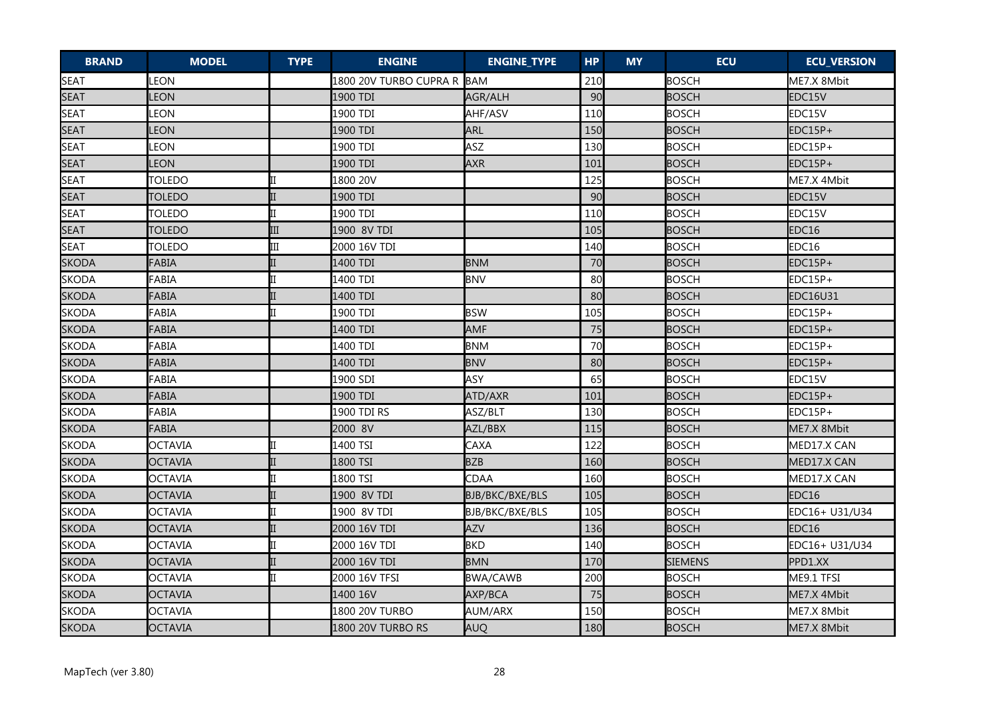| <b>BRAND</b> | <b>MODEL</b>   | <b>TYPE</b> | <b>ENGINE</b>          | <b>ENGINE_TYPE</b>     | <b>HP</b> | <b>MY</b> | <b>ECU</b>     | <b>ECU_VERSION</b> |
|--------------|----------------|-------------|------------------------|------------------------|-----------|-----------|----------------|--------------------|
| <b>SEAT</b>  | LEON           |             | 1800 20V TURBO CUPRA R | <b>BAM</b>             | 210       |           | <b>BOSCH</b>   | ME7.X 8Mbit        |
| SEAT         | <b>LEON</b>    |             | 1900 TDI               | AGR/ALH                | 90        |           | <b>BOSCH</b>   | EDC15V             |
| <b>SEAT</b>  | LEON           |             | 1900 TDI               | AHF/ASV                | 110       |           | <b>BOSCH</b>   | EDC15V             |
| <b>SEAT</b>  | <b>LEON</b>    |             | 1900 TDI               | ARL                    | 150       |           | <b>BOSCH</b>   | EDC15P+            |
| <b>SEAT</b>  | LEON           |             | 1900 TDI               | ASZ                    | 130       |           | <b>BOSCH</b>   | EDC15P+            |
| <b>SEAT</b>  | <b>LEON</b>    |             | 1900 TDI               | <b>AXR</b>             | 101       |           | <b>BOSCH</b>   | EDC15P+            |
| SEAT         | <b>TOLEDO</b>  |             | 1800 20V               |                        | 125       |           | <b>BOSCH</b>   | ME7.X 4Mbit        |
| <b>SEAT</b>  | <b>TOLEDO</b>  |             | 1900 TDI               |                        | 90        |           | <b>BOSCH</b>   | EDC15V             |
| <b>SEAT</b>  | TOLEDO         | II          | 1900 TDI               |                        | 110       |           | <b>BOSCH</b>   | EDC15V             |
| <b>SEAT</b>  | <b>TOLEDO</b>  | III         | 1900 8V TDI            |                        | 105       |           | <b>BOSCH</b>   | EDC16              |
| <b>SEAT</b>  | <b>TOLEDO</b>  | Ш           | 2000 16V TDI           |                        | 140       |           | <b>BOSCH</b>   | EDC16              |
| <b>SKODA</b> | FABIA          |             | 1400 TDI               | <b>BNM</b>             | 70        |           | <b>BOSCH</b>   | EDC15P+            |
| <b>SKODA</b> | FABIA          |             | 1400 TDI               | <b>BNV</b>             | 80        |           | BOSCH          | EDC15P+            |
| <b>SKODA</b> | FABIA          | II          | 1400 TDI               |                        | 80        |           | <b>BOSCH</b>   | <b>EDC16U31</b>    |
| <b>SKODA</b> | FABIA          |             | 1900 TDI               | <b>BSW</b>             | 105       |           | <b>BOSCH</b>   | EDC15P+            |
| <b>SKODA</b> | FABIA          |             | 1400 TDI               | AMF                    | 75        |           | <b>BOSCH</b>   | EDC15P+            |
| <b>SKODA</b> | FABIA          |             | 1400 TDI               | <b>BNM</b>             | 70        |           | <b>BOSCH</b>   | EDC15P+            |
| <b>SKODA</b> | <b>FABIA</b>   |             | 1400 TDI               | <b>BNV</b>             | 80        |           | <b>BOSCH</b>   | EDC15P+            |
| <b>SKODA</b> | FABIA          |             | 1900 SDI               | ASY                    | 65        |           | <b>BOSCH</b>   | EDC15V             |
| <b>SKODA</b> | FABIA          |             | 1900 TDI               | ATD/AXR                | 101       |           | <b>BOSCH</b>   | EDC15P+            |
| <b>SKODA</b> | FABIA          |             | 1900 TDI RS            | ASZ/BLT                | 130       |           | <b>BOSCH</b>   | $EDC15P+$          |
| <b>SKODA</b> | FABIA          |             | 2000 8V                | AZL/BBX                | 115       |           | <b>BOSCH</b>   | ME7.X 8Mbit        |
| <b>SKODA</b> | <b>OCTAVIA</b> | ITT         | 1400 TSI               | CAXA                   | 122       |           | <b>BOSCH</b>   | MED17.X CAN        |
| <b>SKODA</b> | <b>OCTAVIA</b> |             | 1800 TSI               | <b>BZB</b>             | 160       |           | <b>BOSCH</b>   | MED17.X CAN        |
| <b>SKODA</b> | <b>OCTAVIA</b> |             | 1800 TSI               | CDAA                   | 160       |           | <b>BOSCH</b>   | MED17.X CAN        |
| <b>SKODA</b> | <b>OCTAVIA</b> |             | 1900 8V TDI            | BJB/BKC/BXE/BLS        | 105       |           | <b>BOSCH</b>   | EDC16              |
| <b>SKODA</b> | <b>OCTAVIA</b> | II          | 1900 8V TDI            | <b>BJB/BKC/BXE/BLS</b> | 105       |           | <b>BOSCH</b>   | EDC16+ U31/U34     |
| <b>SKODA</b> | <b>OCTAVIA</b> |             | 2000 16V TDI           | <b>AZV</b>             | 136       |           | <b>BOSCH</b>   | EDC16              |
| <b>SKODA</b> | <b>OCTAVIA</b> |             | 2000 16V TDI           | <b>BKD</b>             | 140       |           | <b>BOSCH</b>   | EDC16+ U31/U34     |
| <b>SKODA</b> | <b>OCTAVIA</b> |             | 2000 16V TDI           | <b>BMN</b>             | 170       |           | <b>SIEMENS</b> | PPD1.XX            |
| <b>SKODA</b> | <b>OCTAVIA</b> | Iπ          | 2000 16V TFSI          | <b>BWA/CAWB</b>        | 200       |           | <b>BOSCH</b>   | ME9.1 TFSI         |
| <b>SKODA</b> | <b>OCTAVIA</b> |             | 1400 16V               | AXP/BCA                | 75        |           | <b>BOSCH</b>   | ME7.X 4Mbit        |
| <b>SKODA</b> | <b>OCTAVIA</b> |             | 1800 20V TURBO         | AUM/ARX                | 150       |           | <b>BOSCH</b>   | ME7.X 8Mbit        |
| <b>SKODA</b> | <b>OCTAVIA</b> |             | 1800 20V TURBO RS      | AUQ                    | 180       |           | <b>BOSCH</b>   | ME7.X 8Mbit        |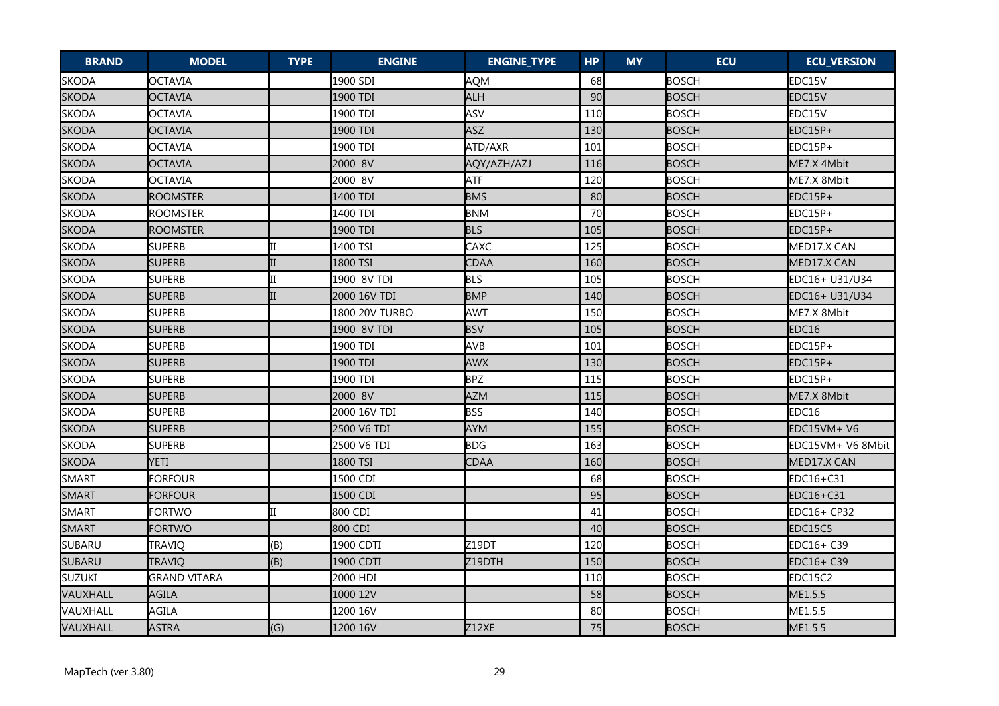| <b>BRAND</b>  | <b>MODEL</b>        | <b>TYPE</b> | <b>ENGINE</b>  | <b>ENGINE_TYPE</b> | <b>HP</b> | <b>MY</b> | <b>ECU</b>   | <b>ECU_VERSION</b> |
|---------------|---------------------|-------------|----------------|--------------------|-----------|-----------|--------------|--------------------|
| <b>SKODA</b>  | <b>OCTAVIA</b>      |             | 1900 SDI       | <b>AQM</b>         | 68        |           | <b>BOSCH</b> | EDC15V             |
| <b>SKODA</b>  | OCTAVIA             |             | 1900 TDI       | <b>ALH</b>         | 90        |           | <b>BOSCH</b> | EDC15V             |
| <b>SKODA</b>  | <b>OCTAVIA</b>      |             | 1900 TDI       | ASV                | 110       |           | <b>BOSCH</b> | EDC15V             |
| <b>SKODA</b>  | OCTAVIA             |             | 1900 TDI       | ASZ                | 130       |           | <b>BOSCH</b> | EDC15P+            |
| <b>SKODA</b>  | OCTAVIA             |             | 1900 TDI       | ATD/AXR            | 101       |           | BOSCH        | EDC15P+            |
| <b>SKODA</b>  | <b>OCTAVIA</b>      |             | 2000 8V        | AQY/AZH/AZJ        | 116       |           | <b>BOSCH</b> | ME7.X 4Mbit        |
| <b>SKODA</b>  | <b>OCTAVIA</b>      |             | 2000 8V        | <b>ATF</b>         | 120       |           | <b>BOSCH</b> | ME7.X 8Mbit        |
| <b>SKODA</b>  | <b>ROOMSTER</b>     |             | 1400 TDI       | <b>BMS</b>         | 80        |           | <b>BOSCH</b> | EDC15P+            |
| <b>SKODA</b>  | <b>ROOMSTER</b>     |             | 1400 TDI       | <b>BNM</b>         | 70        |           | <b>BOSCH</b> | EDC15P+            |
| <b>SKODA</b>  | <b>ROOMSTER</b>     |             | 1900 TDI       | <b>BLS</b>         | 105       |           | <b>BOSCH</b> | EDC15P+            |
| <b>SKODA</b>  | <b>SUPERB</b>       | II          | 1400 TSI       | CAXC               | 125       |           | <b>BOSCH</b> | MED17.X CAN        |
| <b>SKODA</b>  | <b>SUPERB</b>       |             | 1800 TSI       | CDAA               | 160       |           | <b>BOSCH</b> | MED17.X CAN        |
| <b>SKODA</b>  | <b>SUPERB</b>       |             | 1900 8V TDI    | <b>BLS</b>         | 105       |           | <b>BOSCH</b> | EDC16+ U31/U34     |
| <b>SKODA</b>  | <b>SUPERB</b>       | IΠ          | 2000 16V TDI   | <b>BMP</b>         | 140       |           | <b>BOSCH</b> | EDC16+ U31/U34     |
| <b>SKODA</b>  | <b>SUPERB</b>       |             | 1800 20V TURBO | <b>AWT</b>         | 150       |           | <b>BOSCH</b> | ME7.X 8Mbit        |
| <b>SKODA</b>  | <b>SUPERB</b>       |             | 1900 8V TDI    | <b>BSV</b>         | 105       |           | <b>BOSCH</b> | EDC16              |
| <b>SKODA</b>  | <b>SUPERB</b>       |             | 1900 TDI       | AVB                | 101       |           | <b>BOSCH</b> | EDC15P+            |
| <b>SKODA</b>  | <b>SUPERB</b>       |             | 1900 TDI       | <b>AWX</b>         | 130       |           | <b>BOSCH</b> | EDC15P+            |
| <b>SKODA</b>  | <b>SUPERB</b>       |             | 1900 TDI       | <b>BPZ</b>         | 115       |           | <b>BOSCH</b> | EDC15P+            |
| <b>SKODA</b>  | <b>SUPERB</b>       |             | 2000 8V        | <b>AZM</b>         | 115       |           | <b>BOSCH</b> | ME7.X 8Mbit        |
| <b>SKODA</b>  | <b>SUPERB</b>       |             | 2000 16V TDI   | <b>BSS</b>         | 140       |           | <b>BOSCH</b> | EDC16              |
| <b>SKODA</b>  | <b>SUPERB</b>       |             | 2500 V6 TDI    | <b>AYM</b>         | 155       |           | <b>BOSCH</b> | EDC15VM+ V6        |
| <b>SKODA</b>  | <b>SUPERB</b>       |             | 2500 V6 TDI    | <b>BDG</b>         | 163       |           | <b>BOSCH</b> | EDC15VM+ V6 8Mbit  |
| <b>SKODA</b>  | <b>YETI</b>         |             | 1800 TSI       | CDAA               | 160       |           | <b>BOSCH</b> | MED17.X CAN        |
| SMART         | <b>FORFOUR</b>      |             | 1500 CDI       |                    | 68        |           | <b>BOSCH</b> | EDC16+C31          |
| <b>SMART</b>  | <b>FORFOUR</b>      |             | 1500 CDI       |                    | 95        |           | <b>BOSCH</b> | EDC16+C31          |
| <b>SMART</b>  | <b>FORTWO</b>       | П           | 800 CDI        |                    | 41        |           | <b>BOSCH</b> | EDC16+ CP32        |
| <b>SMART</b>  | <b>FORTWO</b>       |             | 800 CDI        |                    | 40        |           | <b>BOSCH</b> | EDC15C5            |
| SUBARU        | TRAVIQ              | (B)         | 1900 CDTI      | Z19DT              | 120       |           | <b>BOSCH</b> | EDC16+ C39         |
| <b>SUBARU</b> | TRAVIQ              | (B)         | 1900 CDTI      | Z19DTH             | 150       |           | <b>BOSCH</b> | EDC16+ C39         |
| SUZUKI        | <b>GRAND VITARA</b> |             | 2000 HDI       |                    | 110       |           | <b>BOSCH</b> | EDC15C2            |
| VAUXHALL      | <b>AGILA</b>        |             | 1000 12V       |                    | 58        |           | <b>BOSCH</b> | ME1.5.5            |
| VAUXHALL      | <b>AGILA</b>        |             | 1200 16V       |                    | 80        |           | <b>BOSCH</b> | ME1.5.5            |
| VAUXHALL      | <b>ASTRA</b>        | (G)         | 1200 16V       | Z12XE              | 75        |           | <b>BOSCH</b> | ME1.5.5            |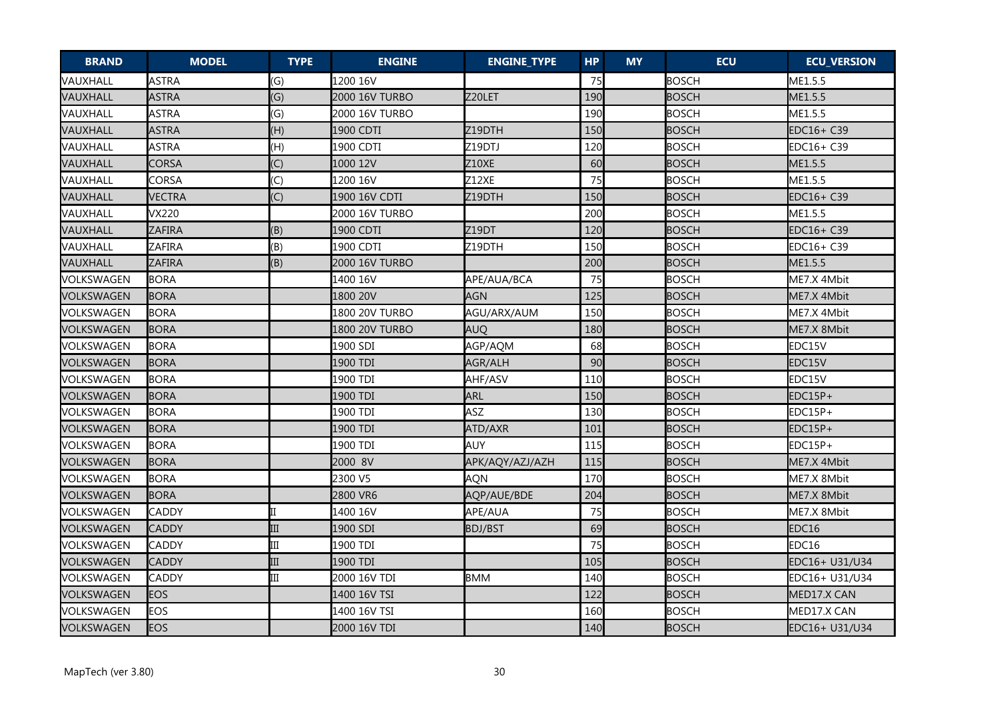| <b>BRAND</b> | <b>MODEL</b>  | <b>TYPE</b>               | <b>ENGINE</b>  | <b>ENGINE_TYPE</b>  | <b>HP</b> | <b>MY</b> | <b>ECU</b>   | <b>ECU_VERSION</b> |
|--------------|---------------|---------------------------|----------------|---------------------|-----------|-----------|--------------|--------------------|
| VAUXHALL     | <b>ASTRA</b>  | (G)                       | 1200 16V       |                     | 75        |           | <b>BOSCH</b> | ME1.5.5            |
| VAUXHALL     | <b>ASTRA</b>  | (G)                       | 2000 16V TURBO | Z20LET              | 190       |           | <b>BOSCH</b> | ME1.5.5            |
| VAUXHALL     | <b>ASTRA</b>  | $\mathcal{G}$             | 2000 16V TURBO |                     | 190       |           | <b>BOSCH</b> | ME1.5.5            |
| VAUXHALL     | <b>ASTRA</b>  | (H)                       | 1900 CDTI      | Z19DTH              | 150       |           | <b>BOSCH</b> | EDC16+ C39         |
| VAUXHALL     | <b>ASTRA</b>  | (H)                       | 1900 CDTI      | Z <sub>19</sub> DTJ | 120       |           | <b>BOSCH</b> | EDC16+ C39         |
| VAUXHALL     | CORSA         | $\left(\mathsf{C}\right)$ | 1000 12V       | Z10XE               | 60        |           | <b>BOSCH</b> | ME1.5.5            |
| VAUXHALL     | CORSA         | $\left(\mathsf{C}\right)$ | 1200 16V       | Z12XE               | 75        |           | <b>BOSCH</b> | ME1.5.5            |
| VAUXHALL     | <b>VECTRA</b> | (C)                       | 1900 16V CDTI  | Z19DTH              | 150       |           | <b>BOSCH</b> | EDC16+ C39         |
| VAUXHALL     | <b>VX220</b>  |                           | 2000 16V TURBO |                     | 200       |           | <b>BOSCH</b> | ME1.5.5            |
| VAUXHALL     | ZAFIRA        | (B)                       | 1900 CDTI      | <b>Z19DT</b>        | 120       |           | <b>BOSCH</b> | EDC16+ C39         |
| VAUXHALL     | ZAFIRA        | (B)                       | 1900 CDTI      | Z19DTH              | 150       |           | <b>BOSCH</b> | EDC16+ C39         |
| VAUXHALL     | <b>ZAFIRA</b> | (B)                       | 2000 16V TURBO |                     | 200       |           | <b>BOSCH</b> | ME1.5.5            |
| VOLKSWAGEN   | <b>BORA</b>   |                           | 1400 16V       | APE/AUA/BCA         | 75        |           | <b>BOSCH</b> | ME7.X 4Mbit        |
| VOLKSWAGEN   | <b>BORA</b>   |                           | 1800 20V       | <b>AGN</b>          | 125       |           | <b>BOSCH</b> | ME7.X 4Mbit        |
| VOLKSWAGEN   | <b>BORA</b>   |                           | 1800 20V TURBO | AGU/ARX/AUM         | 150       |           | <b>BOSCH</b> | ME7.X 4Mbit        |
| VOLKSWAGEN   | <b>BORA</b>   |                           | 1800 20V TURBO | <b>AUQ</b>          | 180       |           | <b>BOSCH</b> | ME7.X 8Mbit        |
| VOLKSWAGEN   | <b>BORA</b>   |                           | 1900 SDI       | AGP/AQM             | 68        |           | <b>BOSCH</b> | EDC15V             |
| VOLKSWAGEN   | <b>BORA</b>   |                           | 1900 TDI       | AGR/ALH             | 90        |           | <b>BOSCH</b> | EDC15V             |
| VOLKSWAGEN   | <b>BORA</b>   |                           | 1900 TDI       | AHF/ASV             | 110       |           | <b>BOSCH</b> | EDC15V             |
| VOLKSWAGEN   | <b>BORA</b>   |                           | 1900 TDI       | <b>ARL</b>          | 150       |           | <b>BOSCH</b> | EDC15P+            |
| VOLKSWAGEN   | <b>BORA</b>   |                           | 1900 TDI       | ASZ                 | 130       |           | <b>BOSCH</b> | EDC15P+            |
| VOLKSWAGEN   | <b>BORA</b>   |                           | 1900 TDI       | ATD/AXR             | 101       |           | <b>BOSCH</b> | EDC15P+            |
| VOLKSWAGEN   | <b>BORA</b>   |                           | 1900 TDI       | <b>AUY</b>          | 115       |           | <b>BOSCH</b> | EDC15P+            |
| VOLKSWAGEN   | <b>BORA</b>   |                           | 2000 8V        | APK/AQY/AZJ/AZH     | 115       |           | <b>BOSCH</b> | ME7.X 4Mbit        |
| VOLKSWAGEN   | <b>BORA</b>   |                           | 2300 V5        | <b>AQN</b>          | 170       |           | <b>BOSCH</b> | ME7.X 8Mbit        |
| VOLKSWAGEN   | <b>BORA</b>   |                           | 2800 VR6       | AQP/AUE/BDE         | 204       |           | <b>BOSCH</b> | ME7.X 8Mbit        |
| VOLKSWAGEN   | <b>CADDY</b>  |                           | 1400 16V       | APE/AUA             | 75        |           | <b>BOSCH</b> | ME7.X 8Mbit        |
| VOLKSWAGEN   | CADDY         | III                       | 1900 SDI       | <b>BDJ/BST</b>      | 69        |           | <b>BOSCH</b> | EDC16              |
| VOLKSWAGEN   | CADDY         | Ш                         | 1900 TDI       |                     | 75        |           | <b>BOSCH</b> | EDC16              |
| VOLKSWAGEN   | <b>CADDY</b>  | III                       | 1900 TDI       |                     | 105       |           | <b>BOSCH</b> | EDC16+ U31/U34     |
| VOLKSWAGEN   | CADDY         | Ш                         | 2000 16V TDI   | <b>BMM</b>          | 140       |           | <b>BOSCH</b> | EDC16+ U31/U34     |
| VOLKSWAGEN   | <b>EOS</b>    |                           | 1400 16V TSI   |                     | 122       |           | <b>BOSCH</b> | MED17.X CAN        |
| VOLKSWAGEN   | EOS           |                           | 1400 16V TSI   |                     | 160       |           | <b>BOSCH</b> | MED17.X CAN        |
| VOLKSWAGEN   | <b>EOS</b>    |                           | 2000 16V TDI   |                     | 140       |           | <b>BOSCH</b> | EDC16+ U31/U34     |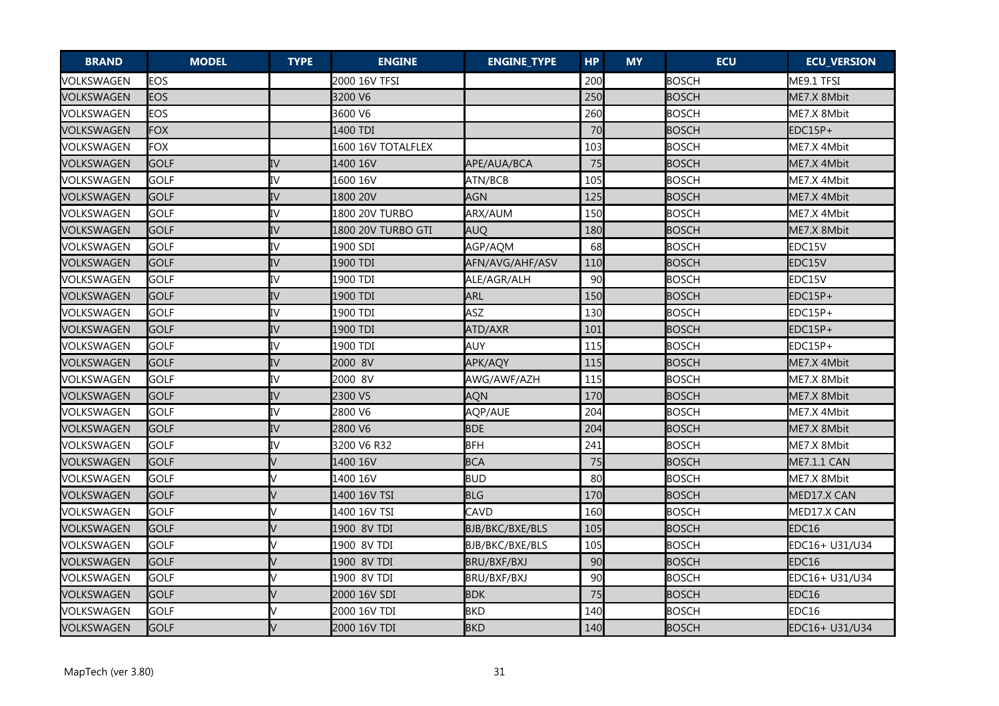| <b>BRAND</b> | <b>MODEL</b> | <b>TYPE</b> | <b>ENGINE</b>      | <b>ENGINE_TYPE</b> | <b>HP</b> | <b>MY</b> | <b>ECU</b>   | <b>ECU_VERSION</b> |
|--------------|--------------|-------------|--------------------|--------------------|-----------|-----------|--------------|--------------------|
| VOLKSWAGEN   | EOS          |             | 2000 16V TFSI      |                    | 200       |           | <b>BOSCH</b> | ME9.1 TFSI         |
| VOLKSWAGEN   | <b>EOS</b>   |             | 3200 V6            |                    | 250       |           | <b>BOSCH</b> | ME7.X 8Mbit        |
| VOLKSWAGEN   | <b>EOS</b>   |             | 3600 V6            |                    | 260       |           | <b>BOSCH</b> | ME7.X 8Mbit        |
| VOLKSWAGEN   | <b>FOX</b>   |             | 1400 TDI           |                    | 70        |           | <b>BOSCH</b> | EDC15P+            |
| VOLKSWAGEN   | <b>FOX</b>   |             | 1600 16V TOTALFLEX |                    | 103       |           | <b>BOSCH</b> | ME7.X 4Mbit        |
| VOLKSWAGEN   | <b>GOLF</b>  | IV          | 1400 16V           | APE/AUA/BCA        | 75        |           | <b>BOSCH</b> | ME7.X 4Mbit        |
| VOLKSWAGEN   | <b>GOLF</b>  | IV          | 1600 16V           | ATN/BCB            | 105       |           | <b>BOSCH</b> | ME7.X 4Mbit        |
| VOLKSWAGEN   | GOLF         | IV          | 1800 20V           | <b>AGN</b>         | 125       |           | <b>BOSCH</b> | ME7.X 4Mbit        |
| VOLKSWAGEN   | GOLF         | IV          | 1800 20V TURBO     | ARX/AUM            | 150       |           | <b>BOSCH</b> | ME7.X 4Mbit        |
| VOLKSWAGEN   | <b>GOLF</b>  | IV          | 1800 20V TURBO GTI | <b>AUQ</b>         | 180       |           | <b>BOSCH</b> | ME7.X 8Mbit        |
| VOLKSWAGEN   | <b>GOLF</b>  | IV          | 1900 SDI           | AGP/AQM            | 68        |           | <b>BOSCH</b> | EDC15V             |
| VOLKSWAGEN   | <b>GOLF</b>  | IV          | 1900 TDI           | AFN/AVG/AHF/ASV    | 110       |           | <b>BOSCH</b> | EDC15V             |
| VOLKSWAGEN   | <b>GOLF</b>  | IV          | 1900 TDI           | ALE/AGR/ALH        | 90        |           | <b>BOSCH</b> | EDC15V             |
| VOLKSWAGEN   | <b>GOLF</b>  | IV          | 1900 TDI           | <b>ARL</b>         | 150       |           | <b>BOSCH</b> | EDC15P+            |
| VOLKSWAGEN   | <b>GOLF</b>  | IV          | 1900 TDI           | <b>ASZ</b>         | 130       |           | <b>BOSCH</b> | EDC15P+            |
| VOLKSWAGEN   | GOLF         | IV          | 1900 TDI           | ATD/AXR            | 101       |           | <b>BOSCH</b> | EDC15P+            |
| VOLKSWAGEN   | <b>GOLF</b>  | IV          | 1900 TDI           | <b>AUY</b>         | 115       |           | <b>BOSCH</b> | EDC15P+            |
| VOLKSWAGEN   | GOLF         | IV          | 2000 8V            | APK/AQY            | 115       |           | <b>BOSCH</b> | ME7.X 4Mbit        |
| VOLKSWAGEN   | <b>GOLF</b>  | IV          | 2000 8V            | AWG/AWF/AZH        | 115       |           | <b>BOSCH</b> | ME7.X 8Mbit        |
| VOLKSWAGEN   | <b>GOLF</b>  | IV          | 2300 V5            | AQN                | 170       |           | <b>BOSCH</b> | ME7.X 8Mbit        |
| VOLKSWAGEN   | <b>GOLF</b>  | IV          | 2800 V6            | AQP/AUE            | 204       |           | <b>BOSCH</b> | ME7.X 4Mbit        |
| VOLKSWAGEN   | <b>GOLF</b>  | IV          | 2800 V6            | <b>BDE</b>         | 204       |           | <b>BOSCH</b> | ME7.X 8Mbit        |
| VOLKSWAGEN   | <b>GOLF</b>  | IV          | 3200 V6 R32        | <b>BFH</b>         | 241       |           | <b>BOSCH</b> | ME7.X 8Mbit        |
| VOLKSWAGEN   | <b>GOLF</b>  |             | 1400 16V           | <b>BCA</b>         | 75        |           | <b>BOSCH</b> | <b>ME7.1.1 CAN</b> |
| VOLKSWAGEN   | <b>GOLF</b>  |             | 1400 16V           | <b>BUD</b>         | 80        |           | <b>BOSCH</b> | ME7.X 8Mbit        |
| VOLKSWAGEN   | <b>GOLF</b>  |             | 1400 16V TSI       | <b>BLG</b>         | 170       |           | <b>BOSCH</b> | MED17.X CAN        |
| VOLKSWAGEN   | <b>GOLF</b>  |             | 1400 16V TSI       | CAVD               | 160       |           | <b>BOSCH</b> | MED17.X CAN        |
| VOLKSWAGEN   | <b>GOLF</b>  |             | 1900 8V TDI        | BJB/BKC/BXE/BLS    | 105       |           | <b>BOSCH</b> | EDC16              |
| VOLKSWAGEN   | <b>GOLF</b>  |             | 1900 8V TDI        | BJB/BKC/BXE/BLS    | 105       |           | <b>BOSCH</b> | EDC16+ U31/U34     |
| VOLKSWAGEN   | <b>GOLF</b>  |             | 1900 8V TDI        | BRU/BXF/BXJ        | 90        |           | <b>BOSCH</b> | EDC16              |
| VOLKSWAGEN   | <b>GOLF</b>  |             | 1900 8V TDI        | BRU/BXF/BXJ        | 90        |           | <b>BOSCH</b> | EDC16+ U31/U34     |
| VOLKSWAGEN   | <b>GOLF</b>  |             | 2000 16V SDI       | <b>BDK</b>         | 75        |           | <b>BOSCH</b> | EDC <sub>16</sub>  |
| VOLKSWAGEN   | <b>GOLF</b>  |             | 2000 16V TDI       | <b>BKD</b>         | 140       |           | <b>BOSCH</b> | EDC16              |
| VOLKSWAGEN   | GOLF         |             | 2000 16V TDI       | <b>BKD</b>         | 140       |           | <b>BOSCH</b> | EDC16+ U31/U34     |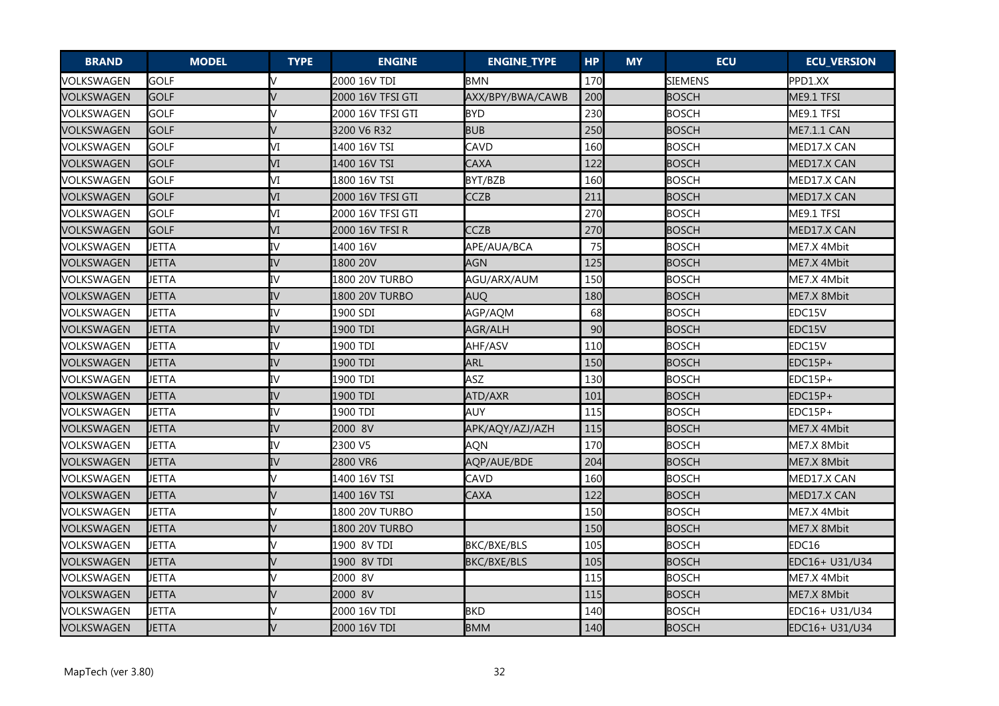| <b>BRAND</b> | <b>MODEL</b> | <b>TYPE</b> | <b>ENGINE</b>         | <b>ENGINE_TYPE</b> | <b>HP</b> | <b>MY</b> | <b>ECU</b>     | <b>ECU_VERSION</b> |
|--------------|--------------|-------------|-----------------------|--------------------|-----------|-----------|----------------|--------------------|
| VOLKSWAGEN   | <b>GOLF</b>  |             | 2000 16V TDI          | <b>BMN</b>         | 170       |           | <b>SIEMENS</b> | PPD1.XX            |
| VOLKSWAGEN   | <b>GOLF</b>  |             | 2000 16V TFSI GTI     | AXX/BPY/BWA/CAWB   | 200       |           | <b>BOSCH</b>   | ME9.1 TFSI         |
| VOLKSWAGEN   | <b>GOLF</b>  |             | 2000 16V TFSI GTI     | <b>BYD</b>         | 230       |           | <b>BOSCH</b>   | ME9.1 TFSI         |
| VOLKSWAGEN   | <b>GOLF</b>  |             | 3200 V6 R32           | <b>BUB</b>         | 250       |           | <b>BOSCH</b>   | ME7.1.1 CAN        |
| VOLKSWAGEN   | <b>GOLF</b>  | VI          | 1400 16V TSI          | CAVD               | 160       |           | BOSCH          | MED17.X CAN        |
| VOLKSWAGEN   | <b>GOLF</b>  | VI          | 1400 16V TSI          | CAXA               | 122       |           | <b>BOSCH</b>   | MED17.X CAN        |
| VOLKSWAGEN   | <b>GOLF</b>  | М           | 1800 16V TSI          | BYT/BZB            | 160       |           | <b>BOSCH</b>   | MED17.X CAN        |
| VOLKSWAGEN   | GOLF         | VI          | 2000 16V TFSI GTI     | CCZB               | 211       |           | <b>BOSCH</b>   | MED17.X CAN        |
| VOLKSWAGEN   | GOLF         | М           | 2000 16V TFSI GTI     |                    | 270       |           | <b>BOSCH</b>   | ME9.1 TFSI         |
| VOLKSWAGEN   | <b>GOLF</b>  | VI          | 12000 16V TFSI R      | <b>CCZB</b>        | 270       |           | <b>BOSCH</b>   | MED17.X CAN        |
| VOLKSWAGEN   | <b>JETTA</b> | IV          | 1400 16V              | APE/AUA/BCA        | 75        |           | <b>BOSCH</b>   | ME7.X 4Mbit        |
| VOLKSWAGEN   | <b>JETTA</b> | IV          | 1800 20V              | <b>AGN</b>         | 125       |           | <b>BOSCH</b>   | ME7.X 4Mbit        |
| VOLKSWAGEN   | <b>JETTA</b> | IV          | 1800 20V TURBO        | AGU/ARX/AUM        | 150       |           | <b>BOSCH</b>   | ME7.X 4Mbit        |
| VOLKSWAGEN   | <b>JETTA</b> | IV          | <b>1800 20V TURBO</b> | <b>AUQ</b>         | 180       |           | <b>BOSCH</b>   | ME7.X 8Mbit        |
| VOLKSWAGEN   | <b>JETTA</b> | IV          | 1900 SDI              | AGP/AQM            | 68        |           | <b>BOSCH</b>   | EDC15V             |
| VOLKSWAGEN   | <b>JETTA</b> | IV          | 1900 TDI              | AGR/ALH            | 90        |           | <b>BOSCH</b>   | EDC15V             |
| VOLKSWAGEN   | JETTA        | IV          | 1900 TDI              | AHF/ASV            | 110       |           | <b>BOSCH</b>   | EDC15V             |
| VOLKSWAGEN   | <b>JETTA</b> | IV          | 1900 TDI              | <b>ARL</b>         | 150       |           | <b>BOSCH</b>   | EDC15P+            |
| VOLKSWAGEN   | <b>JETTA</b> | IV          | 1900 TDI              | <b>ASZ</b>         | 130       |           | <b>BOSCH</b>   | EDC15P+            |
| VOLKSWAGEN   | <b>JETTA</b> | IV          | 1900 TDI              | ATD/AXR            | 101       |           | <b>BOSCH</b>   | EDC15P+            |
| VOLKSWAGEN   | <b>JETTA</b> | IV          | 1900 TDI              | <b>AUY</b>         | 115       |           | <b>BOSCH</b>   | EDC15P+            |
| VOLKSWAGEN   | JETTA        | IV          | 2000 8V               | APK/AQY/AZJ/AZH    | 115       |           | <b>BOSCH</b>   | ME7.X 4Mbit        |
| VOLKSWAGEN   | <b>JETTA</b> | IV          | 2300 V5               | <b>AQN</b>         | 170       |           | <b>BOSCH</b>   | ME7.X 8Mbit        |
| VOLKSWAGEN   | JETTA        | IV          | 2800 VR6              | AQP/AUE/BDE        | 204       |           | <b>BOSCH</b>   | ME7.X 8Mbit        |
| VOLKSWAGEN   | <b>JETTA</b> |             | 1400 16V TSI          | CAVD               | 160       |           | <b>BOSCH</b>   | MED17.X CAN        |
| VOLKSWAGEN   | JETTA        |             | 1400 16V TSI          | CAXA               | 122       |           | <b>BOSCH</b>   | MED17.X CAN        |
| VOLKSWAGEN   | <b>JETTA</b> |             | 1800 20V TURBO        |                    | 150       |           | <b>BOSCH</b>   | ME7.X 4Mbit        |
| VOLKSWAGEN   | JETTA        |             | 1800 20V TURBO        |                    | 150       |           | <b>BOSCH</b>   | ME7.X 8Mbit        |
| VOLKSWAGEN   | <b>JETTA</b> |             | 1900 8V TDI           | BKC/BXE/BLS        | 105       |           | <b>BOSCH</b>   | EDC16              |
| VOLKSWAGEN   | <b>JETTA</b> |             | 1900 8V TDI           | BKC/BXE/BLS        | 105       |           | <b>BOSCH</b>   | EDC16+ U31/U34     |
| VOLKSWAGEN   | <b>JETTA</b> |             | 2000 8V               |                    | 115       |           | <b>BOSCH</b>   | ME7.X 4Mbit        |
| VOLKSWAGEN   | <b>JETTA</b> |             | 2000 8V               |                    | 115       |           | <b>BOSCH</b>   | ME7.X 8Mbit        |
| VOLKSWAGEN   | <b>JETTA</b> |             | 2000 16V TDI          | <b>BKD</b>         | 140       |           | <b>BOSCH</b>   | EDC16+ U31/U34     |
| VOLKSWAGEN   | <b>JETTA</b> |             | 2000 16V TDI          | <b>BMM</b>         | 140       |           | <b>BOSCH</b>   | EDC16+ U31/U34     |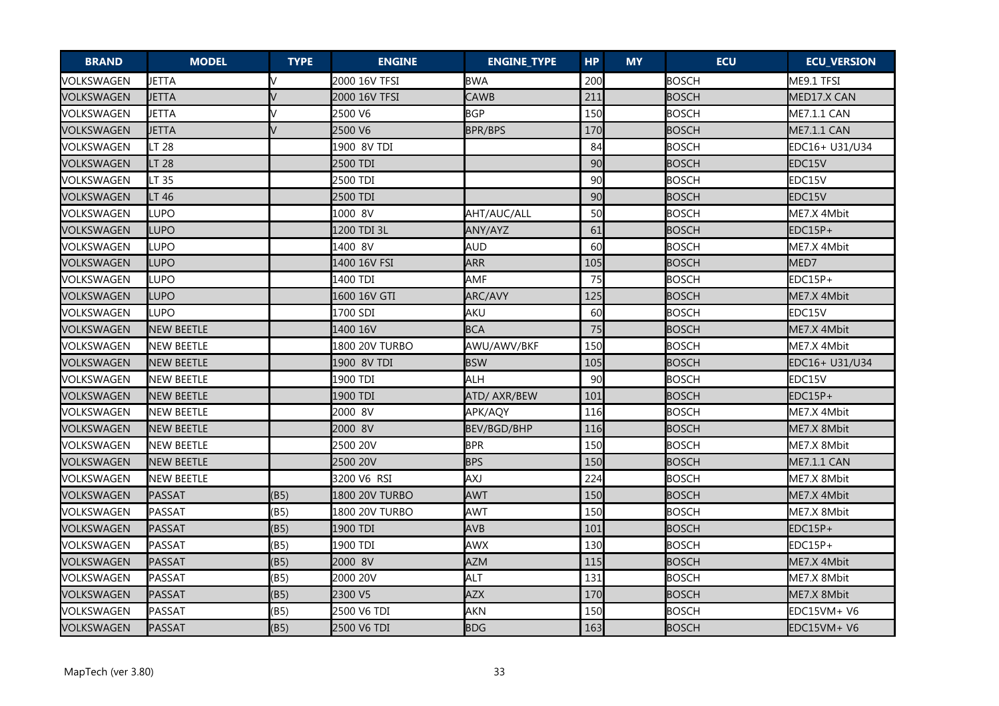| <b>BRAND</b> | <b>MODEL</b>      | <b>TYPE</b> | <b>ENGINE</b>  | <b>ENGINE_TYPE</b> | <b>HP</b> | <b>MY</b> | <b>ECU</b>   | <b>ECU_VERSION</b> |
|--------------|-------------------|-------------|----------------|--------------------|-----------|-----------|--------------|--------------------|
| VOLKSWAGEN   | <b>JETTA</b>      |             | 2000 16V TFSI  | <b>BWA</b>         | 200       |           | <b>BOSCH</b> | ME9.1 TFSI         |
| VOLKSWAGEN   | <b>JETTA</b>      |             | 2000 16V TFSI  | <b>CAWB</b>        | 211       |           | <b>BOSCH</b> | MED17.X CAN        |
| VOLKSWAGEN   | <b>JETTA</b>      |             | 2500 V6        | <b>BGP</b>         | 150       |           | <b>BOSCH</b> | ME7.1.1 CAN        |
| VOLKSWAGEN   | <b>JETTA</b>      |             | 2500 V6        | <b>BPR/BPS</b>     | 170       |           | <b>BOSCH</b> | <b>ME7.1.1 CAN</b> |
| VOLKSWAGEN   | LT 28             |             | 1900 8V TDI    |                    | 84        |           | <b>BOSCH</b> | EDC16+ U31/U34     |
| VOLKSWAGEN   | <b>LT 28</b>      |             | 2500 TDI       |                    | 90        |           | <b>BOSCH</b> | EDC15V             |
| VOLKSWAGEN   | LT 35             |             | 2500 TDI       |                    | 90        |           | <b>BOSCH</b> | EDC15V             |
| VOLKSWAGEN   | LT 46             |             | 2500 TDI       |                    | 90        |           | <b>BOSCH</b> | EDC15V             |
| VOLKSWAGEN   | LUPO              |             | 1000 8V        | AHT/AUC/ALL        | 50        |           | <b>BOSCH</b> | ME7.X 4Mbit        |
| VOLKSWAGEN   | <b>LUPO</b>       |             | 1200 TDI 3L    | ANY/AYZ            | 61        |           | <b>BOSCH</b> | IEDC15P+           |
| VOLKSWAGEN   | LUPO              |             | 1400 8V        | <b>AUD</b>         | 60        |           | <b>BOSCH</b> | ME7.X 4Mbit        |
| VOLKSWAGEN   | LUPO              |             | 1400 16V FSI   | <b>ARR</b>         | 105       |           | <b>BOSCH</b> | MED7               |
| VOLKSWAGEN   | LUPO              |             | 1400 TDI       | <b>AMF</b>         | 75        |           | <b>BOSCH</b> | EDC15P+            |
| VOLKSWAGEN   | <b>LUPO</b>       |             | 1600 16V GTI   | ARC/AVY            | 125       |           | <b>BOSCH</b> | ME7.X 4Mbit        |
| VOLKSWAGEN   | LUPO              |             | 1700 SDI       | <b>AKU</b>         | 60        |           | <b>BOSCH</b> | EDC15V             |
| VOLKSWAGEN   | <b>NEW BEETLE</b> |             | 1400 16V       | <b>BCA</b>         | 75        |           | <b>BOSCH</b> | ME7.X 4Mbit        |
| VOLKSWAGEN   | <b>NEW BEETLE</b> |             | 1800 20V TURBO | AWU/AWV/BKF        | 150       |           | <b>BOSCH</b> | ME7.X 4Mbit        |
| VOLKSWAGEN   | <b>NEW BEETLE</b> |             | 1900 8V TDI    | <b>BSW</b>         | 105       |           | <b>BOSCH</b> | EDC16+ U31/U34     |
| VOLKSWAGEN   | <b>NEW BEETLE</b> |             | 1900 TDI       | <b>ALH</b>         | 90        |           | <b>BOSCH</b> | EDC15V             |
| VOLKSWAGEN   | <b>NEW BEETLE</b> |             | 1900 TDI       | ATD/ AXR/BEW       | 101       |           | <b>BOSCH</b> | EDC15P+            |
| VOLKSWAGEN   | <b>NEW BEETLE</b> |             | 2000 8V        | APK/AQY            | 116       |           | <b>BOSCH</b> | ME7.X 4Mbit        |
| VOLKSWAGEN   | <b>NEW BEETLE</b> |             | 2000 8V        | <b>BEV/BGD/BHP</b> | 116       |           | <b>BOSCH</b> | ME7.X 8Mbit        |
| VOLKSWAGEN   | <b>NEW BEETLE</b> |             | 2500 20V       | <b>BPR</b>         | 150       |           | <b>BOSCH</b> | ME7.X 8Mbit        |
| VOLKSWAGEN   | <b>NEW BEETLE</b> |             | 2500 20V       | <b>BPS</b>         | 150       |           | <b>BOSCH</b> | <b>ME7.1.1 CAN</b> |
| VOLKSWAGEN   | <b>NEW BEETLE</b> |             | 3200 V6 RSI    | <b>AXJ</b>         | 224       |           | <b>BOSCH</b> | ME7.X 8Mbit        |
| VOLKSWAGEN   | <b>PASSAT</b>     | (B5)        | 1800 20V TURBO | <b>AWT</b>         | 150       |           | <b>BOSCH</b> | ME7.X 4Mbit        |
| VOLKSWAGEN   | PASSAT            | (B5)        | 1800 20V TURBO | <b>AWT</b>         | 150       |           | <b>BOSCH</b> | ME7.X 8Mbit        |
| VOLKSWAGEN   | <b>PASSAT</b>     | (B5)        | 1900 TDI       | <b>AVB</b>         | 101       |           | <b>BOSCH</b> | EDC15P+            |
| VOLKSWAGEN   | <b>PASSAT</b>     | (B5)        | 1900 TDI       | AWX                | 130       |           | <b>BOSCH</b> | EDC15P+            |
| VOLKSWAGEN   | <b>PASSAT</b>     | (B5)        | 2000 8V        | <b>AZM</b>         | 115       |           | <b>BOSCH</b> | ME7.X 4Mbit        |
| VOLKSWAGEN   | <b>PASSAT</b>     | (B5)        | 2000 20V       | <b>ALT</b>         | 131       |           | <b>BOSCH</b> | ME7.X 8Mbit        |
| VOLKSWAGEN   | <b>PASSAT</b>     | (B5)        | 2300 V5        | <b>AZX</b>         | 170       |           | <b>BOSCH</b> | ME7.X 8Mbit        |
| VOLKSWAGEN   | <b>PASSAT</b>     | (B5)        | 2500 V6 TDI    | <b>AKN</b>         | 150       |           | <b>BOSCH</b> | $EDC15VM + V6$     |
| VOLKSWAGEN   | PASSAT            | (B5)        | 2500 V6 TDI    | <b>BDG</b>         | 163       |           | <b>BOSCH</b> | EDC15VM+ V6        |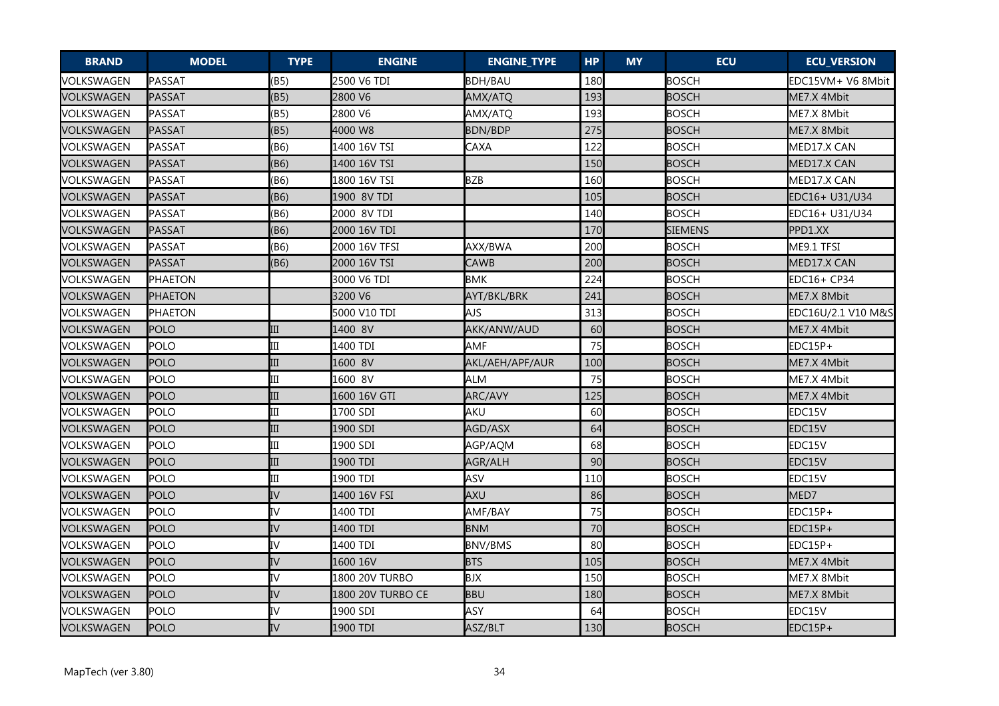| <b>BRAND</b> | <b>MODEL</b>   | <b>TYPE</b> | <b>ENGINE</b>     | <b>ENGINE_TYPE</b> | <b>HP</b>       | <b>MY</b> | <b>ECU</b>     | <b>ECU_VERSION</b> |
|--------------|----------------|-------------|-------------------|--------------------|-----------------|-----------|----------------|--------------------|
| VOLKSWAGEN   | PASSAT         | (B5)        | 2500 V6 TDI       | <b>BDH/BAU</b>     | 180             |           | <b>BOSCH</b>   | EDC15VM+ V6 8Mbit  |
| VOLKSWAGEN   | <b>PASSAT</b>  | (B5)        | 2800 V6           | AMX/ATQ            | 193             |           | <b>BOSCH</b>   | ME7.X 4Mbit        |
| VOLKSWAGEN   | <b>PASSAT</b>  | (B5)        | 2800 V6           | AMX/ATQ            | 193             |           | <b>BOSCH</b>   | ME7.X 8Mbit        |
| VOLKSWAGEN   | PASSAT         | (B5)        | 4000 W8           | BDN/BDP            | 275             |           | <b>BOSCH</b>   | ME7.X 8Mbit        |
| VOLKSWAGEN   | PASSAT         | (B6)        | 1400 16V TSI      | CAXA               | 122             |           | <b>BOSCH</b>   | MED17.X CAN        |
| VOLKSWAGEN   | <b>PASSAT</b>  | (B6)        | 1400 16V TSI      |                    | 15 <sub>C</sub> |           | <b>BOSCH</b>   | MED17.X CAN        |
| VOLKSWAGEN   | <b>PASSAT</b>  | (B6)        | 1800 16V TSI      | <b>BZB</b>         | 160             |           | <b>BOSCH</b>   | MED17.X CAN        |
| VOLKSWAGEN   | <b>PASSAT</b>  | (B6)        | 1900 8V TDI       |                    | 105             |           | <b>BOSCH</b>   | EDC16+ U31/U34     |
| VOLKSWAGEN   | PASSAT         | (B6)        | 2000 8V TDI       |                    | 140             |           | <b>BOSCH</b>   | EDC16+ U31/U34     |
| VOLKSWAGEN   | PASSAT         | (B6)        | 2000 16V TDI      |                    | 170             |           | <b>SIEMENS</b> | PPD1.XX            |
| VOLKSWAGEN   | <b>PASSAT</b>  | (B6)        | 2000 16V TFSI     | AXX/BWA            | 200             |           | <b>BOSCH</b>   | ME9.1 TFSI         |
| VOLKSWAGEN   | <b>PASSAT</b>  | (B6)        | 2000 16V TSI      | CAWB               | 200             |           | <b>BOSCH</b>   | MED17.X CAN        |
| VOLKSWAGEN   | <b>PHAETON</b> |             | 3000 V6 TDI       | <b>BMK</b>         | 224             |           | <b>BOSCH</b>   | EDC16+ CP34        |
| VOLKSWAGEN   | <b>PHAETON</b> |             | 3200 V6           | AYT/BKL/BRK        | 241             |           | <b>BOSCH</b>   | ME7.X 8Mbit        |
| VOLKSWAGEN   | <b>PHAETON</b> |             | 5000 V10 TDI      | AJS                | 313             |           | <b>BOSCH</b>   | EDC16U/2.1 V10 M&S |
| VOLKSWAGEN   | POLO           | III         | 1400 8V           | AKK/ANW/AUD        | 60              |           | <b>BOSCH</b>   | ME7.X 4Mbit        |
| VOLKSWAGEN   | POLO           | Ш           | 1400 TDI          | <b>AMF</b>         | 75              |           | <b>BOSCH</b>   | EDC15P+            |
| VOLKSWAGEN   | <b>POLO</b>    | III         | 1600 8V           | AKL/AEH/APF/AUR    | 100             |           | <b>BOSCH</b>   | ME7.X 4Mbit        |
| VOLKSWAGEN   | POLO           | III         | 1600 8V           | <b>ALM</b>         | 75              |           | <b>BOSCH</b>   | ME7.X 4Mbit        |
| VOLKSWAGEN   | POLO           | III         | 1600 16V GTI      | ARC/AVY            | 125             |           | <b>BOSCH</b>   | ME7.X 4Mbit        |
| VOLKSWAGEN   | <b>POLO</b>    | III         | 1700 SDI          | <b>AKU</b>         | 60              |           | <b>BOSCH</b>   | EDC15V             |
| VOLKSWAGEN   | <b>POLO</b>    | III         | 1900 SDI          | AGD/ASX            | 64              |           | <b>BOSCH</b>   | EDC15V             |
| VOLKSWAGEN   | <b>POLO</b>    | III         | 1900 SDI          | AGP/AQM            | 68              |           | <b>BOSCH</b>   | EDC15V             |
| VOLKSWAGEN   | <b>POLO</b>    | III         | 1900 TDI          | AGR/ALH            | 90              |           | <b>BOSCH</b>   | EDC15V             |
| VOLKSWAGEN   | POLO           | III         | 1900 TDI          | ASV                | 110             |           | <b>BOSCH</b>   | EDC15V             |
| VOLKSWAGEN   | POLO           | IV          | 1400 16V FSI      | <b>AXU</b>         | 86              |           | <b>BOSCH</b>   | MED7               |
| VOLKSWAGEN   | <b>POLO</b>    | IV          | 1400 TDI          | AMF/BAY            | 75              |           | <b>BOSCH</b>   | EDC15P+            |
| VOLKSWAGEN   | POLO           | IV          | 1400 TDI          | <b>BNM</b>         | 70              |           | <b>BOSCH</b>   | EDC15P+            |
| VOLKSWAGEN   | <b>POLO</b>    | IV          | 1400 TDI          | <b>BNV/BMS</b>     | 80              |           | <b>BOSCH</b>   | EDC15P+            |
| VOLKSWAGEN   | POLO           | IV          | 1600 16V          | <b>BTS</b>         | 105             |           | <b>BOSCH</b>   | ME7.X 4Mbit        |
| VOLKSWAGEN   | <b>POLO</b>    | IV          | 1800 20V TURBO    | <b>BJX</b>         | 150             |           | <b>BOSCH</b>   | ME7.X 8Mbit        |
| VOLKSWAGEN   | POLO           | IV          | 1800 20V TURBO CE | <b>BBU</b>         | 180             |           | <b>BOSCH</b>   | ME7.X 8Mbit        |
| VOLKSWAGEN   | <b>POLO</b>    | IV          | 1900 SDI          | <b>ASY</b>         | 64              |           | <b>BOSCH</b>   | EDC15V             |
| VOLKSWAGEN   | POLO           | IV          | 1900 TDI          | ASZ/BLT            | 130             |           | <b>BOSCH</b>   | EDC15P+            |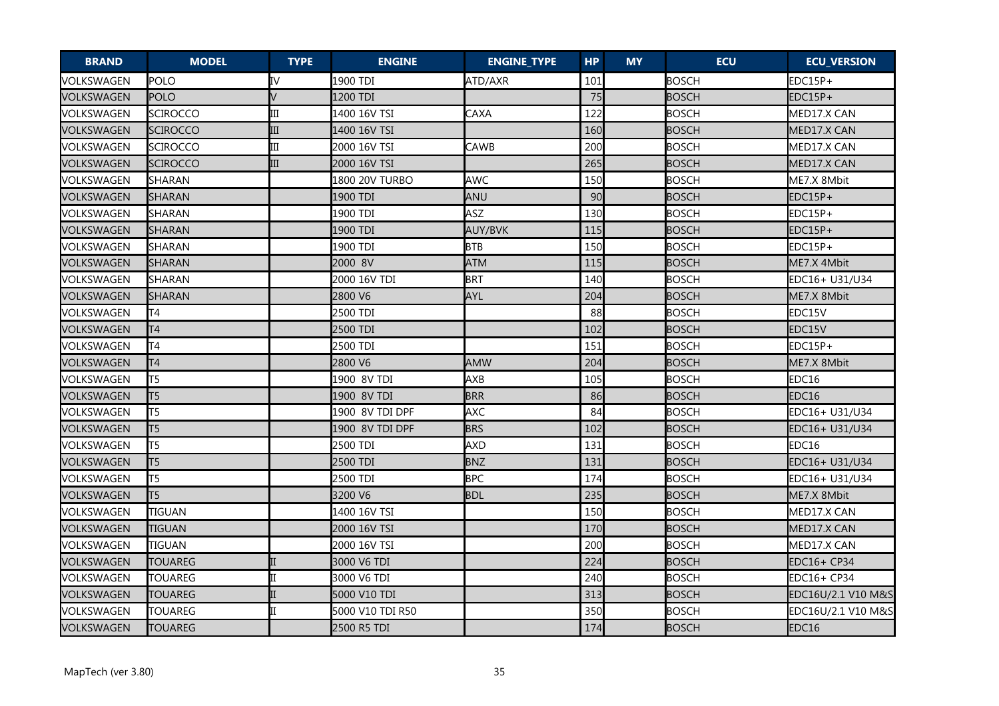| <b>BRAND</b> | <b>MODEL</b>    | <b>TYPE</b> | <b>ENGINE</b>    | <b>ENGINE_TYPE</b> | <b>HP</b> | <b>MY</b> | <b>ECU</b>   | <b>ECU_VERSION</b> |
|--------------|-----------------|-------------|------------------|--------------------|-----------|-----------|--------------|--------------------|
| VOLKSWAGEN   | POLO            | IV          | 1900 TDI         | ATD/AXR            | 101       |           | <b>BOSCH</b> | EDC15P+            |
| VOLKSWAGEN   | <b>POLO</b>     | $\sqrt{}$   | 1200 TDI         |                    | 75        |           | <b>BOSCH</b> | EDC15P+            |
| VOLKSWAGEN   | <b>SCIROCCO</b> | Ш           | 1400 16V TSI     | CAXA               | 122       |           | <b>BOSCH</b> | MED17.X CAN        |
| VOLKSWAGEN   | SCIROCCO        | III         | 1400 16V TSI     |                    | 160       |           | <b>BOSCH</b> | MED17.X CAN        |
| VOLKSWAGEN   | <b>SCIROCCO</b> | Ш           | 2000 16V TSI     | CAWB               | 200       |           | <b>BOSCH</b> | MED17.X CAN        |
| VOLKSWAGEN   | SCIROCCO        | Ш           | 2000 16V TSI     |                    | 265       |           | <b>BOSCH</b> | MED17.X CAN        |
| VOLKSWAGEN   | SHARAN          |             | 1800 20V TURBO   | <b>AWC</b>         | 150       |           | <b>BOSCH</b> | ME7.X 8Mbit        |
| VOLKSWAGEN   | SHARAN          |             | 1900 TDI         | ANU                | 90        |           | <b>BOSCH</b> | EDC15P+            |
| VOLKSWAGEN   | SHARAN          |             | 1900 TDI         | ASZ                | 130       |           | <b>BOSCH</b> | EDC15P+            |
| VOLKSWAGEN   | SHARAN          |             | 1900 TDI         | <b>AUY/BVK</b>     | 115       |           | <b>BOSCH</b> | EDC15P+            |
| VOLKSWAGEN   | SHARAN          |             | 1900 TDI         | <b>BTB</b>         | 150       |           | <b>BOSCH</b> | EDC15P+            |
| VOLKSWAGEN   | SHARAN          |             | 2000 8V          | <b>ATM</b>         | 115       |           | <b>BOSCH</b> | ME7.X 4Mbit        |
| VOLKSWAGEN   | SHARAN          |             | 2000 16V TDI     | <b>BRT</b>         | 140       |           | <b>BOSCH</b> | EDC16+ U31/U34     |
| VOLKSWAGEN   | SHARAN          |             | 2800 V6          | <b>AYL</b>         | 204       |           | <b>BOSCH</b> | ME7.X 8Mbit        |
| VOLKSWAGEN   | lT4             |             | 2500 TDI         |                    | 88        |           | <b>BOSCH</b> | EDC15V             |
| VOLKSWAGEN   | T4              |             | 2500 TDI         |                    | 102       |           | <b>BOSCH</b> | EDC15V             |
| VOLKSWAGEN   | T4              |             | 2500 TDI         |                    | 151       |           | <b>BOSCH</b> | EDC15P+            |
| VOLKSWAGEN   | T <sub>4</sub>  |             | 2800 V6          | <b>AMW</b>         | 204       |           | <b>BOSCH</b> | ME7.X 8Mbit        |
| VOLKSWAGEN   | lt5             |             | 1900 8V TDI      | <b>AXB</b>         | 105       |           | <b>BOSCH</b> | EDC16              |
| VOLKSWAGEN   | T5              |             | 1900 8V TDI      | <b>BRR</b>         | 86        |           | <b>BOSCH</b> | EDC16              |
| VOLKSWAGEN   | T5              |             | 1900 8V TDI DPF  | <b>AXC</b>         | 84        |           | <b>BOSCH</b> | EDC16+ U31/U34     |
| VOLKSWAGEN   | T5              |             | 1900 8V TDI DPF  | <b>BRS</b>         | 102       |           | <b>BOSCH</b> | EDC16+ U31/U34     |
| VOLKSWAGEN   | lt5             |             | 2500 TDI         | <b>AXD</b>         | 131       |           | <b>BOSCH</b> | EDC16              |
| VOLKSWAGEN   | T <sub>5</sub>  |             | 2500 TDI         | <b>BNZ</b>         | 131       |           | <b>BOSCH</b> | EDC16+ U31/U34     |
| VOLKSWAGEN   | lt5             |             | 2500 TDI         | <b>BPC</b>         | 174       |           | <b>BOSCH</b> | EDC16+ U31/U34     |
| VOLKSWAGEN   | T5              |             | 3200 V6          | <b>BDL</b>         | 235       |           | <b>BOSCH</b> | ME7.X 8Mbit        |
| VOLKSWAGEN   | <b>TIGUAN</b>   |             | 1400 16V TSI     |                    | 150       |           | <b>BOSCH</b> | MED17.X CAN        |
| VOLKSWAGEN   | <b>TIGUAN</b>   |             | 2000 16V TSI     |                    | 170       |           | <b>BOSCH</b> | MED17.X CAN        |
| VOLKSWAGEN   | <b>TIGUAN</b>   |             | 2000 16V TSI     |                    | 200       |           | <b>BOSCH</b> | MED17.X CAN        |
| VOLKSWAGEN   | <b>TOUAREG</b>  |             | 3000 V6 TDI      |                    | 224       |           | <b>BOSCH</b> | EDC16+ CP34        |
| VOLKSWAGEN   | <b>TOUAREG</b>  |             | 3000 V6 TDI      |                    | 240       |           | <b>BOSCH</b> | EDC16+ CP34        |
| VOLKSWAGEN   | <b>TOUAREG</b>  |             | 5000 V10 TDI     |                    | 313       |           | <b>BOSCH</b> | EDC16U/2.1 V10 M&S |
| VOLKSWAGEN   | <b>TOUAREG</b>  |             | 5000 V10 TDI R50 |                    | 350       |           | <b>BOSCH</b> | EDC16U/2.1 V10 M&S |
| VOLKSWAGEN   | <b>TOUAREG</b>  |             | 2500 R5 TDI      |                    | 174       |           | <b>BOSCH</b> | EDC16              |